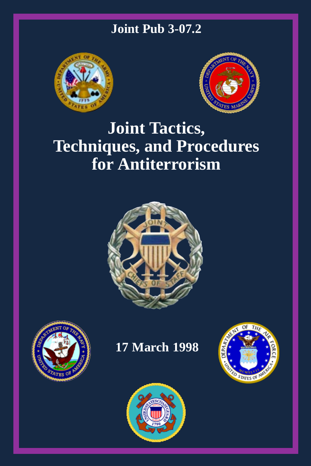# **Joint Pub 3-07.2**





# **Joint Tactics, Techniques, and Procedures for Antiterrorism**





# **17 March 1998**



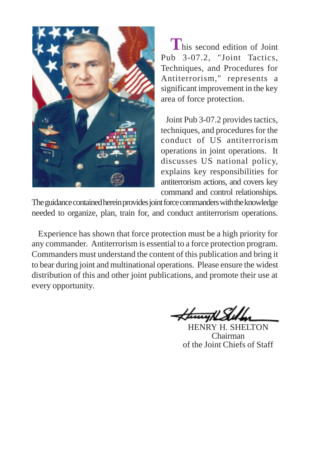

**T**his second edition of Joint Pub 3-07.2, "Joint Tactics, Techniques, and Procedures for Antiterrorism," represents a significant improvement in the key area of force protection.

 Joint Pub 3-07.2 provides tactics, techniques, and procedures for the conduct of US antiterrorism operations in joint operations. It discusses US national policy, explains key responsibilities for antiterrorism actions, and covers key command and control relationships.

The guidance contained herein provides joint force commanders with the knowledge needed to organize, plan, train for, and conduct antiterrorism operations.

Experience has shown that force protection must be a high priority for any commander. Antiterrorism is essential to a force protection program. Commanders must understand the content of this publication and bring it to bear during joint and multinational operations. Please ensure the widest distribution of this and other joint publications, and promote their use at every opportunity.

H. SHELTON Chairman of the Joint Chiefs of Staff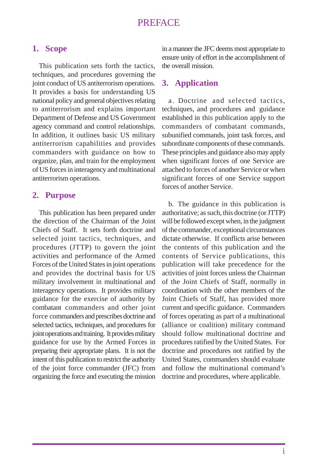# **PREFACE**

#### **1. Scope**

This publication sets forth the tactics, techniques, and procedures governing the joint conduct of US antiterrorism operations. It provides a basis for understanding US national policy and general objectives relating to antiterrorism and explains important Department of Defense and US Government agency command and control relationships. In addition, it outlines basic US military antiterrorism capabilities and provides commanders with guidance on how to organize, plan, and train for the employment of US forces in interagency and multinational antiterrorism operations.

#### **2. Purpose**

This publication has been prepared under the direction of the Chairman of the Joint Chiefs of Staff. It sets forth doctrine and selected joint tactics, techniques, and procedures (JTTP) to govern the joint activities and performance of the Armed Forces of the United States in joint operations and provides the doctrinal basis for US military involvement in multinational and interagency operations. It provides military guidance for the exercise of authority by combatant commanders and other joint force commanders and prescribes doctrine and selected tactics, techniques, and procedures for joint operations and training. It provides military guidance for use by the Armed Forces in preparing their appropriate plans. It is not the intent of this publication to restrict the authority of the joint force commander (JFC) from organizing the force and executing the mission in a manner the JFC deems most appropriate to ensure unity of effort in the accomplishment of the overall mission.

#### **3. Application**

a. Doctrine and selected tactics, techniques, and procedures and guidance established in this publication apply to the commanders of combatant commands, subunified commands, joint task forces, and subordinate components of these commands. These principles and guidance also may apply when significant forces of one Service are attached to forces of another Service or when significant forces of one Service support forces of another Service.

b. The guidance in this publication is authoritative; as such, this doctrine (or JTTP) will be followed except when, in the judgment of the commander, exceptional circumstances dictate otherwise. If conflicts arise between the contents of this publication and the contents of Service publications, this publication will take precedence for the activities of joint forces unless the Chairman of the Joint Chiefs of Staff, normally in coordination with the other members of the Joint Chiefs of Staff, has provided more current and specific guidance. Commanders of forces operating as part of a multinational (alliance or coalition) military command should follow multinational doctrine and procedures ratified by the United States. For doctrine and procedures not ratified by the United States, commanders should evaluate and follow the multinational command's doctrine and procedures, where applicable.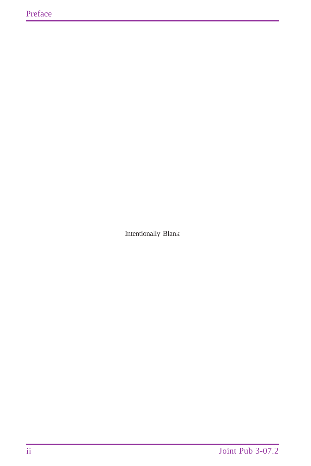Intentionally Blank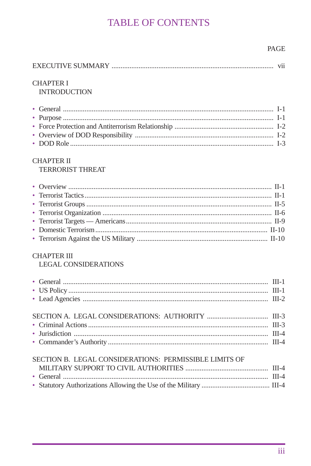# **TABLE OF CONTENTS**

#### PAGE

#### **CHAPTER I INTRODUCTION**

#### **CHAPTER II**

## TERRORIST THREAT

#### **CHAPTER III**

#### **LEGAL CONSIDERATIONS**

| SECTION B. LEGAL CONSIDERATIONS: PERMISSIBLE LIMITS OF |  |
|--------------------------------------------------------|--|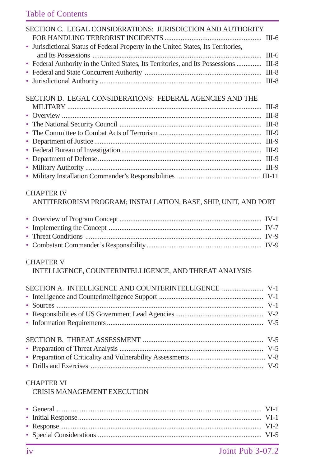# Table of Contents

| SECTION C. LEGAL CONSIDERATIONS: JURISDICTION AND AUTHORITY                           |  |
|---------------------------------------------------------------------------------------|--|
|                                                                                       |  |
| • Jurisdictional Status of Federal Property in the United States, Its Territories,    |  |
|                                                                                       |  |
| • Federal Authority in the United States, Its Territories, and Its Possessions  III-8 |  |
|                                                                                       |  |
|                                                                                       |  |
| SECTION D. LEGAL CONSIDERATIONS: FEDERAL AGENCIES AND THE                             |  |
|                                                                                       |  |
|                                                                                       |  |
|                                                                                       |  |
|                                                                                       |  |
|                                                                                       |  |
|                                                                                       |  |
|                                                                                       |  |
|                                                                                       |  |
|                                                                                       |  |
| <b>CHAPTER IV</b>                                                                     |  |
| ANTITERRORISM PROGRAM; INSTALLATION, BASE, SHIP, UNIT, AND PORT                       |  |
|                                                                                       |  |
|                                                                                       |  |
|                                                                                       |  |
|                                                                                       |  |
| <b>CHAPTER V</b>                                                                      |  |
| INTELLIGENCE, COUNTERINTELLIGENCE, AND THREAT ANALYSIS                                |  |
| SECTION A. INTELLIGENCE AND COUNTERINTELLIGENCE  V-1                                  |  |
|                                                                                       |  |
|                                                                                       |  |
|                                                                                       |  |
|                                                                                       |  |
|                                                                                       |  |
|                                                                                       |  |
|                                                                                       |  |
|                                                                                       |  |
| <b>CHAPTER VI</b>                                                                     |  |
| <b>CRISIS MANAGEMENT EXECUTION</b>                                                    |  |
|                                                                                       |  |
|                                                                                       |  |
|                                                                                       |  |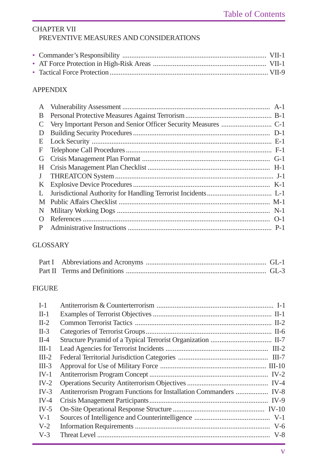#### CHAPTER VII [PREVENTIVE MEASURES AND CONSIDERATIONS](#page-76-0)

#### [APPENDIX](#page-86-0)

| B        |  |
|----------|--|
| C        |  |
| D        |  |
| E.       |  |
| F        |  |
| G        |  |
| H        |  |
| J        |  |
| K        |  |
| L        |  |
| M        |  |
| N.       |  |
| $\Omega$ |  |
| P        |  |
|          |  |

#### **[GLOSSARY](#page-150-0)**

## [FIGURE](#page-12-0)

| $I-1$   |                                                                   |  |
|---------|-------------------------------------------------------------------|--|
| $II-1$  |                                                                   |  |
| $II-2$  |                                                                   |  |
| $II-3$  |                                                                   |  |
| $II-4$  |                                                                   |  |
| $III-1$ |                                                                   |  |
| $III-2$ |                                                                   |  |
| $III-3$ |                                                                   |  |
| $IV-1$  |                                                                   |  |
| $IV-2$  |                                                                   |  |
| $IV-3$  | Antiterrorism Program Functions for Installation Commanders  IV-8 |  |
| $IV-4$  |                                                                   |  |
| $IV-5$  |                                                                   |  |
| $V-1$   |                                                                   |  |
| $V-2$   |                                                                   |  |
| $V-3$   |                                                                   |  |
|         |                                                                   |  |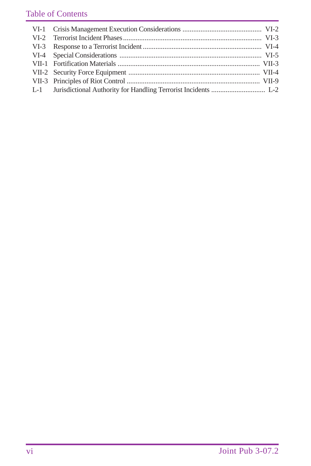# Table of Contents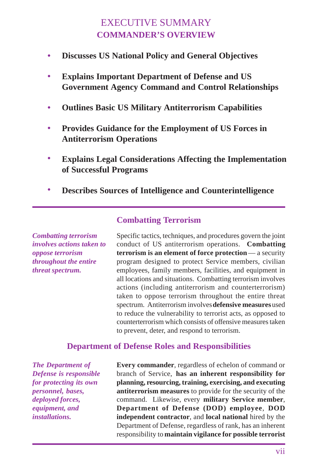# EXECUTIVE SUMMARY **COMMANDER'S OVERVIEW**

- <span id="page-8-0"></span>**• Discusses US National Policy and General Objectives**
- **• Explains Important Department of Defense and US Government Agency Command and Control Relationships**
- **• Outlines Basic US Military Antiterrorism Capabilities**
- **• Provides Guidance for the Employment of US Forces in Antiterrorism Operations**
- **• Explains Legal Considerations Affecting the Implementation of Successful Programs**
- **• Describes Sources of Intelligence and Counterintelligence**

*Combatting terrorism involves actions taken to oppose terrorism throughout the entire threat spectrum.*

# **Combatting Terrorism**

Specific tactics, techniques, and procedures govern the joint conduct of US antiterrorism operations. **Combatting terrorism is an element of force protection** — a security program designed to protect Service members, civilian employees, family members, facilities, and equipment in all locations and situations. Combatting terrorism involves actions (including antiterrorism and counterterrorism) taken to oppose terrorism throughout the entire threat spectrum. Antiterrorism involves **defensive measures** used to reduce the vulnerability to terrorist acts, as opposed to counterterrorism which consists of offensive measures taken to prevent, deter, and respond to terrorism.

## **Department of Defense Roles and Responsibilities**

*The Department of Defense is responsible for protecting its own personnel, bases, deployed forces, equipment, and installations.*

**Every commander**, regardless of echelon of command or branch of Service, **has an inherent responsibility for planning, resourcing, training, exercising, and executing antiterrorism measures** to provide for the security of the command. Likewise, every **military Service member**, **Department of Defense (DOD) employee**, **DOD independent contractor**, and **local national** hired by the Department of Defense, regardless of rank, has an inherent responsibility to **maintain vigilance for possible terrorist**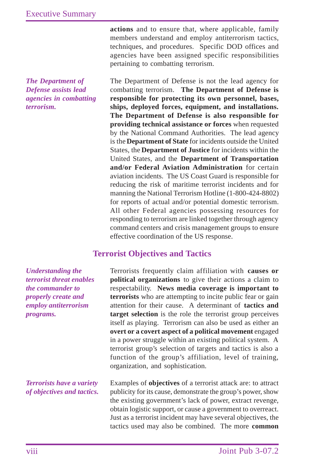*The Department of Defense assists lead agencies in combatting terrorism.*

**actions** and to ensure that, where applicable, family members understand and employ antiterrorism tactics, techniques, and procedures. Specific DOD offices and agencies have been assigned specific responsibilities pertaining to combatting terrorism.

The Department of Defense is not the lead agency for combatting terrorism. **The Department of Defense is responsible for protecting its own personnel, bases, ships, deployed forces, equipment, and installations. The Department of Defense is also responsible for providing technical assistance or forces** when requested by the National Command Authorities. The lead agency is the **Department of State** for incidents outside the United States, the **Department of Justice** for incidents within the United States, and the **Department of Transportation and/or Federal Aviation Administration** for certain aviation incidents. The US Coast Guard is responsible for reducing the risk of maritime terrorist incidents and for manning the National Terrorism Hotline (1-800-424-8802) for reports of actual and/or potential domestic terrorism. All other Federal agencies possessing resources for responding to terrorism are linked together through agency command centers and crisis management groups to ensure effective coordination of the US response.

## **Terrorist Objectives and Tactics**

*Understanding the terrorist threat enables the commander to properly create and employ antiterrorism programs.*

*Terrorists have a variety of objectives and tactics.* Terrorists frequently claim affiliation with **causes or political organizations** to give their actions a claim to respectability. **News media coverage is important to terrorists** who are attempting to incite public fear or gain attention for their cause. A determinant of **tactics and target selection** is the role the terrorist group perceives itself as playing. Terrorism can also be used as either an **overt or a covert aspect of a political movement** engaged in a power struggle within an existing political system. A terrorist group's selection of targets and tactics is also a function of the group's affiliation, level of training, organization, and sophistication.

Examples of **objectives** of a terrorist attack are: to attract publicity for its cause, demonstrate the group's power, show the existing government's lack of power, extract revenge, obtain logistic support, or cause a government to overreact. Just as a terrorist incident may have several objectives, the tactics used may also be combined. The more **common**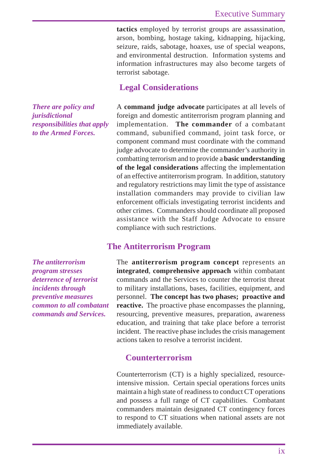**tactics** employed by terrorist groups are assassination, arson, bombing, hostage taking, kidnapping, hijacking, seizure, raids, sabotage, hoaxes, use of special weapons, and environmental destruction. Information systems and information infrastructures may also become targets of terrorist sabotage.

# **Legal Considerations**

A **command judge advocate** participates at all levels of foreign and domestic antiterrorism program planning and implementation. **The commander** of a combatant command, subunified command, joint task force, or component command must coordinate with the command judge advocate to determine the commander's authority in combatting terrorism and to provide a **basic understanding of the legal considerations** affecting the implementation of an effective antiterrorism program. In addition, statutory and regulatory restrictions may limit the type of assistance installation commanders may provide to civilian law enforcement officials investigating terrorist incidents and other crimes. Commanders should coordinate all proposed assistance with the Staff Judge Advocate to ensure compliance with such restrictions.

# **The Antiterrorism Program**

*The antiterrorism program stresses deterrence of terrorist incidents through preventive measures common to all combatant commands and Services.*

The **antiterrorism program concept** represents an **integrated**, **comprehensive approach** within combatant commands and the Services to counter the terrorist threat to military installations, bases, facilities, equipment, and personnel. **The concept has two phases; proactive and reactive.** The proactive phase encompasses the planning, resourcing, preventive measures, preparation, awareness education, and training that take place before a terrorist incident. The reactive phase includes the crisis management actions taken to resolve a terrorist incident.

# **Counterterrorism**

Counterterrorism (CT) is a highly specialized, resourceintensive mission. Certain special operations forces units maintain a high state of readiness to conduct CT operations and possess a full range of CT capabilities. Combatant commanders maintain designated CT contingency forces to respond to CT situations when national assets are not immediately available.

*There are policy and jurisdictional responsibilities that apply to the Armed Forces.*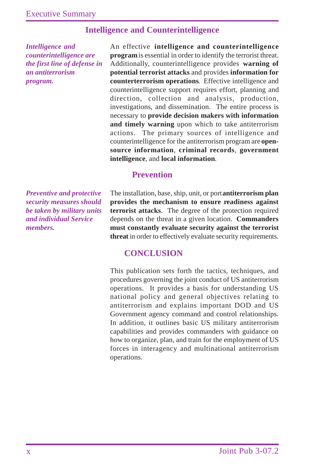# **Intelligence and Counterintelligence**

*Intelligence and counterintelligence are the first line of defense in an antiterrorism program.*

*Preventive and protective security measures should be taken by military units and individual Service members.*

An effective **intelligence and counterintelligence program** is essential in order to identify the terrorist threat. Additionally, counterintelligence provides **warning of potential terrorist attacks** and provides **information for counterterrorism operations**. Effective intelligence and counterintelligence support requires effort, planning and direction, collection and analysis, production, investigations, and dissemination. The entire process is necessary to **provide decision makers with information and timely warning** upon which to take antiterrorism actions. The primary sources of intelligence and counterintelligence for the antiterrorism program are **opensource information**, **criminal records**, **government intelligence**, and **local information**.

# **Prevention**

The installation, base, ship, unit, or port **antiterrorism plan provides the mechanism to ensure readiness against terrorist attacks**. The degree of the protection required depends on the threat in a given location. **Commanders must constantly evaluate security against the terrorist threat** in order to effectively evaluate security requirements.

## **CONCLUSION**

This publication sets forth the tactics, techniques, and procedures governing the joint conduct of US antiterrorism operations. It provides a basis for understanding US national policy and general objectives relating to antiterrorism and explains important DOD and US Government agency command and control relationships. In addition, it outlines basic US military antiterrorism capabilities and provides commanders with guidance on how to organize, plan, and train for the employment of US forces in interagency and multinational antiterrorism operations.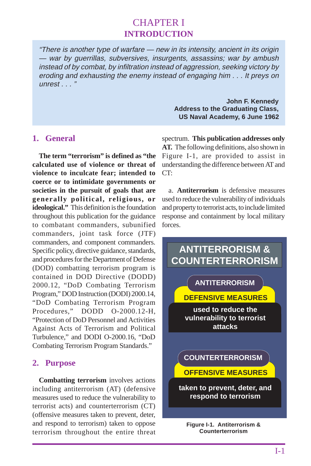# CHAPTER I **INTRODUCTION**

<span id="page-12-0"></span>"There is another type of warfare — new in its intensity, ancient in its origin — war by guerrillas, subversives, insurgents, assassins; war by ambush instead of by combat, by infiltration instead of aggression, seeking victory by eroding and exhausting the enemy instead of engaging him . . . It preys on  $unrest$ ...

> **John F. Kennedy Address to the Graduating Class, US Naval Academy, 6 June 1962**

## **1. General**

**The term "terrorism" is defined as "the calculated use of violence or threat of violence to inculcate fear; intended to coerce or to intimidate governments or societies in the pursuit of goals that are generally political, religious, or ideological."** This definition is the foundation throughout this publication for the guidance to combatant commanders, subunified commanders, joint task force (JTF) commanders, and component commanders. Specific policy, directive guidance, standards, and procedures for the Department of Defense (DOD) combatting terrorism program is contained in DOD Directive (DODD) 2000.12, "DoD Combating Terrorism Program," DOD Instruction (DODI) 2000.14, "DoD Combating Terrorism Program Procedures," DODD O-2000.12-H, "Protection of DoD Personnel and Activities Against Acts of Terrorism and Political Turbulence," and DODI O-2000.16, "DoD Combating Terrorism Program Standards."

#### **2. Purpose**

**Combatting terrorism** involves actions including antiterrorism (AT) (defensive measures used to reduce the vulnerability to terrorist acts) and counterterrorism (CT) (offensive measures taken to prevent, deter, and respond to terrorism) taken to oppose terrorism throughout the entire threat spectrum. **This publication addresses only AT.** The following definitions, also shown in Figure I-1, are provided to assist in understanding the difference between AT and  $CT$ 

a. **Antiterrorism** is defensive measures used to reduce the vulnerability of individuals and property to terrorist acts, to include limited response and containment by local military forces.

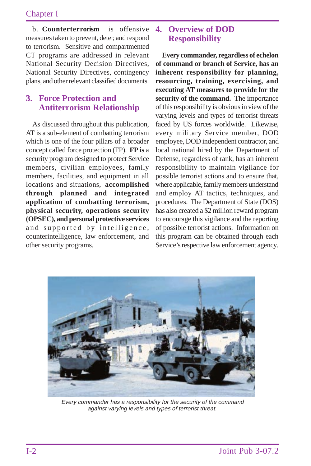<span id="page-13-0"></span>b. **Counterterrorism** is offensive measures taken to prevent, deter, and respond to terrorism. Sensitive and compartmented CT programs are addressed in relevant National Security Decision Directives, National Security Directives, contingency plans, and other relevant classified documents.

# **3. Force Protection and Antiterrorism Relationship**

As discussed throughout this publication, AT is a sub-element of combatting terrorism which is one of the four pillars of a broader concept called force protection (FP). **FP is** a security program designed to protect Service members, civilian employees, family members, facilities, and equipment in all locations and situations, **accomplished through planned and integrated application of combatting terrorism, physical security, operations security (OPSEC), and personal protective services** and supported by intelligence, counterintelligence, law enforcement, and other security programs.

# **4. Overview of DOD Responsibility**

**Every commander, regardless of echelon of command or branch of Service, has an inherent responsibility for planning, resourcing, training, exercising, and executing AT measures to provide for the security of the command.** The importance of this responsibility is obvious in view of the varying levels and types of terrorist threats faced by US forces worldwide. Likewise, every military Service member, DOD employee, DOD independent contractor, and local national hired by the Department of Defense, regardless of rank, has an inherent responsibility to maintain vigilance for possible terrorist actions and to ensure that, where applicable, family members understand and employ AT tactics, techniques, and procedures. The Department of State (DOS) has also created a \$2 million reward program to encourage this vigilance and the reporting of possible terrorist actions. Information on this program can be obtained through each Service's respective law enforcement agency.



Every commander has a responsibility for the security of the command against varying levels and types of terrorist threat.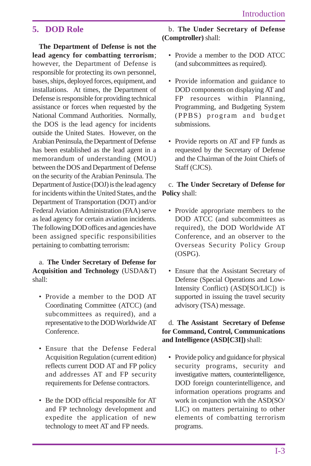# <span id="page-14-0"></span>**5. DOD Role**

**The Department of Defense is not the lead agency for combatting terrorism**; however, the Department of Defense is responsible for protecting its own personnel, bases, ships, deployed forces, equipment, and installations. At times, the Department of Defense is responsible for providing technical assistance or forces when requested by the National Command Authorities. Normally, the DOS is the lead agency for incidents outside the United States. However, on the Arabian Peninsula, the Department of Defense has been established as the lead agent in a memorandum of understanding (MOU) between the DOS and Department of Defense on the security of the Arabian Peninsula. The Department of Justice (DOJ) is the lead agency for incidents within the United States, and the Department of Transportation (DOT) and/or Federal Aviation Administration (FAA) serve as lead agency for certain aviation incidents. The following DOD offices and agencies have been assigned specific responsibilities pertaining to combatting terrorism:

#### a. **The Under Secretary of Defense for Acquisition and Technology** (USDA&T) shall:

- Provide a member to the DOD AT Coordinating Committee (ATCC) (and subcommittees as required), and a representative to the DOD Worldwide AT Conference.
- Ensure that the Defense Federal Acquisition Regulation (current edition) reflects current DOD AT and FP policy and addresses AT and FP security requirements for Defense contractors.
- Be the DOD official responsible for AT and FP technology development and expedite the application of new technology to meet AT and FP needs.

### b. **The Under Secretary of Defense (Comptroller)** shall:

- Provide a member to the DOD ATCC (and subcommittees as required).
- Provide information and guidance to DOD components on displaying AT and FP resources within Planning, Programming, and Budgeting System (PPBS) program and budget submissions.
- Provide reports on AT and FP funds as requested by the Secretary of Defense and the Chairman of the Joint Chiefs of Staff (CJCS).

#### c. **The Under Secretary of Defense for Policy** shall:

- Provide appropriate members to the DOD ATCC (and subcommittees as required), the DOD Worldwide AT Conference, and an observer to the Overseas Security Policy Group (OSPG).
- Ensure that the Assistant Secretary of Defense (Special Operations and Low-Intensity Conflict) (ASD[SO/LIC]) is supported in issuing the travel security advisory (TSA) message.

### d. **The Assistant Secretary of Defense for Command, Control, Communications and Intelligence (ASD[C3I])** shall:

• Provide policy and guidance for physical security programs, security and investigative matters, counterintelligence, DOD foreign counterintelligence, and information operations programs and work in conjunction with the ASD(SO/ LIC) on matters pertaining to other elements of combatting terrorism programs.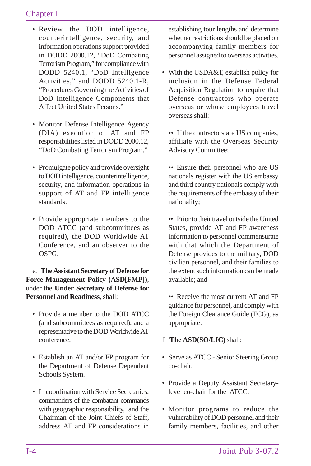# Chapter I

- Review the DOD intelligence, counterintelligence, security, and information operations support provided in DODD 2000.12, "DoD Combating Terrorism Program," for compliance with DODD 5240.1, "DoD Intelligence Activities," and DODD 5240.1-R, "Procedures Governing the Activities of DoD Intelligence Components that Affect United States Persons."
- Monitor Defense Intelligence Agency (DIA) execution of AT and FP responsibilities listed in DODD 2000.12, "DoD Combating Terrorism Program."
- Promulgate policy and provide oversight to DOD intelligence, counterintelligence, security, and information operations in support of AT and FP intelligence standards.
- Provide appropriate members to the DOD ATCC (and subcommittees as required), the DOD Worldwide AT Conference, and an observer to the OSPG.

e. **The Assistant Secretary of Defense for Force Management Policy (ASD[FMP])**, under the **Under Secretary of Defense for Personnel and Readiness**, shall:

- Provide a member to the DOD ATCC (and subcommittees as required), and a representative to the DOD Worldwide AT conference.
- Establish an AT and/or FP program for the Department of Defense Dependent Schools System.
- In coordination with Service Secretaries, commanders of the combatant commands with geographic responsibility, and the Chairman of the Joint Chiefs of Staff, address AT and FP considerations in

establishing tour lengths and determine whether restrictions should be placed on accompanying family members for personnel assigned to overseas activities.

• With the USDA&T, establish policy for inclusion in the Defense Federal Acquisition Regulation to require that Defense contractors who operate overseas or whose employees travel overseas shall:

•• If the contractors are US companies, affiliate with the Overseas Security Advisory Committee;

•• Ensure their personnel who are US nationals register with the US embassy and third country nationals comply with the requirements of the embassy of their nationality;

•• Prior to their travel outside the United States, provide AT and FP awareness information to personnel commensurate with that which the Department of Defense provides to the military, DOD civilian personnel, and their families to the extent such information can be made available; and

•• Receive the most current AT and FP guidance for personnel, and comply with the Foreign Clearance Guide (FCG), as appropriate.

#### f. **The ASD(SO/LIC)** shall:

- Serve as ATCC Senior Steering Group co-chair.
- Provide a Deputy Assistant Secretarylevel co-chair for the ATCC.
- Monitor programs to reduce the vulnerability of DOD personnel and their family members, facilities, and other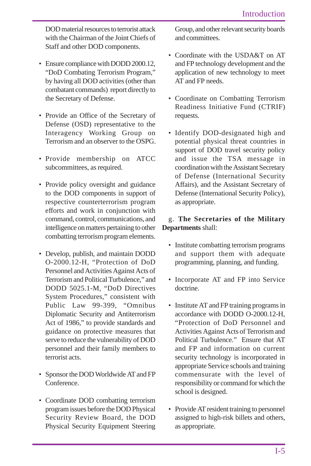DOD material resources to terrorist attack with the Chairman of the Joint Chiefs of Staff and other DOD components.

- Ensure compliance with DODD 2000.12, "DoD Combating Terrorism Program," by having all DOD activities (other than combatant commands) report directly to the Secretary of Defense.
- Provide an Office of the Secretary of Defense (OSD) representative to the Interagency Working Group on Terrorism and an observer to the OSPG.
- Provide membership on ATCC subcommittees, as required.
- Provide policy oversight and guidance to the DOD components in support of respective counterterrorism program efforts and work in conjunction with command, control, communications, and intelligence on matters pertaining to other combatting terrorism program elements.
- Develop, publish, and maintain DODD O-2000.12-H, "Protection of DoD Personnel and Activities Against Acts of Terrorism and Political Turbulence," and DODD 5025.1-M, "DoD Directives System Procedures," consistent with Public Law 99-399, "Omnibus Diplomatic Security and Antiterrorism Act of 1986," to provide standards and guidance on protective measures that serve to reduce the vulnerability of DOD personnel and their family members to terrorist acts.
- Sponsor the DOD Worldwide AT and FP Conference.
- Coordinate DOD combatting terrorism program issues before the DOD Physical Security Review Board, the DOD Physical Security Equipment Steering

Group, and other relevant security boards and committees.

- Coordinate with the USDA&T on AT and FP technology development and the application of new technology to meet AT and FP needs.
- Coordinate on Combatting Terrorism Readiness Initiative Fund (CTRIF) requests.
- Identify DOD-designated high and potential physical threat countries in support of DOD travel security policy and issue the TSA message in coordination with the Assistant Secretary of Defense (International Security Affairs), and the Assistant Secretary of Defense (International Security Policy), as appropriate.

## g. **The Secretaries of the Military Departments** shall:

- Institute combatting terrorism programs and support them with adequate programming, planning, and funding.
- Incorporate AT and FP into Service doctrine.
- Institute AT and FP training programs in accordance with DODD O-2000.12-H, "Protection of DoD Personnel and Activities Against Acts of Terrorism and Political Turbulence." Ensure that AT and FP and information on current security technology is incorporated in appropriate Service schools and training commensurate with the level of responsibility or command for which the school is designed.
- Provide AT resident training to personnel assigned to high-risk billets and others, as appropriate.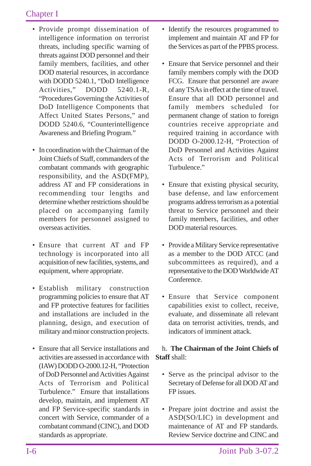# Chapter I

- Provide prompt dissemination of intelligence information on terrorist threats, including specific warning of threats against DOD personnel and their family members, facilities, and other DOD material resources, in accordance with DODD 5240.1, "DoD Intelligence Activities," DODD 5240.1-R, "Procedures Governing the Activities of DoD Intelligence Components that Affect United States Persons," and DODD 5240.6, "Counterintelligence Awareness and Briefing Program."
- In coordination with the Chairman of the Joint Chiefs of Staff, commanders of the combatant commands with geographic responsibility, and the ASD(FMP), address AT and FP considerations in recommending tour lengths and determine whether restrictions should be placed on accompanying family members for personnel assigned to overseas activities.
- Ensure that current AT and FP technology is incorporated into all acquisition of new facilities, systems, and equipment, where appropriate.
- Establish military construction programming policies to ensure that AT and FP protective features for facilities and installations are included in the planning, design, and execution of military and minor construction projects.
- Ensure that all Service installations and activities are assessed in accordance with (IAW) DODD O-2000.12-H, "Protection of DoD Personnel and Activities Against Acts of Terrorism and Political Turbulence." Ensure that installations develop, maintain, and implement AT and FP Service-specific standards in concert with Service, commander of a combatant command (CINC), and DOD standards as appropriate.
- Identify the resources programmed to implement and maintain AT and FP for the Services as part of the PPBS process.
- Ensure that Service personnel and their family members comply with the DOD FCG. Ensure that personnel are aware of any TSAs in effect at the time of travel. Ensure that all DOD personnel and family members scheduled for permanent change of station to foreign countries receive appropriate and required training in accordance with DODD O-2000.12-H, "Protection of DoD Personnel and Activities Against Acts of Terrorism and Political Turbulence."
- Ensure that existing physical security, base defense, and law enforcement programs address terrorism as a potential threat to Service personnel and their family members, facilities, and other DOD material resources.
- Provide a Military Service representative as a member to the DOD ATCC (and subcommittees as required), and a representative to the DOD Worldwide AT Conference.
- Ensure that Service component capabilities exist to collect, receive, evaluate, and disseminate all relevant data on terrorist activities, trends, and indicators of imminent attack.

#### h. **The Chairman of the Joint Chiefs of Staff** shall:

- Serve as the principal advisor to the Secretary of Defense for all DOD AT and FP issues.
- Prepare joint doctrine and assist the ASD(SO/LIC) in development and maintenance of AT and FP standards. Review Service doctrine and CINC and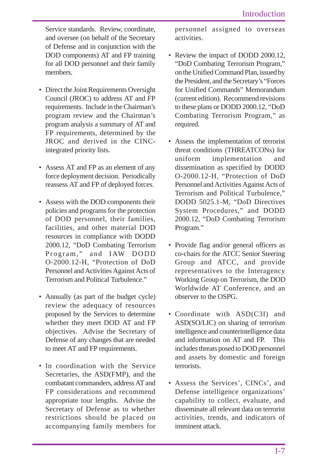Service standards. Review, coordinate, and oversee (on behalf of the Secretary of Defense and in conjunction with the DOD components) AT and FP training for all DOD personnel and their family members.

- Direct the Joint Requirements Oversight Council (JROC) to address AT and FP requirements. Include in the Chairman's program review and the Chairman's program analysis a summary of AT and FP requirements, determined by the JROC and derived in the CINCintegrated priority lists.
- Assess AT and FP as an element of any force deployment decision. Periodically reassess AT and FP of deployed forces.
- Assess with the DOD components their policies and programs for the protection of DOD personnel, their families, facilities, and other material DOD resources in compliance with DODD 2000.12, "DoD Combating Terrorism Program," and IAW DODD O-2000.12-H, "Protection of DoD Personnel and Activities Against Acts of Terrorism and Political Turbulence."
- Annually (as part of the budget cycle) review the adequacy of resources proposed by the Services to determine whether they meet DOD AT and FP objectives. Advise the Secretary of Defense of any changes that are needed to meet AT and FP requirements.
- In coordination with the Service Secretaries, the ASD(FMP), and the combatant commanders, address AT and FP considerations and recommend appropriate tour lengths. Advise the Secretary of Defense as to whether restrictions should be placed on accompanying family members for

personnel assigned to overseas activities.

- Review the impact of DODD 2000.12, "DoD Combating Terrorism Program," on the Unified Command Plan, issued by the President, and the Secretary's "Forces for Unified Commands" Memorandum (current edition). Recommend revisions to these plans or DODD 2000.12, "DoD Combating Terrorism Program," as required.
- Assess the implementation of terrorist threat conditions (THREATCONs) for uniform implementation and dissemination as specified by DODD O-2000.12-H, "Protection of DoD Personnel and Activities Against Acts of Terrorism and Political Turbulence," DODD 5025.1-M, "DoD Directives System Procedures," and DODD 2000.12, "DoD Combating Terrorism Program."
- Provide flag and/or general officers as co-chairs for the ATCC Senior Steering Group and ATCC, and provide representatives to the Interagency Working Group on Terrorism, the DOD Worldwide AT Conference, and an observer to the OSPG.
- Coordinate with ASD(C3I) and ASD(SO/LIC) on sharing of terrorism intelligence and counterintelligence data and information on AT and FP. This includes threats posed to DOD personnel and assets by domestic and foreign terrorists.
- Assess the Services', CINCs', and Defense intelligence organizations' capability to collect, evaluate, and disseminate all relevant data on terrorist activities, trends, and indicators of imminent attack.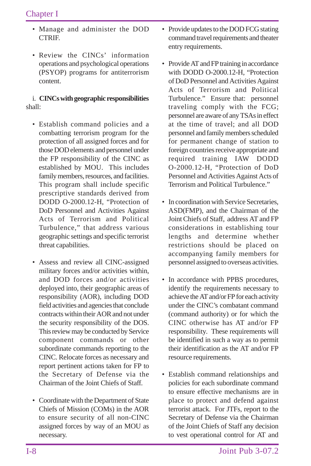- Manage and administer the DOD CTRIF.
- Review the CINCs' information operations and psychological operations (PSYOP) programs for antiterrorism content.

#### i. **CINCs with geographic responsibilities** shall:

- Establish command policies and a combatting terrorism program for the protection of all assigned forces and for those DOD elements and personnel under the FP responsibility of the CINC as established by MOU. This includes family members, resources, and facilities. This program shall include specific prescriptive standards derived from DODD O-2000.12-H, "Protection of DoD Personnel and Activities Against Acts of Terrorism and Political Turbulence," that address various geographic settings and specific terrorist threat capabilities.
- Assess and review all CINC-assigned military forces and/or activities within, and DOD forces and/or activities deployed into, their geographic areas of responsibility (AOR), including DOD field activities and agencies that conclude contracts within their AOR and not under the security responsibility of the DOS. This review may be conducted by Service component commands or other subordinate commands reporting to the CINC. Relocate forces as necessary and report pertinent actions taken for FP to the Secretary of Defense via the Chairman of the Joint Chiefs of Staff.
- Coordinate with the Department of State Chiefs of Mission (COMs) in the AOR to ensure security of all non-CINC assigned forces by way of an MOU as necessary.
- Provide updates to the DOD FCG stating command travel requirements and theater entry requirements.
- Provide AT and FP training in accordance with DODD O-2000.12-H, "Protection of DoD Personnel and Activities Against Acts of Terrorism and Political Turbulence." Ensure that: personnel traveling comply with the FCG; personnel are aware of any TSAs in effect at the time of travel; and all DOD personnel and family members scheduled for permanent change of station to foreign countries receive appropriate and required training IAW DODD O-2000.12-H, "Protection of DoD Personnel and Activities Against Acts of Terrorism and Political Turbulence."
- In coordination with Service Secretaries, ASD(FMP), and the Chairman of the Joint Chiefs of Staff, address AT and FP considerations in establishing tour lengths and determine whether restrictions should be placed on accompanying family members for personnel assigned to overseas activities.
- In accordance with PPBS procedures, identify the requirements necessary to achieve the AT and/or FP for each activity under the CINC's combatant command (command authority) or for which the CINC otherwise has AT and/or FP responsibility. These requirements will be identified in such a way as to permit their identification as the AT and/or FP resource requirements.
- Establish command relationships and policies for each subordinate command to ensure effective mechanisms are in place to protect and defend against terrorist attack. For JTFs, report to the Secretary of Defense via the Chairman of the Joint Chiefs of Staff any decision to vest operational control for AT and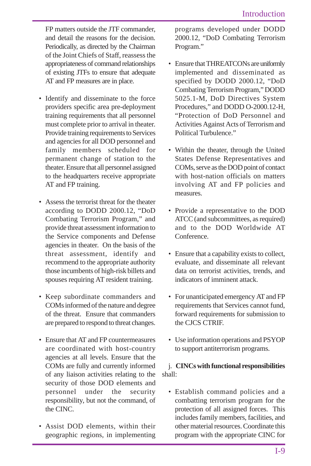FP matters outside the JTF commander, and detail the reasons for the decision. Periodically, as directed by the Chairman of the Joint Chiefs of Staff, reassess the appropriateness of command relationships of existing JTFs to ensure that adequate AT and FP measures are in place.

- Identify and disseminate to the force providers specific area pre-deployment training requirements that all personnel must complete prior to arrival in theater. Provide training requirements to Services and agencies for all DOD personnel and family members scheduled for permanent change of station to the theater. Ensure that all personnel assigned to the headquarters receive appropriate AT and FP training.
- Assess the terrorist threat for the theater according to DODD 2000.12, "DoD Combating Terrorism Program," and provide threat assessment information to the Service components and Defense agencies in theater. On the basis of the threat assessment, identify and recommend to the appropriate authority those incumbents of high-risk billets and spouses requiring AT resident training.
- Keep subordinate commanders and COMs informed of the nature and degree of the threat. Ensure that commanders are prepared to respond to threat changes.
- Ensure that AT and FP countermeasures are coordinated with host-country agencies at all levels. Ensure that the COMs are fully and currently informed of any liaison activities relating to the security of those DOD elements and personnel under the security responsibility, but not the command, of the CINC.
- Assist DOD elements, within their geographic regions, in implementing

programs developed under DODD 2000.12, "DoD Combating Terrorism Program."

- Ensure that THREATCONs are uniformly implemented and disseminated as specified by DODD 2000.12, "DoD Combating Terrorism Program," DODD 5025.1-M, DoD Directives System Procedures," and DODD O-2000.12-H, "Protection of DoD Personnel and Activities Against Acts of Terrorism and Political Turbulence."
- Within the theater, through the United States Defense Representatives and COMs, serve as the DOD point of contact with host-nation officials on matters involving AT and FP policies and measures.
- Provide a representative to the DOD ATCC (and subcommittees, as required) and to the DOD Worldwide AT Conference.
- Ensure that a capability exists to collect, evaluate, and disseminate all relevant data on terrorist activities, trends, and indicators of imminent attack.
- For unanticipated emergency AT and FP requirements that Services cannot fund, forward requirements for submission to the CJCS CTRIF.
- Use information operations and PSYOP to support antiterrorism programs.

#### j. **CINCs with functional responsibilities** shall:

• Establish command policies and a combatting terrorism program for the protection of all assigned forces. This includes family members, facilities, and other material resources. Coordinate this program with the appropriate CINC for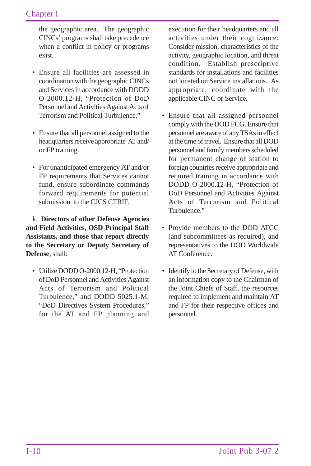# Chapter I

the geographic area. The geographic CINCs' programs shall take precedence when a conflict in policy or programs exist.

- Ensure all facilities are assessed in coordination with the geographic CINCs and Services in accordance with DODD O-2000.12-H, "Protection of DoD Personnel and Activities Against Acts of Terrorism and Political Turbulence."
- Ensure that all personnel assigned to the headquarters receive appropriate AT and/ or FP training.
- For unanticipated emergency AT and/or FP requirements that Services cannot fund, ensure subordinate commands forward requirements for potential submission to the CJCS CTRIF.

k. **Directors of other Defense Agencies and Field Activities, OSD Principal Staff Assistants, and those that report directly to the Secretary or Deputy Secretary of Defense**, shall:

• Utilize DODD O-2000.12-H, "Protection of DoD Personnel and Activities Against Acts of Terrorism and Political Turbulence," and DODD 5025.1-M, "DoD Directives System Procedures," for the AT and FP planning and

execution for their headquarters and all activities under their cognizance: Consider mission, characteristics of the activity, geographic location, and threat condition. Establish prescriptive standards for installations and facilities not located on Service installations. As appropriate, coordinate with the applicable CINC or Service.

- Ensure that all assigned personnel comply with the DOD FCG. Ensure that personnel are aware of any TSAs in effect at the time of travel. Ensure that all DOD personnel and family members scheduled for permanent change of station to foreign countries receive appropriate and required training in accordance with DODD O-2000.12-H, "Protection of DoD Personnel and Activities Against Acts of Terrorism and Political Turbulence."
- Provide members to the DOD ATCC (and subcommittees as required), and representatives to the DOD Worldwide AT Conference.
- Identify to the Secretary of Defense, with an information copy to the Chairman of the Joint Chiefs of Staff, the resources required to implement and maintain AT and FP for their respective offices and personnel.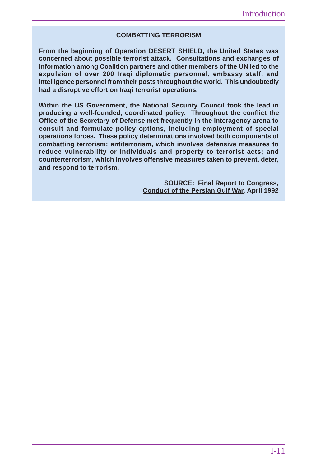#### **COMBATTING TERRORISM**

**From the beginning of Operation DESERT SHIELD, the United States was concerned about possible terrorist attack. Consultations and exchanges of information among Coalition partners and other members of the UN led to the expulsion of over 200 Iraqi diplomatic personnel, embassy staff, and intelligence personnel from their posts throughout the world. This undoubtedly had a disruptive effort on Iraqi terrorist operations.**

**Within the US Government, the National Security Council took the lead in producing a well-founded, coordinated policy. Throughout the conflict the Office of the Secretary of Defense met frequently in the interagency arena to consult and formulate policy options, including employment of special operations forces. These policy determinations involved both components of combatting terrorism: antiterrorism, which involves defensive measures to reduce vulnerability or individuals and property to terrorist acts; and counterterrorism, which involves offensive measures taken to prevent, deter, and respond to terrorism.**

> **SOURCE: Final Report to Congress, Conduct of the Persian Gulf War, April 1992**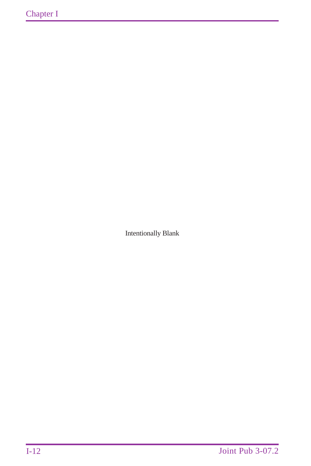Intentionally Blank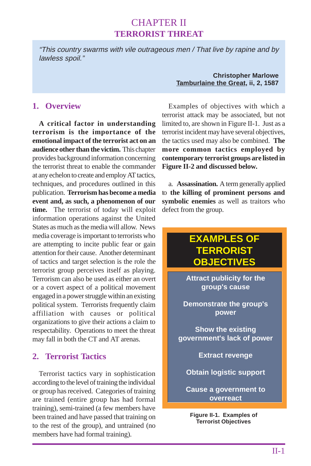# CHAPTER II **TERRORIST THREAT**

<span id="page-24-0"></span>"This country swarms with vile outrageous men / That live by rapine and by lawless spoil."

# **1. Overview**

**A critical factor in understanding terrorism is the importance of the emotional impact of the terrorist act on an audience other than the victim.** This chapter provides background information concerning the terrorist threat to enable the commander at any echelon to create and employ AT tactics, techniques, and procedures outlined in this publication. **Terrorism has become a media event and, as such, a phenomenon of our time.** The terrorist of today will exploit information operations against the United States as much as the media will allow. News media coverage is important to terrorists who are attempting to incite public fear or gain attention for their cause. Another determinant of tactics and target selection is the role the terrorist group perceives itself as playing. Terrorism can also be used as either an overt or a covert aspect of a political movement engaged in a power struggle within an existing political system. Terrorists frequently claim affiliation with causes or political organizations to give their actions a claim to respectability. Operations to meet the threat may fall in both the CT and AT arenas.

### **2. Terrorist Tactics**

Terrorist tactics vary in sophistication according to the level of training the individual or group has received. Categories of training are trained (entire group has had formal training), semi-trained (a few members have been trained and have passed that training on to the rest of the group), and untrained (no members have had formal training).

**Christopher Marlowe Tamburlaine the Great, ii, 2, 1587**

Examples of objectives with which a terrorist attack may be associated, but not limited to, are shown in Figure II-1. Just as a terrorist incident may have several objectives, the tactics used may also be combined. **The more common tactics employed by contemporary terrorist groups are listed in Figure II-2 and discussed below.**

a. **Assassination.** A term generally applied to **the killing of prominent persons and symbolic enemies** as well as traitors who defect from the group.

# **EXAMPLES OF TERRORIST OBJECTIVES**

**Attract publicity for the group's cause**

**Demonstrate the group's power**

**Show the existing government's lack of power**

**Extract revenge**

**Obtain logistic support**

**Cause a government to overreact**

**Figure II-1. Examples of Terrorist Objectives**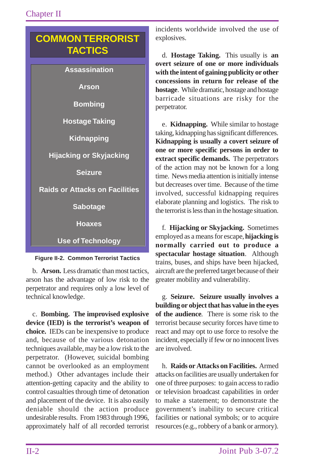# <span id="page-25-0"></span>**COMMON TERRORIST TACTICS**

#### **Assassination**

**Arson**

**Bombing**

**Hostage Taking**

**Kidnapping**

**Hijacking or Skyjacking**

**Seizure**

**Raids or Attacks on Facilities**

**Sabotage**

**Hoaxes**

**Use of Technology**

#### **Figure II-2. Common Terrorist Tactics**

b. **Arson.** Less dramatic than most tactics, arson has the advantage of low risk to the perpetrator and requires only a low level of technical knowledge.

c. **Bombing. The improvised explosive device (IED) is the terrorist's weapon of choice.** IEDs can be inexpensive to produce and, because of the various detonation techniques available, may be a low risk to the perpetrator. (However, suicidal bombing cannot be overlooked as an employment method.) Other advantages include their attention-getting capacity and the ability to control casualties through time of detonation and placement of the device. It is also easily deniable should the action produce undesirable results. From 1983 through 1996, approximately half of all recorded terrorist

incidents worldwide involved the use of explosives.

d. **Hostage Taking.** This usually is **an overt seizure of one or more individuals with the intent of gaining publicity or other concessions in return for release of the hostage**. While dramatic, hostage and hostage barricade situations are risky for the perpetrator.

e. **Kidnapping.** While similar to hostage taking, kidnapping has significant differences. **Kidnapping is usually a covert seizure of one or more specific persons in order to extract specific demands.** The perpetrators of the action may not be known for a long time. News media attention is initially intense but decreases over time. Because of the time involved, successful kidnapping requires elaborate planning and logistics. The risk to the terrorist is less than in the hostage situation.

f. **Hijacking or Skyjacking.** Sometimes employed as a means for escape, **hijacking is normally carried out to produce a spectacular hostage situation**. Although trains, buses, and ships have been hijacked, aircraft are the preferred target because of their greater mobility and vulnerability.

g. **Seizure. Seizure usually involves a building or object that has value in the eyes of the audience**. There is some risk to the terrorist because security forces have time to react and may opt to use force to resolve the incident, especially if few or no innocent lives are involved.

h. **Raids or Attacks on Facilities.** Armed attacks on facilities are usually undertaken for one of three purposes: to gain access to radio or television broadcast capabilities in order to make a statement; to demonstrate the government's inability to secure critical facilities or national symbols; or to acquire resources (e.g., robbery of a bank or armory).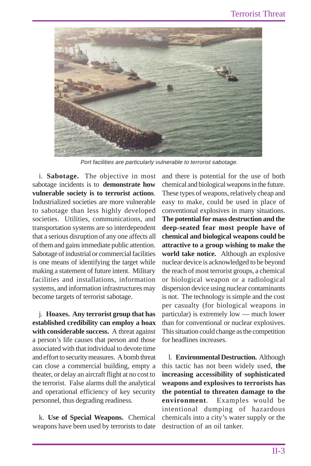

Port facilities are particularly vulnerable to terrorist sabotage.

i. **Sabotage.** The objective in most sabotage incidents is to **demonstrate how vulnerable society is to terrorist actions**. Industrialized societies are more vulnerable to sabotage than less highly developed societies. Utilities, communications, and transportation systems are so interdependent that a serious disruption of any one affects all of them and gains immediate public attention. Sabotage of industrial or commercial facilities is one means of identifying the target while making a statement of future intent. Military facilities and installations, information systems, and information infrastructures may become targets of terrorist sabotage.

j. **Hoaxes. Any terrorist group that has established credibility can employ a hoax with considerable success.** A threat against a person's life causes that person and those associated with that individual to devote time and effort to security measures. A bomb threat can close a commercial building, empty a theater, or delay an aircraft flight at no cost to the terrorist. False alarms dull the analytical and operational efficiency of key security personnel, thus degrading readiness.

k. **Use of Special Weapons.** Chemical weapons have been used by terrorists to date and there is potential for the use of both chemical and biological weapons in the future. These types of weapons, relatively cheap and easy to make, could be used in place of conventional explosives in many situations. **The potential for mass destruction and the deep-seated fear most people have of chemical and biological weapons could be attractive to a group wishing to make the world take notice.** Although an explosive nuclear device is acknowledged to be beyond the reach of most terrorist groups, a chemical or biological weapon or a radiological dispersion device using nuclear contaminants is not. The technology is simple and the cost per casualty (for biological weapons in particular) is extremely low — much lower than for conventional or nuclear explosives. This situation could change as the competition for headlines increases.

l. **Environmental Destruction.** Although this tactic has not been widely used, **the increasing accessibility of sophisticated weapons and explosives to terrorists has the potential to threaten damage to the environment**. Examples would be intentional dumping of hazardous chemicals into a city's water supply or the destruction of an oil tanker.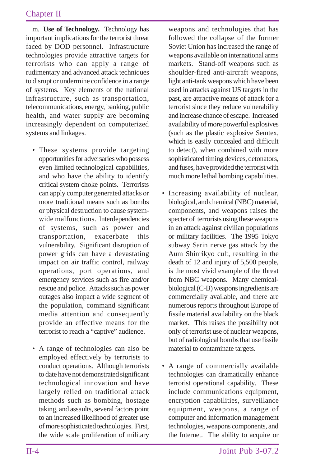m. **Use of Technology.** Technology has important implications for the terrorist threat faced by DOD personnel. Infrastructure technologies provide attractive targets for terrorists who can apply a range of rudimentary and advanced attack techniques to disrupt or undermine confidence in a range of systems. Key elements of the national infrastructure, such as transportation, telecommunications, energy, banking, public health, and water supply are becoming increasingly dependent on computerized systems and linkages.

- These systems provide targeting opportunities for adversaries who possess even limited technological capabilities, and who have the ability to identify critical system choke points. Terrorists can apply computer generated attacks or more traditional means such as bombs or physical destruction to cause systemwide malfunctions. Interdependencies of systems, such as power and transportation, exacerbate this vulnerability. Significant disruption of power grids can have a devastating impact on air traffic control, railway operations, port operations, and emergency services such as fire and/or rescue and police. Attacks such as power outages also impact a wide segment of the population, command significant media attention and consequently provide an effective means for the terrorist to reach a "captive" audience.
- A range of technologies can also be employed effectively by terrorists to conduct operations. Although terrorists to date have not demonstrated significant technological innovation and have largely relied on traditional attack methods such as bombing, hostage taking, and assaults, several factors point to an increased likelihood of greater use of more sophisticated technologies. First, the wide scale proliferation of military

weapons and technologies that has followed the collapse of the former Soviet Union has increased the range of weapons available on international arms markets. Stand-off weapons such as shoulder-fired anti-aircraft weapons, light anti-tank weapons which have been used in attacks against US targets in the past, are attractive means of attack for a terrorist since they reduce vulnerability and increase chance of escape. Increased availability of more powerful explosives (such as the plastic explosive Semtex, which is easily concealed and difficult to detect), when combined with more sophisticated timing devices, detonators, and fuses, have provided the terrorist with much more lethal bombing capabilities.

- Increasing availability of nuclear, biological, and chemical (NBC) material, components, and weapons raises the specter of terrorists using these weapons in an attack against civilian populations or military facilities. The 1995 Tokyo subway Sarin nerve gas attack by the Aum Shinrikyo cult, resulting in the death of 12 and injury of 5,500 people, is the most vivid example of the threat from NBC weapons. Many chemicalbiological (C-B) weapons ingredients are commercially available, and there are numerous reports throughout Europe of fissile material availability on the black market. This raises the possibility not only of terrorist use of nuclear weapons, but of radiological bombs that use fissile material to contaminate targets.
- A range of commercially available technologies can dramatically enhance terrorist operational capability. These include communications equipment, encryption capabilities, surveillance equipment, weapons, a range of computer and information management technologies, weapons components, and the Internet. The ability to acquire or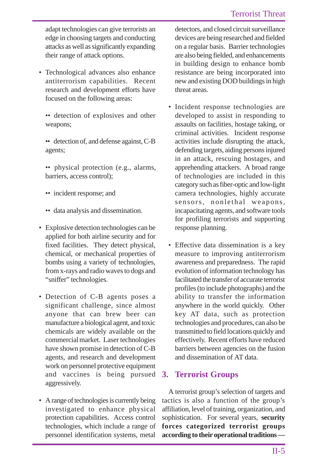<span id="page-28-0"></span>adapt technologies can give terrorists an edge in choosing targets and conducting attacks as well as significantly expanding their range of attack options.

- Technological advances also enhance antiterrorism capabilities. Recent research and development efforts have focused on the following areas:
	- •• detection of explosives and other weapons;
	- •• detection of, and defense against, C-B agents;
	- •• physical protection (e.g., alarms, barriers, access control);
	- •• incident response; and
	- •• data analysis and dissemination.
- Explosive detection technologies can be applied for both airline security and for fixed facilities. They detect physical, chemical, or mechanical properties of bombs using a variety of technologies, from x-rays and radio waves to dogs and "sniffer" technologies.
- Detection of C-B agents poses a significant challenge, since almost anyone that can brew beer can manufacture a biological agent, and toxic chemicals are widely available on the commercial market. Laser technologies have shown promise in detection of C-B agents, and research and development work on personnel protective equipment and vaccines is being pursued aggressively.
- A range of technologies is currently being investigated to enhance physical protection capabilities. Access control technologies, which include a range of personnel identification systems, metal

detectors, and closed circuit surveillance devices are being researched and fielded on a regular basis. Barrier technologies are also being fielded, and enhancements in building design to enhance bomb resistance are being incorporated into new and existing DOD buildings in high threat areas.

- Incident response technologies are developed to assist in responding to assaults on facilities, hostage taking, or criminal activities. Incident response activities include disrupting the attack, defending targets, aiding persons injured in an attack, rescuing hostages, and apprehending attackers. A broad range of technologies are included in this category such as fiber-optic and low-light camera technologies, highly accurate sensors, nonlethal weapons, incapacitating agents, and software tools for profiling terrorists and supporting response planning.
- Effective data dissemination is a key measure to improving antiterrorism awareness and preparedness. The rapid evolution of information technology has facilitated the transfer of accurate terrorist profiles (to include photographs) and the ability to transfer the information anywhere in the world quickly. Other key AT data, such as protection technologies and procedures, can also be transmitted to field locations quickly and effectively. Recent efforts have reduced barriers between agencies on the fusion and dissemination of AT data.

# **3. Terrorist Groups**

A terrorist group's selection of targets and tactics is also a function of the group's affiliation, level of training, organization, and sophistication. For several years, **security forces categorized terrorist groups according to their operational traditions —**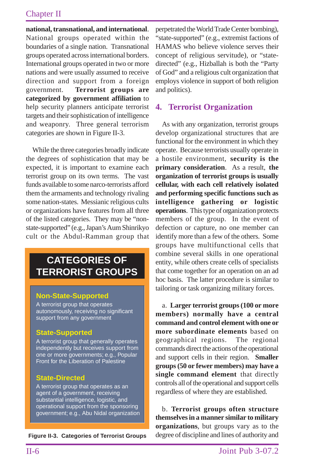<span id="page-29-0"></span>**national, transnational, and international**. National groups operated within the boundaries of a single nation. Transnational groups operated across international borders. International groups operated in two or more nations and were usually assumed to receive direction and support from a foreign government. **Terrorist groups are categorized by government affiliation** to help security planners anticipate terrorist targets and their sophistication of intelligence and weaponry. Three general terrorism categories are shown in Figure II-3.

While the three categories broadly indicate the degrees of sophistication that may be expected, it is important to examine each terrorist group on its own terms. The vast funds available to some narco-terrorists afford them the armaments and technology rivaling some nation-states. Messianic religious cults or organizations have features from all three of the listed categories. They may be "nonstate-supported" (e.g., Japan's Aum Shinrikyo cult or the Abdul-Ramman group that

# **CATEGORIES OF TERRORIST GROUPS**

#### **Non-State-Supported**

A terrorist group that operates autonomously, receiving no significant support from any government

#### **State-Supported**

A terrorist group that generally operates independently but receives support from one or more governments; e.g., Popular Front for the Liberation of Palestine

#### **State-Directed**

A terrorist group that operates as an agent of a government, receiving substantial intelligence, logistic, and operational support from the sponsoring government; e.g., Abu Nidal organization

**Figure II-3. Categories of Terrorist Groups**

perpetrated the World Trade Center bombing), "state-supported" (e.g., extremist factions of HAMAS who believe violence serves their concept of religious servitude), or "statedirected" (e.g., Hizballah is both the "Party of God" and a religious cult organization that employs violence in support of both religion and politics).

#### **4. Terrorist Organization**

As with any organization, terrorist groups develop organizational structures that are functional for the environment in which they operate. Because terrorists usually operate in a hostile environment, **security is the primary consideration**. As a result, **the organization of terrorist groups is usually cellular, with each cell relatively isolated and performing specific functions such as intelligence gathering or logistic operations**. This type of organization protects members of the group. In the event of defection or capture, no one member can identify more than a few of the others. Some groups have multifunctional cells that combine several skills in one operational entity, while others create cells of specialists that come together for an operation on an ad hoc basis. The latter procedure is similar to tailoring or task organizing military forces.

a. **Larger terrorist groups (100 or more members) normally have a central command and control element with one or more subordinate elements** based on geographical regions. The regional commands direct the actions of the operational and support cells in their region. **Smaller groups (50 or fewer members) may have a single command element** that directly controls all of the operational and support cells regardless of where they are established.

b. **Terrorist groups often structure themselves in a manner similar to military organizations**, but groups vary as to the degree of discipline and lines of authority and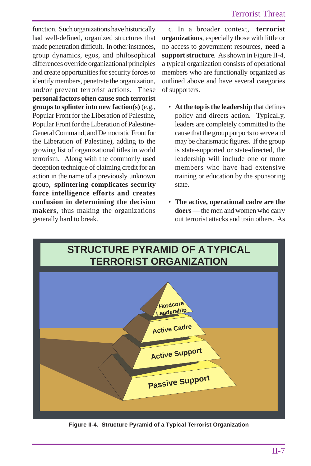<span id="page-30-0"></span>function. Such organizations have historically had well-defined, organized structures that made penetration difficult. In other instances, group dynamics, egos, and philosophical differences override organizational principles and create opportunities for security forces to identify members, penetrate the organization, and/or prevent terrorist actions. These **personal factors often cause such terrorist groups to splinter into new faction(s)** (e.g., Popular Front for the Liberation of Palestine, Popular Front for the Liberation of Palestine-General Command, and Democratic Front for the Liberation of Palestine), adding to the growing list of organizational titles in world terrorism. Along with the commonly used deception technique of claiming credit for an action in the name of a previously unknown group, **splintering complicates security force intelligence efforts and creates confusion in determining the decision makers**, thus making the organizations generally hard to break.

c. In a broader context, **terrorist organizations**, especially those with little or no access to government resources, **need a support structure**. As shown in Figure II-4, a typical organization consists of operational members who are functionally organized as outlined above and have several categories of supporters.

- **At the top is the leadership** that defines policy and directs action. Typically, leaders are completely committed to the cause that the group purports to serve and may be charismatic figures. If the group is state-supported or state-directed, the leadership will include one or more members who have had extensive training or education by the sponsoring state.
- **The active, operational cadre are the doers** — the men and women who carry out terrorist attacks and train others. As



**Figure II-4. Structure Pyramid of a Typical Terrorist Organization**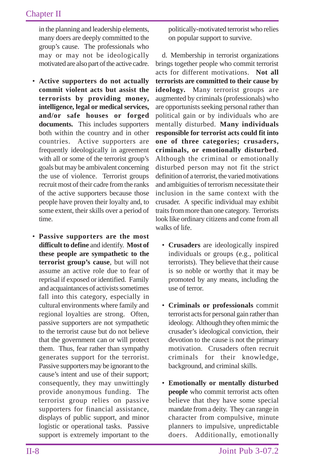in the planning and leadership elements, many doers are deeply committed to the group's cause. The professionals who may or may not be ideologically motivated are also part of the active cadre.

- **Active supporters do not actually commit violent acts but assist the terrorists by providing money, intelligence, legal or medical services, and/or safe houses or forged documents.** This includes supporters both within the country and in other countries. Active supporters are frequently ideologically in agreement with all or some of the terrorist group's goals but may be ambivalent concerning the use of violence. Terrorist groups recruit most of their cadre from the ranks of the active supporters because those people have proven their loyalty and, to some extent, their skills over a period of time.
- **Passive supporters are the most difficult to define** and identify. **Most of these people are sympathetic to the terrorist group's cause**, but will not assume an active role due to fear of reprisal if exposed or identified. Family and acquaintances of activists sometimes fall into this category, especially in cultural environments where family and regional loyalties are strong. Often, passive supporters are not sympathetic to the terrorist cause but do not believe that the government can or will protect them. Thus, fear rather than sympathy generates support for the terrorist. Passive supporters may be ignorant to the cause's intent and use of their support; consequently, they may unwittingly provide anonymous funding. The terrorist group relies on passive supporters for financial assistance, displays of public support, and minor logistic or operational tasks. Passive support is extremely important to the

politically-motivated terrorist who relies on popular support to survive.

d. Membership in terrorist organizations brings together people who commit terrorist acts for different motivations. **Not all terrorists are committed to their cause by** ideology. Many terrorist groups are augmented by criminals (professionals) who are opportunists seeking personal rather than political gain or by individuals who are mentally disturbed. **Many individuals responsible for terrorist acts could fit into one of three categories; crusaders, criminals, or emotionally disturbed**. Although the criminal or emotionally disturbed person may not fit the strict definition of a terrorist, the varied motivations and ambiguities of terrorism necessitate their inclusion in the same context with the crusader. A specific individual may exhibit traits from more than one category. Terrorists look like ordinary citizens and come from all walks of life.

- **Crusaders** are ideologically inspired individuals or groups (e.g., political terrorists). They believe that their cause is so noble or worthy that it may be promoted by any means, including the use of terror.
- **Criminals or professionals** commit terrorist acts for personal gain rather than ideology. Although they often mimic the crusader's ideological conviction, their devotion to the cause is not the primary motivation. Crusaders often recruit criminals for their knowledge, background, and criminal skills.
- **Emotionally or mentally disturbed people** who commit terrorist acts often believe that they have some special mandate from a deity. They can range in character from compulsive, minute planners to impulsive, unpredictable doers. Additionally, emotionally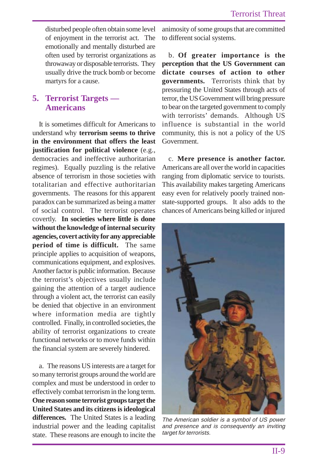<span id="page-32-0"></span>disturbed people often obtain some level of enjoyment in the terrorist act. The emotionally and mentally disturbed are often used by terrorist organizations as throwaway or disposable terrorists. They usually drive the truck bomb or become martyrs for a cause.

# **5. Terrorist Targets — Americans**

It is sometimes difficult for Americans to understand why **terrorism seems to thrive in the environment that offers the least justification for political violence** (e.g., democracies and ineffective authoritarian regimes). Equally puzzling is the relative absence of terrorism in those societies with totalitarian and effective authoritarian governments. The reasons for this apparent paradox can be summarized as being a matter of social control. The terrorist operates covertly. **In societies where little is done without the knowledge of internal security agencies, covert activity for any appreciable period of time is difficult.** The same principle applies to acquisition of weapons, communications equipment, and explosives. Another factor is public information. Because the terrorist's objectives usually include gaining the attention of a target audience through a violent act, the terrorist can easily be denied that objective in an environment where information media are tightly controlled. Finally, in controlled societies, the ability of terrorist organizations to create functional networks or to move funds within the financial system are severely hindered.

a. The reasons US interests are a target for so many terrorist groups around the world are complex and must be understood in order to effectively combat terrorism in the long term. **One reason some terrorist groups target the United States and its citizens is ideological differences.** The United States is a leading industrial power and the leading capitalist state. These reasons are enough to incite the

animosity of some groups that are committed to different social systems.

b. **Of greater importance is the perception that the US Government can dictate courses of action to other governments.** Terrorists think that by pressuring the United States through acts of terror, the US Government will bring pressure to bear on the targeted government to comply with terrorists' demands. Although US influence is substantial in the world community, this is not a policy of the US Government.

c. **Mere presence is another factor.** Americans are all over the world in capacities ranging from diplomatic service to tourists. This availability makes targeting Americans easy even for relatively poorly trained nonstate-supported groups. It also adds to the chances of Americans being killed or injured



The American soldier is a symbol of US power and presence and is consequently an inviting target for terrorists.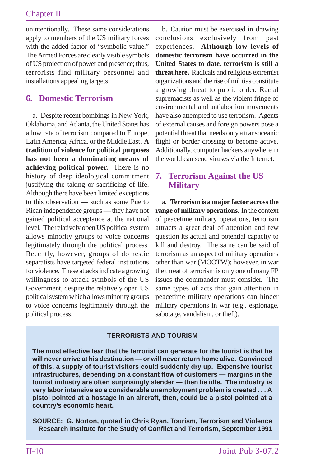<span id="page-33-0"></span>unintentionally. These same considerations apply to members of the US military forces with the added factor of "symbolic value." The Armed Forces are clearly visible symbols of US projection of power and presence; thus, terrorists find military personnel and installations appealing targets.

### **6. Domestic Terrorism**

a. Despite recent bombings in New York, Oklahoma, and Atlanta, the United States has a low rate of terrorism compared to Europe, Latin America, Africa, or the Middle East. **A tradition of violence for political purposes has not been a dominating means of achieving political power.** There is no history of deep ideological commitment justifying the taking or sacrificing of life. Although there have been limited exceptions to this observation — such as some Puerto Rican independence groups — they have not gained political acceptance at the national level. The relatively open US political system allows minority groups to voice concerns legitimately through the political process. Recently, however, groups of domestic separatists have targeted federal institutions for violence. These attacks indicate a growing willingness to attack symbols of the US Government, despite the relatively open US political system which allows minority groups to voice concerns legitimately through the political process.

b. Caution must be exercised in drawing conclusions exclusively from past experiences. **Although low levels of domestic terrorism have occurred in the United States to date, terrorism is still a threat here.** Radicals and religious extremist organizations and the rise of militias constitute a growing threat to public order. Racial supremacists as well as the violent fringe of environmental and antiabortion movements have also attempted to use terrorism. Agents of external causes and foreign powers pose a potential threat that needs only a transoceanic flight or border crossing to become active. Additionally, computer hackers anywhere in the world can send viruses via the Internet.

# **7. Terrorism Against the US Military**

a. **Terrorism is a major factor across the range of military operations.** In the context of peacetime military operations, terrorism attracts a great deal of attention and few question its actual and potential capacity to kill and destroy. The same can be said of terrorism as an aspect of military operations other than war (MOOTW); however, in war the threat of terrorism is only one of many FP issues the commander must consider. The same types of acts that gain attention in peacetime military operations can hinder military operations in war (e.g., espionage, sabotage, vandalism, or theft).

#### **TERRORISTS AND TOURISM**

**The most effective fear that the terrorist can generate for the tourist is that he will never arrive at his destination — or will never return home alive. Convinced of this, a supply of tourist visitors could suddenly dry up. Expensive tourist infrastructures, depending on a constant flow of customers — margins in the tourist industry are often surprisingly slender — then lie idle. The industry is very labor intensive so a considerable unemployment problem is created . . . A pistol pointed at a hostage in an aircraft, then, could be a pistol pointed at a country's economic heart.**

**SOURCE: G. Norton, quoted in Chris Ryan, Tourism, Terrorism and Violence Research Institute for the Study of Conflict and Terrorism, September 1991**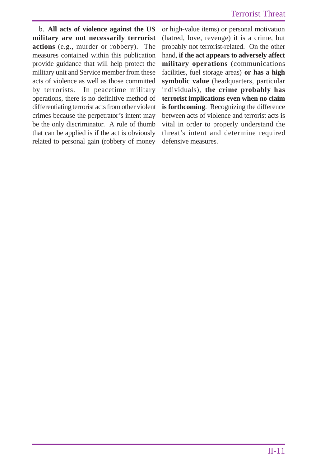b. **All acts of violence against the US military are not necessarily terrorist actions** (e.g., murder or robbery). The measures contained within this publication provide guidance that will help protect the military unit and Service member from these acts of violence as well as those committed by terrorists. In peacetime military operations, there is no definitive method of differentiating terrorist acts from other violent crimes because the perpetrator's intent may be the only discriminator. A rule of thumb that can be applied is if the act is obviously related to personal gain (robbery of money or high-value items) or personal motivation (hatred, love, revenge) it is a crime, but probably not terrorist-related. On the other hand, **if the act appears to adversely affect military operations** (communications facilities, fuel storage areas) **or has a high symbolic value** (headquarters, particular individuals), **the crime probably has terrorist implications even when no claim is forthcoming**. Recognizing the difference between acts of violence and terrorist acts is vital in order to properly understand the threat's intent and determine required defensive measures.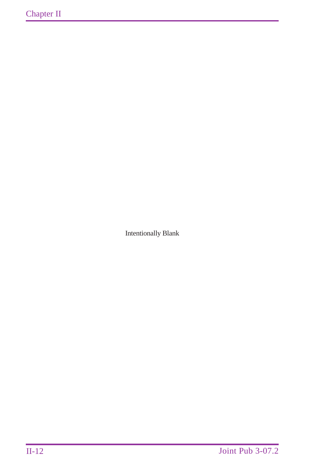Intentionally Blank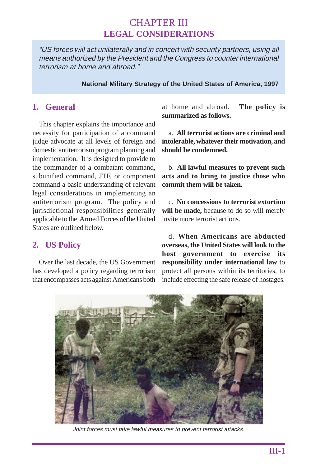# CHAPTER III **LEGAL CONSIDERATIONS**

"US forces will act unilaterally and in concert with security partners, using all means authorized by the President and the Congress to counter international terrorism at home and abroad."

**National Military Strategy of the United States of America, 1997**

### **1. General**

This chapter explains the importance and necessity for participation of a command judge advocate at all levels of foreign and domestic antiterrorism program planning and implementation. It is designed to provide to the commander of a combatant command, subunified command, JTF, or component command a basic understanding of relevant legal considerations in implementing an antiterrorism program. The policy and jurisdictional responsibilities generally applicable to the Armed Forces of the United States are outlined below.

### **2. US Policy**

Over the last decade, the US Government has developed a policy regarding terrorism that encompasses acts against Americans both

at home and abroad. **The policy is summarized as follows.**

a. **All terrorist actions are criminal and intolerable, whatever their motivation, and should be condemned.**

b. **All lawful measures to prevent such acts and to bring to justice those who commit them will be taken.**

c. **No concessions to terrorist extortion will be made,** because to do so will merely invite more terrorist actions.

d. **When Americans are abducted overseas, the United States will look to the host government to exercise its responsibility under international law** to protect all persons within its territories, to include effecting the safe release of hostages.



Joint forces must take lawful measures to prevent terrorist attacks.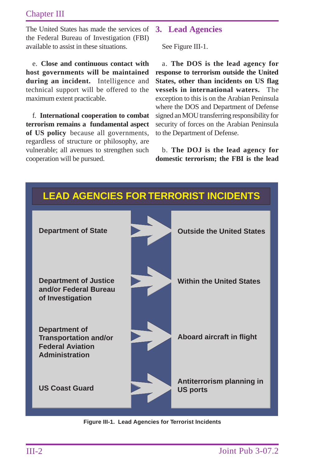### Chapter III

The United States has made the services of the Federal Bureau of Investigation (FBI) available to assist in these situations.

e. **Close and continuous contact with host governments will be maintained during an incident.** Intelligence and technical support will be offered to the maximum extent practicable.

f. **International cooperation to combat terrorism remains a fundamental aspect of US policy** because all governments, regardless of structure or philosophy, are vulnerable; all avenues to strengthen such cooperation will be pursued.

#### **3. Lead Agencies**

See Figure III-1.

a. **The DOS is the lead agency for response to terrorism outside the United States, other than incidents on US flag vessels in international waters.** The exception to this is on the Arabian Peninsula where the DOS and Department of Defense signed an MOU transferring responsibility for security of forces on the Arabian Peninsula to the Department of Defense.

b. **The DOJ is the lead agency for domestic terrorism; the FBI is the lead**



**Figure III-1. Lead Agencies for Terrorist Incidents**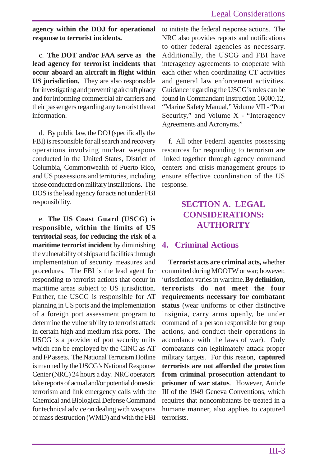**agency within the DOJ for operational response to terrorist incidents.**

c. **The DOT and/or FAA serve as the lead agency for terrorist incidents that occur aboard an aircraft in flight within US jurisdiction.** They are also responsible for investigating and preventing aircraft piracy and for informing commercial air carriers and their passengers regarding any terrorist threat information.

d. By public law, the DOJ (specifically the FBI) is responsible for all search and recovery operations involving nuclear weapons conducted in the United States, District of Columbia, Commonwealth of Puerto Rico, and US possessions and territories, including those conducted on military installations. The DOS is the lead agency for acts not under FBI responsibility.

e. **The US Coast Guard (USCG) is responsible, within the limits of US territorial seas, for reducing the risk of a maritime terrorist incident** by diminishing the vulnerability of ships and facilities through implementation of security measures and procedures. The FBI is the lead agent for responding to terrorist actions that occur in maritime areas subject to US jurisdiction. Further, the USCG is responsible for AT planning in US ports and the implementation of a foreign port assessment program to determine the vulnerability to terrorist attack in certain high and medium risk ports. The USCG is a provider of port security units which can be employed by the CINC as AT and FP assets. The National Terrorism Hotline is manned by the USCG's National Response Center (NRC) 24 hours a day. NRC operators take reports of actual and/or potential domestic terrorism and link emergency calls with the Chemical and Biological Defense Command for technical advice on dealing with weapons of mass destruction (WMD) and with the FBI

to initiate the federal response actions. The NRC also provides reports and notifications to other federal agencies as necessary. Additionally, the USCG and FBI have interagency agreements to cooperate with each other when coordinating CT activities and general law enforcement activities. Guidance regarding the USCG's roles can be found in Commandant Instruction 16000.12, "Marine Safety Manual," Volume VII - "Port Security," and Volume X - "Interagency Agreements and Acronyms."

f. All other Federal agencies possessing resources for responding to terrorism are linked together through agency command centers and crisis management groups to ensure effective coordination of the US response.

### **SECTION A. LEGAL CONSIDERATIONS: AUTHORITY**

#### **4. Criminal Actions**

**Terrorist acts are criminal acts,** whether committed during MOOTW or war; however, jurisdiction varies in wartime. **By definition, terrorists do not meet the four requirements necessary for combatant status** (wear uniforms or other distinctive insignia, carry arms openly, be under command of a person responsible for group actions, and conduct their operations in accordance with the laws of war). Only combatants can legitimately attack proper military targets. For this reason, **captured terrorists are not afforded the protection from criminal prosecution attendant to prisoner of war status**. However, Article III of the 1949 Geneva Conventions, which requires that noncombatants be treated in a humane manner, also applies to captured terrorists.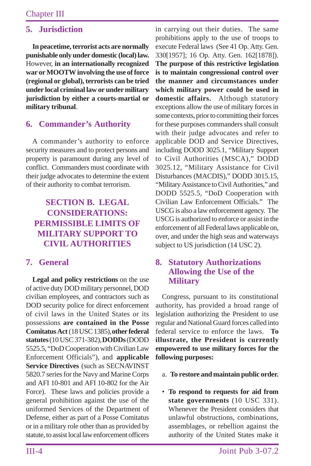### Chapter III

### **5. Jurisdiction**

**In peacetime, terrorist acts are normally punishable only under domestic (local) law.** However, **in an internationally recognized war or MOOTW involving the use of force (regional or global), terrorists can be tried under local criminal law or under military jurisdiction by either a courts-martial or military tribunal**.

#### **6. Commander's Authority**

A commander's authority to enforce security measures and to protect persons and property is paramount during any level of conflict. Commanders must coordinate with their judge advocates to determine the extent of their authority to combat terrorism.

## **SECTION B. LEGAL CONSIDERATIONS: PERMISSIBLE LIMITS OF MILITARY SUPPORT TO CIVIL AUTHORITIES**

#### **7. General**

**Legal and policy restrictions** on the use of active duty DOD military personnel, DOD civilian employees, and contractors such as DOD security police for direct enforcement of civil laws in the United States or its possessions **are contained in the Posse Comitatus Act** (18 USC 1385), **other federal statutes** (10 USC 371-382), **DODDs** (DODD 5525.5, "DoD Cooperation with Civilian Law Enforcement Officials"), and **applicable Service Directives** (such as SECNAVINST 5820.7 series for the Navy and Marine Corps and AFI 10-801 and AFI 10-802 for the Air Force). These laws and policies provide a general prohibition against the use of the uniformed Services of the Department of Defense, either as part of a Posse Comitatus or in a military role other than as provided by statute, to assist local law enforcement officers

in carrying out their duties. The same prohibitions apply to the use of troops to execute Federal laws (See 41 Op. Atty. Gen. 330[1957]; 16 Op. Atty. Gen. 162[1878]). **The purpose of this restrictive legislation is to maintain congressional control over the manner and circumstances under which military power could be used in domestic affairs.** Although statutory exceptions allow the use of military forces in some contexts, prior to committing their forces for these purposes commanders shall consult with their judge advocates and refer to applicable DOD and Service Directives, including DODD 3025.1, "Military Support to Civil Authorities (MSCA)," DODD 3025.12, "Military Assistance for Civil Disturbances (MACDIS)," DODD 3015.15, "Military Assistance to Civil Authorities," and DODD 5525.5, "DoD Cooperation with Civilian Law Enforcement Officials." The USCG is also a law enforcement agency. The USCG is authorized to enforce or assist in the enforcement of all Federal laws applicable on, over, and under the high seas and waterways subject to US jurisdiction (14 USC 2).

### **8. Statutory Authorizations Allowing the Use of the Military**

Congress, pursuant to its constitutional authority, has provided a broad range of legislation authorizing the President to use regular and National Guard forces called into federal service to enforce the laws. **To illustrate, the President is currently empowered to use military forces for the following purposes:**

- a. **To restore and maintain public order.**
- **To respond to requests for aid from state governments** (10 USC 331). Whenever the President considers that unlawful obstructions, combinations, assemblages, or rebellion against the authority of the United States make it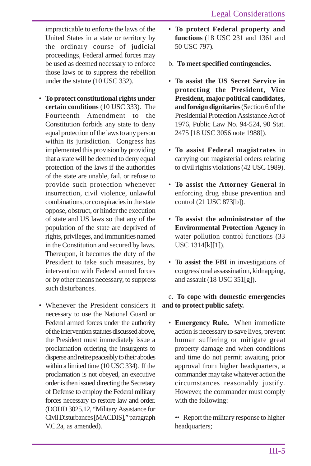impracticable to enforce the laws of the United States in a state or territory by the ordinary course of judicial proceedings, Federal armed forces may be used as deemed necessary to enforce those laws or to suppress the rebellion under the statute (10 USC 332).

- **To protect constitutional rights under certain conditions** (10 USC 333). The Fourteenth Amendment to the Constitution forbids any state to deny equal protection of the laws to any person within its jurisdiction. Congress has implemented this provision by providing that a state will be deemed to deny equal protection of the laws if the authorities of the state are unable, fail, or refuse to provide such protection whenever insurrection, civil violence, unlawful combinations, or conspiracies in the state oppose, obstruct, or hinder the execution of state and US laws so that any of the population of the state are deprived of rights, privileges, and immunities named in the Constitution and secured by laws. Thereupon, it becomes the duty of the President to take such measures, by intervention with Federal armed forces or by other means necessary, to suppress such disturbances.
- Whenever the President considers it necessary to use the National Guard or Federal armed forces under the authority of the intervention statutes discussed above, the President must immediately issue a proclamation ordering the insurgents to disperse and retire peaceably to their abodes within a limited time (10 USC 334). If the proclamation is not obeyed, an executive order is then issued directing the Secretary of Defense to employ the Federal military forces necessary to restore law and order. (DODD 3025.12, "Military Assistance for Civil Disturbances [MACDIS]," paragraph V.C.2a, as amended).
- **To protect Federal property and functions** (18 USC 231 and 1361 and 50 USC 797).
- b. **To meet specified contingencies.**
- **To assist the US Secret Service in protecting the President, Vice President, major political candidates, and foreign dignitaries** (Section 6 of the Presidential Protection Assistance Act of 1976, Public Law No. 94-524, 90 Stat. 2475 [18 USC 3056 note 1988]).
- **To assist Federal magistrates** in carrying out magisterial orders relating to civil rights violations (42 USC 1989).
- **To assist the Attorney General** in enforcing drug abuse prevention and control (21 USC 873[b]).
- **To assist the administrator of the Environmental Protection Agency** in water pollution control functions (33 USC 1314[k][1]).
- **To assist the FBI** in investigations of congressional assassination, kidnapping, and assault (18 USC 351[g]).

#### c. **To cope with domestic emergencies and to protect public safety.**

• **Emergency Rule.** When immediate action is necessary to save lives, prevent human suffering or mitigate great property damage and when conditions and time do not permit awaiting prior approval from higher headquarters, a commander may take whatever action the circumstances reasonably justify. However, the commander must comply with the following:

•• Report the military response to higher headquarters;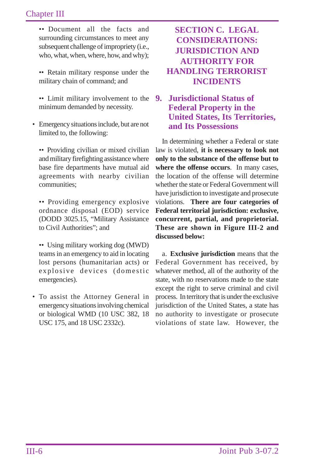### Chapter III

•• Document all the facts and surrounding circumstances to meet any subsequent challenge of impropriety (i.e., who, what, when, where, how, and why);

•• Retain military response under the military chain of command; and

•• Limit military involvement to the minimum demanded by necessity.

• Emergency situations include, but are not limited to, the following:

•• Providing civilian or mixed civilian and military firefighting assistance where base fire departments have mutual aid agreements with nearby civilian communities;

•• Providing emergency explosive ordnance disposal (EOD) service (DODD 3025.15, "Military Assistance to Civil Authorities"; and

•• Using military working dog (MWD) teams in an emergency to aid in locating lost persons (humanitarian acts) or explosive devices (domestic emergencies).

• To assist the Attorney General in emergency situations involving chemical or biological WMD (10 USC 382, 18 USC 175, and 18 USC 2332c).

## **SECTION C. LEGAL CONSIDERATIONS: JURISDICTION AND AUTHORITY FOR HANDLING TERRORIST INCIDENTS**

### **9. Jurisdictional Status of Federal Property in the United States, Its Territories, and Its Possessions**

In determining whether a Federal or state law is violated, **it is necessary to look not only to the substance of the offense but to where the offense occurs**. In many cases, the location of the offense will determine whether the state or Federal Government will have jurisdiction to investigate and prosecute violations. **There are four categories of Federal territorial jurisdiction: exclusive, concurrent, partial, and proprietorial. These are shown in Figure III-2 and discussed below:**

a. **Exclusive jurisdiction** means that the Federal Government has received, by whatever method, all of the authority of the state, with no reservations made to the state except the right to serve criminal and civil process. In territory that is under the exclusive jurisdiction of the United States, a state has no authority to investigate or prosecute violations of state law. However, the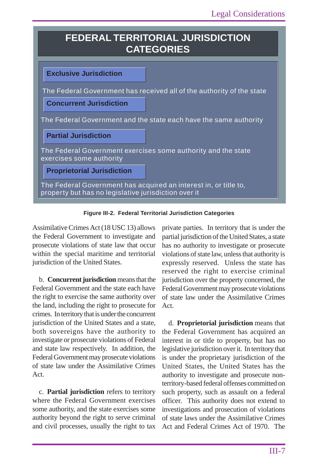





Assimilative Crimes Act (18 USC 13) allows the Federal Government to investigate and prosecute violations of state law that occur within the special maritime and territorial jurisdiction of the United States.

b. **Concurrent jurisdiction** means that the Federal Government and the state each have the right to exercise the same authority over the land, including the right to prosecute for crimes. In territory that is under the concurrent jurisdiction of the United States and a state, both sovereigns have the authority to investigate or prosecute violations of Federal and state law respectively. In addition, the Federal Government may prosecute violations of state law under the Assimilative Crimes Act.

c. **Partial jurisdiction** refers to territory where the Federal Government exercises some authority, and the state exercises some authority beyond the right to serve criminal and civil processes, usually the right to tax

private parties. In territory that is under the partial jurisdiction of the United States, a state has no authority to investigate or prosecute violations of state law, unless that authority is expressly reserved. Unless the state has reserved the right to exercise criminal jurisdiction over the property concerned, the Federal Government may prosecute violations of state law under the Assimilative Crimes Act.

d. **Proprietorial jurisdiction** means that the Federal Government has acquired an interest in or title to property, but has no legislative jurisdiction over it. In territory that is under the proprietary jurisdiction of the United States, the United States has the authority to investigate and prosecute nonterritory-based federal offenses committed on such property, such as assault on a federal officer. This authority does not extend to investigations and prosecution of violations of state laws under the Assimilative Crimes Act and Federal Crimes Act of 1970. The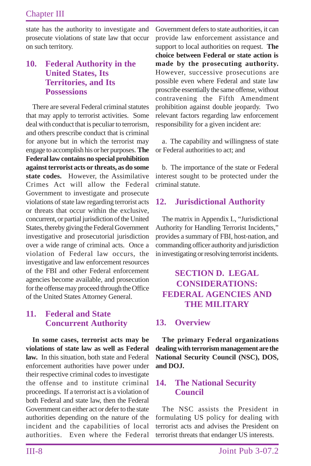state has the authority to investigate and prosecute violations of state law that occur on such territory.

### **10. Federal Authority in the United States, Its Territories, and Its Possessions**

There are several Federal criminal statutes that may apply to terrorist activities. Some deal with conduct that is peculiar to terrorism, and others prescribe conduct that is criminal for anyone but in which the terrorist may engage to accomplish his or her purposes. **The Federal law contains no special prohibition against terrorist acts or threats, as do some state codes.** However, the Assimilative Crimes Act will allow the Federal Government to investigate and prosecute violations of state law regarding terrorist acts or threats that occur within the exclusive, concurrent, or partial jurisdiction of the United States, thereby giving the Federal Government investigative and prosecutorial jurisdiction over a wide range of criminal acts. Once a violation of Federal law occurs, the investigative and law enforcement resources of the FBI and other Federal enforcement agencies become available, and prosecution for the offense may proceed through the Office of the United States Attorney General.

### **11. Federal and State Concurrent Authority**

**In some cases, terrorist acts may be violations of state law as well as Federal law.** In this situation, both state and Federal enforcement authorities have power under their respective criminal codes to investigate the offense and to institute criminal proceedings. If a terrorist act is a violation of both Federal and state law, then the Federal Government can either act or defer to the state authorities depending on the nature of the incident and the capabilities of local authorities. Even where the Federal Government defers to state authorities, it can provide law enforcement assistance and support to local authorities on request. **The choice between Federal or state action is made by the prosecuting authority.** However, successive prosecutions are possible even where Federal and state law proscribe essentially the same offense, without contravening the Fifth Amendment prohibition against double jeopardy. Two relevant factors regarding law enforcement responsibility for a given incident are:

a. The capability and willingness of state or Federal authorities to act; and

b. The importance of the state or Federal interest sought to be protected under the criminal statute.

### **12. Jurisdictional Authority**

The matrix in Appendix L, "Jurisdictional Authority for Handling Terrorist Incidents," provides a summary of FBI, host-nation, and commanding officer authority and jurisdiction in investigating or resolving terrorist incidents.

## **SECTION D. LEGAL CONSIDERATIONS: FEDERAL AGENCIES AND THE MILITARY**

#### **13. Overview**

**The primary Federal organizations dealing with terrorism management are the National Security Council (NSC), DOS, and DOJ.**

### **14. The National Security Council**

The NSC assists the President in formulating US policy for dealing with terrorist acts and advises the President on terrorist threats that endanger US interests.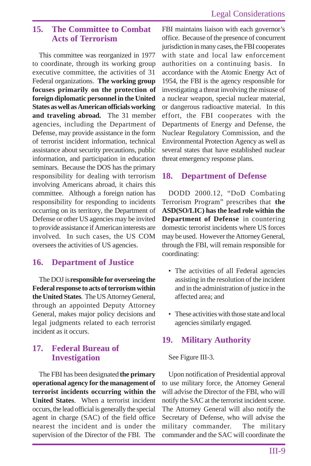### **15. The Committee to Combat Acts of Terrorism**

This committee was reorganized in 1977 to coordinate, through its working group executive committee, the activities of 31 Federal organizations. **The working group focuses primarily on the protection of foreign diplomatic personnel in the United States as well as American officials working and traveling abroad.** The 31 member agencies, including the Department of Defense, may provide assistance in the form of terrorist incident information, technical assistance about security precautions, public information, and participation in education seminars. Because the DOS has the primary responsibility for dealing with terrorism involving Americans abroad, it chairs this committee. Although a foreign nation has responsibility for responding to incidents occurring on its territory, the Department of Defense or other US agencies may be invited to provide assistance if American interests are involved. In such cases, the US COM oversees the activities of US agencies.

## **16. Department of Justice**

The DOJ is **responsible for overseeing the Federal response to acts of terrorism within the United States**. The US Attorney General, through an appointed Deputy Attorney General, makes major policy decisions and legal judgments related to each terrorist incident as it occurs.

### **17. Federal Bureau of Investigation**

The FBI has been designated **the primary operational agency for the management of terrorist incidents occurring within the United States**. When a terrorist incident occurs, the lead official is generally the special agent in charge (SAC) of the field office nearest the incident and is under the supervision of the Director of the FBI. The

FBI maintains liaison with each governor's office. Because of the presence of concurrent jurisdiction in many cases, the FBI cooperates with state and local law enforcement authorities on a continuing basis. In accordance with the Atomic Energy Act of 1954, the FBI is the agency responsible for investigating a threat involving the misuse of a nuclear weapon, special nuclear material, or dangerous radioactive material. In this effort, the FBI cooperates with the Departments of Energy and Defense, the Nuclear Regulatory Commission, and the Environmental Protection Agency as well as several states that have established nuclear threat emergency response plans.

#### **18. Department of Defense**

DODD 2000.12, "DoD Combating Terrorism Program" prescribes that **the ASD(SO/LIC) has the lead role within the Department of Defense** in countering domestic terrorist incidents where US forces may be used. However the Attorney General, through the FBI, will remain responsible for coordinating:

- The activities of all Federal agencies assisting in the resolution of the incident and in the administration of justice in the affected area; and
- These activities with those state and local agencies similarly engaged.

## **19. Military Authority**

#### See Figure III-3.

Upon notification of Presidential approval to use military force, the Attorney General will advise the Director of the FBI, who will notify the SAC at the terrorist incident scene. The Attorney General will also notify the Secretary of Defense, who will advise the military commander. The military commander and the SAC will coordinate the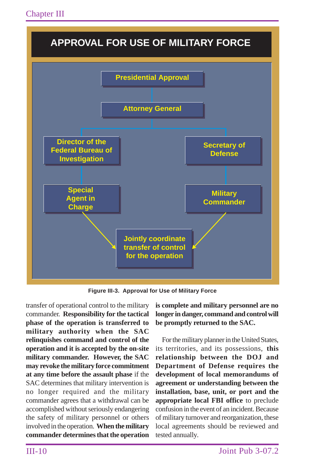

**Figure III-3. Approval for Use of Military Force**

transfer of operational control to the military commander. **Responsibility for the tactical phase of the operation is transferred to military authority when the SAC relinquishes command and control of the operation and it is accepted by the on-site military commander. However, the SAC may revoke the military force commitment at any time before the assault phase** if the SAC determines that military intervention is no longer required and the military commander agrees that a withdrawal can be accomplished without seriously endangering the safety of military personnel or others involved in the operation. **When the military commander determines that the operation** **is complete and military personnel are no longer in danger, command and control will be promptly returned to the SAC.**

For the military planner in the United States, its territories, and its possessions, **this relationship between the DOJ and Department of Defense requires the development of local memorandums of agreement or understanding between the installation, base, unit, or port and the appropriate local FBI office** to preclude confusion in the event of an incident. Because of military turnover and reorganization, these local agreements should be reviewed and tested annually.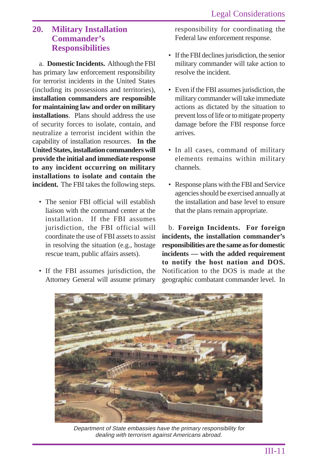### **20. Military Installation Commander's Responsibilities**

a. **Domestic Incidents.** Although the FBI has primary law enforcement responsibility for terrorist incidents in the United States (including its possessions and territories), **installation commanders are responsible for maintaining law and order on military installations**. Plans should address the use of security forces to isolate, contain, and neutralize a terrorist incident within the capability of installation resources. **In the United States, installation commanders will provide the initial and immediate response to any incident occurring on military installations to isolate and contain the incident.** The FBI takes the following steps.

- The senior FBI official will establish liaison with the command center at the installation. If the FBI assumes jurisdiction, the FBI official will coordinate the use of FBI assets to assist in resolving the situation (e.g., hostage rescue team, public affairs assets).
- If the FBI assumes jurisdiction, the Attorney General will assume primary

responsibility for coordinating the Federal law enforcement response.

- If the FBI declines jurisdiction, the senior military commander will take action to resolve the incident.
- Even if the FBI assumes jurisdiction, the military commander will take immediate actions as dictated by the situation to prevent loss of life or to mitigate property damage before the FBI response force arrives.
- In all cases, command of military elements remains within military channels.
- Response plans with the FBI and Service agencies should be exercised annually at the installation and base level to ensure that the plans remain appropriate.

b. **Foreign Incidents. For foreign incidents, the installation commander's responsibilities are the same as for domestic incidents — with the added requirement to notify the host nation and DOS.** Notification to the DOS is made at the geographic combatant commander level. In



Department of State embassies have the primary responsibility for dealing with terrorism against Americans abroad.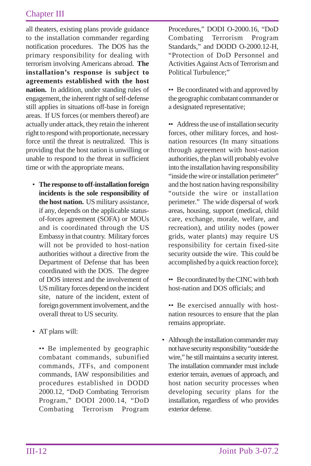all theaters, existing plans provide guidance to the installation commander regarding notification procedures. The DOS has the primary responsibility for dealing with terrorism involving Americans abroad. **The installation's response is subject to agreements established with the host nation.** In addition, under standing rules of engagement, the inherent right of self-defense still applies in situations off-base in foreign areas. If US forces (or members thereof) are actually under attack, they retain the inherent right to respond with proportionate, necessary force until the threat is neutralized. This is providing that the host nation is unwilling or unable to respond to the threat in sufficient time or with the appropriate means.

- **The response to off-installation foreign incidents is the sole responsibility of the host nation.** US military assistance, if any, depends on the applicable statusof-forces agreement (SOFA) or MOUs and is coordinated through the US Embassy in that country. Military forces will not be provided to host-nation authorities without a directive from the Department of Defense that has been coordinated with the DOS. The degree of DOS interest and the involvement of US military forces depend on the incident site, nature of the incident, extent of foreign government involvement, and the overall threat to US security.
- AT plans will:

•• Be implemented by geographic combatant commands, subunified commands, JTFs, and component commands, IAW responsibilities and procedures established in DODD 2000.12, "DoD Combating Terrorism Program," DODI 2000.14, "DoD Combating Terrorism Program Procedures," DODI O-2000.16, "DoD Combating Terrorism Program Standards," and DODD O-2000.12-H, "Protection of DoD Personnel and Activities Against Acts of Terrorism and Political Turbulence;"

•• Be coordinated with and approved by the geographic combatant commander or a designated representative;

•• Address the use of installation security forces, other military forces, and hostnation resources (In many situations through agreement with host-nation authorities, the plan will probably evolve into the installation having responsibility "inside the wire or installation perimeter" and the host nation having responsibility "outside the wire or installation perimeter." The wide dispersal of work areas, housing, support (medical, child care, exchange, morale, welfare, and recreation), and utility nodes (power grids, water plants) may require US responsibility for certain fixed-site security outside the wire. This could be accomplished by a quick reaction force);

- •• Be coordinated by the CINC with both host-nation and DOS officials; and
- •• Be exercised annually with hostnation resources to ensure that the plan remains appropriate.
- Although the installation commander may not have security responsibility "outside the wire," he still maintains a security interest. The installation commander must include exterior terrain, avenues of approach, and host nation security processes when developing security plans for the installation, regardless of who provides exterior defense.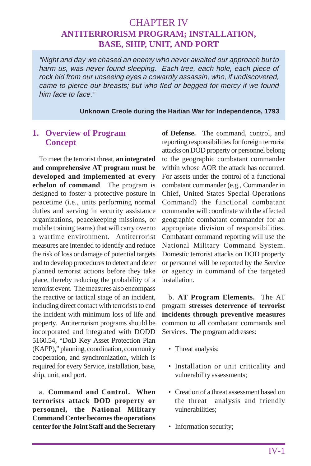# CHAPTER IV **ANTITERRORISM PROGRAM; INSTALLATION, BASE, SHIP, UNIT, AND PORT**

"Night and day we chased an enemy who never awaited our approach but to harm us, was never found sleeping. Each tree, each hole, each piece of rock hid from our unseeing eyes a cowardly assassin, who, if undiscovered, came to pierce our breasts; but who fled or begged for mercy if we found him face to face."

#### **Unknown Creole during the Haitian War for Independence, 1793**

#### **1. Overview of Program Concept**

To meet the terrorist threat, **an integrated and comprehensive AT program must be developed and implemented at every echelon of command**. The program is designed to foster a protective posture in peacetime (i.e., units performing normal duties and serving in security assistance organizations, peacekeeping missions, or mobile training teams) that will carry over to a wartime environment. Antiterrorist measures are intended to identify and reduce the risk of loss or damage of potential targets and to develop procedures to detect and deter planned terrorist actions before they take place, thereby reducing the probability of a terrorist event. The measures also encompass the reactive or tactical stage of an incident, including direct contact with terrorists to end the incident with minimum loss of life and property. Antiterrorism programs should be incorporated and integrated with DODD 5160.54, "DoD Key Asset Protection Plan (KAPP)," planning, coordination, community cooperation, and synchronization, which is required for every Service, installation, base, ship, unit, and port.

a. **Command and Control. When terrorists attack DOD property or personnel, the National Military Command Center becomes the operations center for the Joint Staff and the Secretary**

**of Defense.** The command, control, and reporting responsibilities for foreign terrorist attacks on DOD property or personnel belong to the geographic combatant commander within whose AOR the attack has occurred. For assets under the control of a functional combatant commander (e.g., Commander in Chief, United States Special Operations Command) the functional combatant commander will coordinate with the affected geographic combatant commander for an appropriate division of responsibilities. Combatant command reporting will use the National Military Command System. Domestic terrorist attacks on DOD property or personnel will be reported by the Service or agency in command of the targeted installation.

b. **AT Program Elements.** The AT program **stresses deterrence of terrorist incidents through preventive measures** common to all combatant commands and Services. The program addresses:

- Threat analysis;
- Installation or unit criticality and vulnerability assessments;
- Creation of a threat assessment based on the threat analysis and friendly vulnerabilities;
- Information security;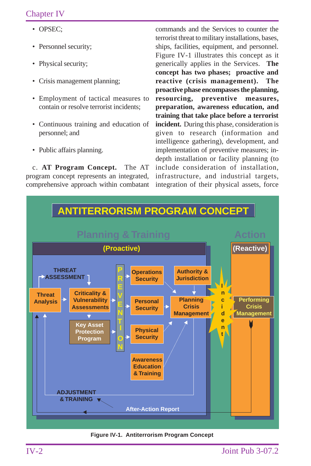## Chapter IV

- OPSEC;
- Personnel security;
- Physical security;
- Crisis management planning;
- Employment of tactical measures to contain or resolve terrorist incidents;
- Continuous training and education of personnel; and
- Public affairs planning.

c. **AT Program Concept.** The AT program concept represents an integrated, comprehensive approach within combatant commands and the Services to counter the terrorist threat to military installations, bases, ships, facilities, equipment, and personnel. Figure IV-1 illustrates this concept as it generically applies in the Services. **The concept has two phases; proactive and reactive (crisis management). The proactive phase encompasses the planning, resourcing, preventive measures, preparation, awareness education, and training that take place before a terrorist incident.** During this phase, consideration is given to research (information and intelligence gathering), development, and implementation of preventive measures; indepth installation or facility planning (to include consideration of installation, infrastructure, and industrial targets, integration of their physical assets, force



**Figure IV-1. Antiterrorism Program Concept**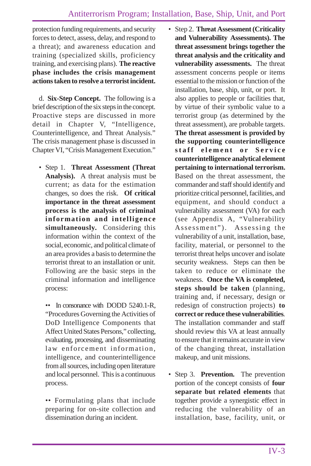protection funding requirements, and security forces to detect, assess, delay, and respond to a threat); and awareness education and training (specialized skills, proficiency training, and exercising plans). **The reactive phase includes the crisis management actions taken to resolve a terrorist incident.**

d. **Six-Step Concept.** The following is a brief description of the six steps in the concept. Proactive steps are discussed in more detail in Chapter V, "Intelligence, Counterintelligence, and Threat Analysis." The crisis management phase is discussed in Chapter VI, "Crisis Management Execution."

• Step 1. **Threat Assessment (Threat Analysis).** A threat analysis must be current; as data for the estimation changes, so does the risk. **Of critical importance in the threat assessment process is the analysis of criminal information and intelligence simultaneously.** Considering this information within the context of the social, economic, and political climate of an area provides a basis to determine the terrorist threat to an installation or unit. Following are the basic steps in the criminal information and intelligence process:

•• In consonance with DODD 5240.1-R, "Procedures Governing the Activities of DoD Intelligence Components that Affect United States Persons," collecting, evaluating, processing, and disseminating law enforcement information, intelligence, and counterintelligence from all sources, including open literature and local personnel. This is a continuous process.

- •• Formulating plans that include preparing for on-site collection and dissemination during an incident.
- Step 2. **Threat Assessment (Criticality and Vulnerability Assessments). The threat assessment brings together the threat analysis and the criticality and vulnerability assessments.** The threat assessment concerns people or items essential to the mission or function of the installation, base, ship, unit, or port. It also applies to people or facilities that, by virtue of their symbolic value to a terrorist group (as determined by the threat assessment), are probable targets. **The threat assessment is provided by the supporting counterintelligence staff element or Service counterintelligence analytical element pertaining to international terrorism.** Based on the threat assessment, the commander and staff should identify and prioritize critical personnel, facilities, and equipment, and should conduct a vulnerability assessment (VA) for each (see Appendix A, "Vulnerability Assessment"). Assessing the vulnerability of a unit, installation, base, facility, material, or personnel to the terrorist threat helps uncover and isolate security weakness. Steps can then be taken to reduce or eliminate the weakness. **Once the VA is completed, steps should be taken** (planning, training and, if necessary, design or redesign of construction projects) **to correct or reduce these vulnerabilities**. The installation commander and staff should review this VA at least annually to ensure that it remains accurate in view of the changing threat, installation makeup, and unit missions.
- Step 3. **Prevention.** The prevention portion of the concept consists of **four separate but related elements** that together provide a synergistic effect in reducing the vulnerability of an installation, base, facility, unit, or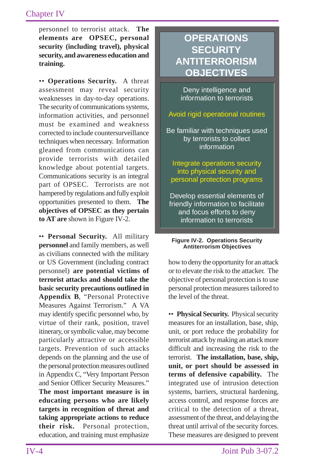personnel to terrorist attack. **The elements are OPSEC, personal security (including travel), physical security, and awareness education and training.**

•• **Operations Security.** A threat assessment may reveal security weaknesses in day-to-day operations. The security of communications systems, information activities, and personnel must be examined and weakness corrected to include countersurveillance techniques when necessary. Information gleaned from communications can provide terrorists with detailed knowledge about potential targets. Communications security is an integral part of OPSEC. Terrorists are not hampered by regulations and fully exploit opportunities presented to them. **The objectives of OPSEC as they pertain to AT are** shown in Figure IV-2.

•• **Personal Security.** All military **personnel** and family members, as well as civilians connected with the military or US Government (including contract personnel) **are potential victims of terrorist attacks and should take the basic security precautions outlined in Appendix B**, "Personal Protective Measures Against Terrorism." A VA may identify specific personnel who, by virtue of their rank, position, travel itinerary, or symbolic value, may become particularly attractive or accessible targets. Prevention of such attacks depends on the planning and the use of the personal protection measures outlined in Appendix C, "Very Important Person and Senior Officer Security Measures." **The most important measure is in educating persons who are likely targets in recognition of threat and taking appropriate actions to reduce their risk.** Personal protection, education, and training must emphasize

# **OPERATIONS SECURITY ANTITERRORISM OBJECTIVES**

Deny intelligence and information to terrorists

Avoid rigid operational routines

Be familiar with techniques used by terrorists to collect information

Integrate operations security into physical security and personal protection programs

Develop essential elements of friendly information to facilitate and focus efforts to deny information to terrorists

#### **Figure IV-2. Operations Security Antiterrorism Objectives**

how to deny the opportunity for an attack or to elevate the risk to the attacker. The objective of personal protection is to use personal protection measures tailored to the level of the threat.

•• **Physical Security.** Physical security measures for an installation, base, ship, unit, or port reduce the probability for terrorist attack by making an attack more difficult and increasing the risk to the terrorist. **The installation, base, ship, unit, or port should be assessed in terms of defensive capability.** The integrated use of intrusion detection systems, barriers, structural hardening, access control, and response forces are critical to the detection of a threat, assessment of the threat, and delaying the threat until arrival of the security forces. These measures are designed to prevent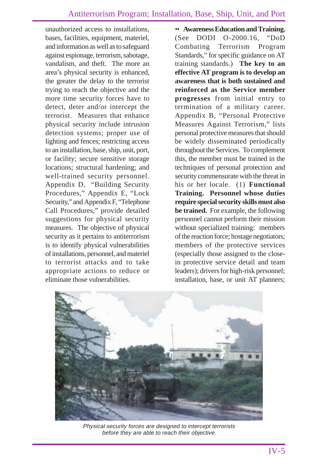unauthorized access to installations, bases, facilities, equipment, materiel, and information as well as to safeguard against espionage, terrorism, sabotage, vandalism, and theft. The more an area's physical security is enhanced, the greater the delay to the terrorist trying to reach the objective and the more time security forces have to detect, deter and/or intercept the terrorist. Measures that enhance physical security include intrusion detection systems; proper use of lighting and fences; restricting access to an installation, base, ship, unit, port, or facility; secure sensitive storage locations; structural hardening; and well-trained security personnel. Appendix D, "Building Security Procedures," Appendix E, "Lock Security," and Appendix F, "Telephone Call Procedures," provide detailed suggestions for physical security measures. The objective of physical security as it pertains to antiterrorism is to identify physical vulnerabilities of installations, personnel, and materiel to terrorist attacks and to take appropriate actions to reduce or eliminate those vulnerabilities.

•• **Awareness Education and Training.** (See DODI O-2000.16, "DoD Combating Terrorism Program Standards," for specific guidance on AT training standards.) **The key to an effective AT program is to develop an awareness that is both sustained and reinforced as the Service member progresses** from initial entry to termination of a military career. Appendix B, "Personal Protective Measures Against Terrorism," lists personal protective measures that should be widely disseminated periodically throughout the Services. To complement this, the member must be trained in the techniques of personal protection and security commensurate with the threat in his or her locale. (1) **Functional Training. Personnel whose duties require special security skills must also be trained.** For example, the following personnel cannot perform their mission without specialized training: members of the reaction force; hostage negotiators; members of the protective services (especially those assigned to the closein protective service detail and team leaders); drivers for high-risk personnel; installation, base, or unit AT planners;



Physical security forces are designed to intercept terrorists before they are able to reach their objective.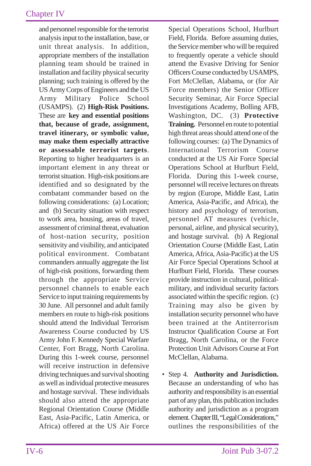and personnel responsible for the terrorist analysis input to the installation, base, or unit threat analysis. In addition, appropriate members of the installation planning team should be trained in installation and facility physical security planning; such training is offered by the US Army Corps of Engineers and the US Army Military Police School (USAMPS). (2) **High-Risk Positions.** These are **key and essential positions that, because of grade, assignment, travel itinerary, or symbolic value, may make them especially attractive or assessable terrorist targets**. Reporting to higher headquarters is an important element in any threat or terrorist situation. High-risk positions are identified and so designated by the combatant commander based on the following considerations: (a) Location; and (b) Security situation with respect to work area, housing, areas of travel, assessment of criminal threat, evaluation of host-nation security, position sensitivity and visibility, and anticipated political environment. Combatant commanders annually aggregate the list of high-risk positions, forwarding them through the appropriate Service personnel channels to enable each Service to input training requirements by 30 June. All personnel and adult family members en route to high-risk positions should attend the Individual Terrorism Awareness Course conducted by US Army John F. Kennedy Special Warfare Center, Fort Bragg, North Carolina. During this 1-week course, personnel will receive instruction in defensive driving techniques and survival shooting as well as individual protective measures and hostage survival. These individuals should also attend the appropriate Regional Orientation Course (Middle East, Asia-Pacific, Latin America, or Africa) offered at the US Air Force

Special Operations School, Hurlburt Field, Florida. Before assuming duties, the Service member who will be required to frequently operate a vehicle should attend the Evasive Driving for Senior Officers Course conducted by USAMPS, Fort McClellan, Alabama, or (for Air Force members) the Senior Officer Security Seminar, Air Force Special Investigations Academy, Bolling AFB, Washington, DC. (3) **Protective Training.** Personnel en route to potential high threat areas should attend one of the following courses: (a) The Dynamics of International Terrorism Course conducted at the US Air Force Special Operations School at Hurlburt Field, Florida. During this 1-week course, personnel will receive lectures on threats by region (Europe, Middle East, Latin America, Asia-Pacific, and Africa), the history and psychology of terrorism, personnel AT measures (vehicle, personal, airline, and physical security), and hostage survival. (b) A Regional Orientation Course (Middle East, Latin America, Africa, Asia-Pacific) at the US Air Force Special Operations School at Hurlburt Field, Florida. These courses provide instruction in cultural, politicalmilitary, and individual security factors associated within the specific region. (c) Training may also be given by installation security personnel who have been trained at the Antiterrorism Instructor Qualification Course at Fort Bragg, North Carolina, or the Force Protection Unit Advisors Course at Fort McClellan, Alabama.

• Step 4. **Authority and Jurisdiction.** Because an understanding of who has authority and responsibility is an essential part of any plan, this publication includes authority and jurisdiction as a program element. Chapter III, "Legal Considerations," outlines the responsibilities of the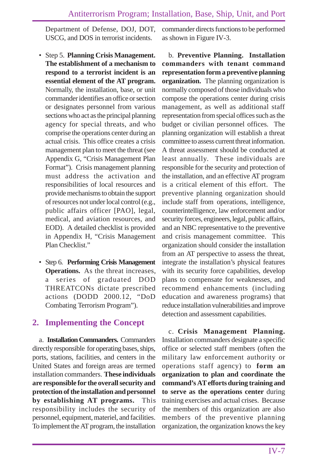Department of Defense, DOJ, DOT, USCG, and DOS in terrorist incidents.

- Step 5. **Planning Crisis Management. The establishment of a mechanism to respond to a terrorist incident is an essential element of the AT program.** Normally, the installation, base, or unit commander identifies an office or section or designates personnel from various sections who act as the principal planning agency for special threats, and who comprise the operations center during an actual crisis. This office creates a crisis management plan to meet the threat (see Appendix G, "Crisis Management Plan Format"). Crisis management planning must address the activation and responsibilities of local resources and provide mechanisms to obtain the support of resources not under local control (e.g., public affairs officer [PAO], legal, medical, and aviation resources, and EOD). A detailed checklist is provided in Appendix H, "Crisis Management Plan Checklist."
- Step 6. **Performing Crisis Management Operations.** As the threat increases, a series of graduated DOD THREATCONs dictate prescribed actions (DODD 2000.12, "DoD Combating Terrorism Program").

## **2. Implementing the Concept**

a. **Installation Commanders.** Commanders directly responsible for operating bases, ships, ports, stations, facilities, and centers in the United States and foreign areas are termed installation commanders. **These individuals are responsible for the overall security and protection of the installation and personnel by establishing AT programs.** This responsibility includes the security of personnel, equipment, materiel, and facilities. To implement the AT program, the installation

commander directs functions to be performed as shown in Figure IV-3.

b. **Preventive Planning. Installation commanders with tenant command representation form a preventive planning organization.** The planning organization is normally composed of those individuals who compose the operations center during crisis management, as well as additional staff representation from special offices such as the budget or civilian personnel offices. The planning organization will establish a threat committee to assess current threat information. A threat assessment should be conducted at least annually. These individuals are responsible for the security and protection of the installation, and an effective AT program is a critical element of this effort. The preventive planning organization should include staff from operations, intelligence, counterintelligence, law enforcement and/or security forces, engineers, legal, public affairs, and an NBC representative to the preventive and crisis management committee. This organization should consider the installation from an AT perspective to assess the threat, integrate the installation's physical features with its security force capabilities, develop plans to compensate for weaknesses, and recommend enhancements (including education and awareness programs) that reduce installation vulnerabilities and improve detection and assessment capabilities.

c. **Crisis Management Planning.** Installation commanders designate a specific office or selected staff members (often the military law enforcement authority or operations staff agency) to **form an organization to plan and coordinate the command's AT efforts during training and to serve as the operations center** during training exercises and actual crises. Because the members of this organization are also members of the preventive planning organization, the organization knows the key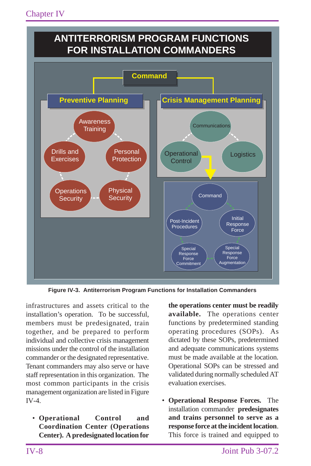

**Figure IV-3. Antiterrorism Program Functions for Installation Commanders**

infrastructures and assets critical to the installation's operation. To be successful, members must be predesignated, train together, and be prepared to perform individual and collective crisis management missions under the control of the installation commander or the designated representative. Tenant commanders may also serve or have staff representation in this organization. The most common participants in the crisis management organization are listed in Figure  $IV-4$ 

• **Operational Control and Coordination Center (Operations Center). A predesignated location for** **the operations center must be readily available.** The operations center functions by predetermined standing operating procedures (SOPs). As dictated by these SOPs, predetermined and adequate communications systems must be made available at the location. Operational SOPs can be stressed and validated during normally scheduled AT evaluation exercises.

• **Operational Response Forces.** The installation commander **predesignates and trains personnel to serve as a response force at the incident location**. This force is trained and equipped to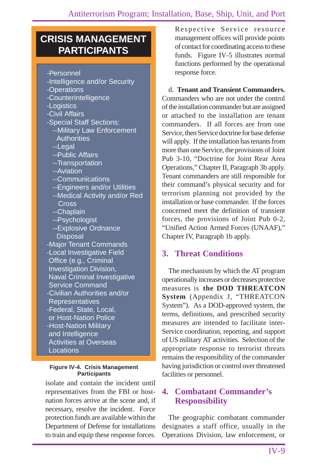# **CRISIS MANAGEMENT PARTICIPANTS**

-Personnel

-Intelligence and/or Security -Operations -Counterintelligence -Logistics -Civil Affairs -Special Staff Sections: --Military Law Enforcement **Authorities** --Legal --Public Affairs --Transportation --Aviation --Communications --Engineers and/or Utilities --Medical Activity and/or Red **Cross** --Chaplain --Psychologist --Explosive Ordnance **Disposal** -Major Tenant Commands -Local Investigative Field Office (e.g., Criminal Investigation Division, Naval Criminal Investigative Service Command -Civilian Authorities and/or **Representatives** -Federal, State, Local, or Host-Nation Police -Host-Nation Military and Intelligence Activities at Overseas Locations

#### **Figure IV-4. Crisis Management Participants**

isolate and contain the incident until representatives from the FBI or hostnation forces arrive at the scene and, if necessary, resolve the incident. Force protection funds are available within the Department of Defense for installations to train and equip these response forces.

Respective Service resource management offices will provide points of contact for coordinating access to these funds. Figure IV-5 illustrates normal functions performed by the operational response force.

d. **Tenant and Transient Commanders.** Commanders who are not under the control of the installation commander but are assigned or attached to the installation are tenant commanders. If all forces are from one Service, then Service doctrine for base defense will apply. If the installation has tenants from more than one Service, the provisions of Joint Pub 3-10, "Doctrine for Joint Rear Area Operations," Chapter II, Paragraph 3b apply. Tenant commanders are still responsible for their command's physical security and for terrorism planning not provided by the installation or base commander. If the forces concerned meet the definition of transient forces, the provisions of Joint Pub 0-2, "Unified Action Armed Forces (UNAAF)," Chapter IV, Paragraph 1b apply.

### **3. Threat Conditions**

The mechanism by which the AT program operationally increases or decreases protective measures is **the DOD THREATCON System** (Appendix J, "THREATCON System"). As a DOD-approved system, the terms, definitions, and prescribed security measures are intended to facilitate inter-Service coordination, reporting, and support of US military AT activities. Selection of the appropriate response to terrorist threats remains the responsibility of the commander having jurisdiction or control over threatened facilities or personnel.

### **4. Combatant Commander's Responsibility**

The geographic combatant commander designates a staff office, usually in the Operations Division, law enforcement, or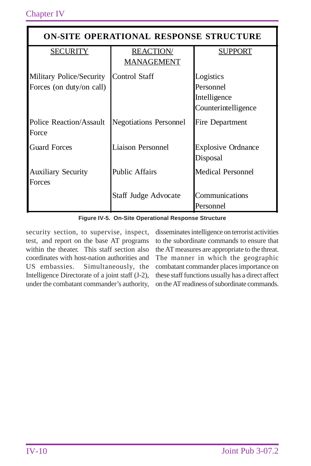| <b>ON-SITE OPERATIONAL RESPONSE STRUCTURE</b> |                               |                                       |
|-----------------------------------------------|-------------------------------|---------------------------------------|
| <b>SECURITY</b>                               | <b>REACTION</b>               | <b>SUPPORT</b>                        |
|                                               | <b>MANAGEMENT</b>             |                                       |
| Military Police/Security                      | Control Staff                 | Logistics                             |
| Forces (on duty/on call)                      |                               | Personnel                             |
|                                               |                               | Intelligence                          |
|                                               |                               | Counterintelligence                   |
| <b>Police Reaction/Assault</b><br>Force       | <b>Negotiations Personnel</b> | Fire Department                       |
| <b>Guard Forces</b>                           | Liaison Personnel             | <b>Explosive Ordnance</b><br>Disposal |
| <b>Auxiliary Security</b><br>Forces           | <b>Public Affairs</b>         | <b>Medical Personnel</b>              |
|                                               | Staff Judge Advocate          | Communications                        |
|                                               |                               | Personnel                             |

**Figure IV-5. On-Site Operational Response Structure**

security section, to supervise, inspect, test, and report on the base AT programs within the theater. This staff section also coordinates with host-nation authorities and US embassies. Simultaneously, the Intelligence Directorate of a joint staff (J-2), under the combatant commander's authority,

disseminates intelligence on terrorist activities to the subordinate commands to ensure that the AT measures are appropriate to the threat. The manner in which the geographic combatant commander places importance on these staff functions usually has a direct affect on the AT readiness of subordinate commands.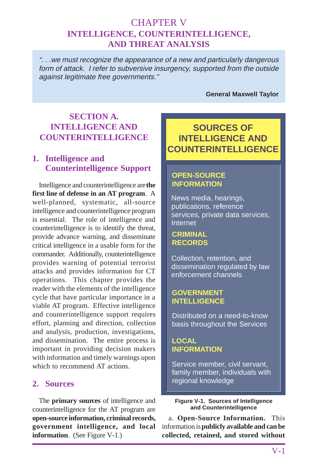# CHAPTER V **INTELLIGENCE, COUNTERINTELLIGENCE, AND THREAT ANALYSIS**

". . .we must recognize the appearance of a new and particularly dangerous form of attack. I refer to subversive insurgency, supported from the outside against legitimate free governments."

## **SECTION A. INTELLIGENCE AND COUNTERINTELLIGENCE**

## **1. Intelligence and Counterintelligence Support**

Intelligence and counterintelligence are **the first line of defense in an AT program**. A well-planned, systematic, all-source intelligence and counterintelligence program is essential. The role of intelligence and counterintelligence is to identify the threat, provide advance warning, and disseminate critical intelligence in a usable form for the commander. Additionally, counterintelligence provides warning of potential terrorist attacks and provides information for CT operations. This chapter provides the reader with the elements of the intelligence cycle that have particular importance in a viable AT program. Effective intelligence and counterintelligence support requires effort, planning and direction, collection and analysis, production, investigations, and dissemination. The entire process is important in providing decision makers with information and timely warnings upon which to recommend AT actions.

#### **2. Sources**

The **primary sources** of intelligence and counterintelligence for the AT program are **open-source information, criminal records, government intelligence, and local information**. (See Figure V-1.)

#### **General Maxwell Taylor**

# **SOURCES OF INTELLIGENCE AND COUNTERINTELLIGENCE**

#### **OPEN-SOURCE INFORMATION**

News media, hearings, publications, reference services, private data services, Internet

#### **CRIMINAL RECORDS**

Collection, retention, and dissemination regulated by law enforcement channels

#### **GOVERNMENT INTELLIGENCE**

Distributed on a need-to-know basis throughout the Services

#### **LOCAL INFORMATION**

Service member, civil servant, family member, individuals with regional knowledge

**Figure V-1. Sources of Intelligence and Counterintelligence**

a. **Open-Source Information.** This information is **publicly available and can be collected, retained, and stored without**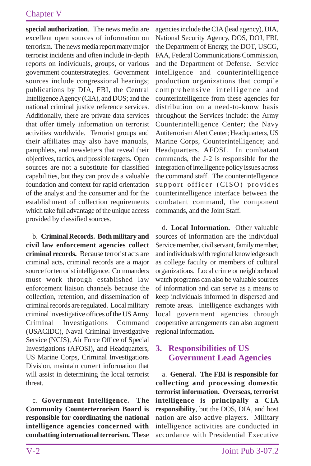**special authorization**. The news media are excellent open sources of information on terrorism. The news media report many major terrorist incidents and often include in-depth reports on individuals, groups, or various government counterstrategies. Government sources include congressional hearings; publications by DIA, FBI, the Central Intelligence Agency (CIA), and DOS; and the national criminal justice reference services. Additionally, there are private data services that offer timely information on terrorist activities worldwide. Terrorist groups and their affiliates may also have manuals, pamphlets, and newsletters that reveal their objectives, tactics, and possible targets. Open sources are not a substitute for classified capabilities, but they can provide a valuable foundation and context for rapid orientation of the analyst and the consumer and for the establishment of collection requirements which take full advantage of the unique access provided by classified sources.

b. **Criminal Records. Both military and civil law enforcement agencies collect criminal records.** Because terrorist acts are criminal acts, criminal records are a major source for terrorist intelligence. Commanders must work through established law enforcement liaison channels because the collection, retention, and dissemination of criminal records are regulated. Local military criminal investigative offices of the US Army Criminal Investigations Command (USACIDC), Naval Criminal Investigative Service (NCIS), Air Force Office of Special Investigations (AFOSI), and Headquarters, US Marine Corps, Criminal Investigations Division, maintain current information that will assist in determining the local terrorist threat.

c. **Government Intelligence. The Community Counterterrorism Board is responsible for coordinating the national intelligence agencies concerned with combatting international terrorism.** These agencies include the CIA (lead agency), DIA, National Security Agency, DOS, DOJ, FBI, the Department of Energy, the DOT, USCG, FAA, Federal Communications Commission, and the Department of Defense. Service intelligence and counterintelligence production organizations that compile comprehensive intelligence and counterintelligence from these agencies for distribution on a need-to-know basis throughout the Services include: the Army Counterintelligence Center; the Navy Antiterrorism Alert Center; Headquarters, US Marine Corps, Counterintelligence; and Headquarters, AFOSI. In combatant commands, the J-2 is responsible for the integration of intelligence policy issues across the command staff. The counterintelligence support officer (CISO) provides counterintelligence interface between the combatant command, the component commands, and the Joint Staff.

d. **Local Information.** Other valuable sources of information are the individual Service member, civil servant, family member, and individuals with regional knowledge such as college faculty or members of cultural organizations. Local crime or neighborhood watch programs can also be valuable sources of information and can serve as a means to keep individuals informed in dispersed and remote areas. Intelligence exchanges with local government agencies through cooperative arrangements can also augment regional information.

### **3. Responsibilities of US Government Lead Agencies**

a. **General. The FBI is responsible for collecting and processing domestic terrorist information. Overseas, terrorist intelligence is principally a CIA responsibility**, but the DOS, DIA, and host nation are also active players. Military intelligence activities are conducted in accordance with Presidential Executive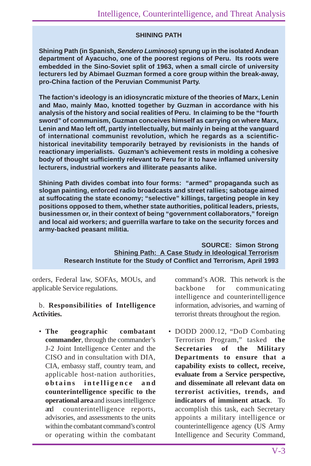#### **SHINING PATH**

**Shining Path (in Spanish, Sendero Luminoso) sprung up in the isolated Andean department of Ayacucho, one of the poorest regions of Peru. Its roots were embedded in the Sino-Soviet split of 1963, when a small circle of university lecturers led by Abimael Guzman formed a core group within the break-away, pro-China faction of the Peruvian Communist Party.**

**The faction's ideology is an idiosyncratic mixture of the theories of Marx, Lenin and Mao, mainly Mao, knotted together by Guzman in accordance with his analysis of the history and social realities of Peru. In claiming to be the "fourth sword" of communism, Guzman conceives himself as carrying on where Marx, Lenin and Mao left off, partly intellectually, but mainly in being at the vanguard of international communist revolution, which he regards as a scientifichistorical inevitability temporarily betrayed by revisionists in the hands of reactionary imperialists. Guzman's achievement rests in molding a cohesive body of thought sufficiently relevant to Peru for it to have inflamed university lecturers, industrial workers and illiterate peasants alike.**

**Shining Path divides combat into four forms: "armed" propaganda such as slogan painting, enforced radio broadcasts and street rallies; sabotage aimed at suffocating the state economy; "selective" killings, targeting people in key positions opposed to them, whether state authorities, political leaders, priests, businessmen or, in their context of being "government collaborators," foreign and local aid workers; and guerrilla warfare to take on the security forces and army-backed peasant militia.**

#### **SOURCE: Simon Strong Shining Path: A Case Study in Ideological Terrorism Research Institute for the Study of Conflict and Terrorism, April 1993**

orders, Federal law, SOFAs, MOUs, and applicable Service regulations.

#### b. **Responsibilities of Intelligence Activities.**

• **The geographic combatant commander**, through the commander's J-2 Joint Intelligence Center and the CISO and in consultation with DIA, CIA, embassy staff, country team, and applicable host-nation authorities, **obtains intelligence and counterintelligence specific to the operational area** and issues intelligence and counterintelligence reports, advisories, and assessments to the units within the combatant command's control or operating within the combatant command's AOR. This network is the backbone for communicating intelligence and counterintelligence information, advisories, and warning of terrorist threats throughout the region.

• DODD 2000.12, "DoD Combating Terrorism Program," tasked **the Secretaries of the Military Departments to ensure that a capability exists to collect, receive, evaluate from a Service perspective, and disseminate all relevant data on terrorist activities, trends, and indicators of imminent attack**. To accomplish this task, each Secretary appoints a military intelligence or counterintelligence agency (US Army Intelligence and Security Command,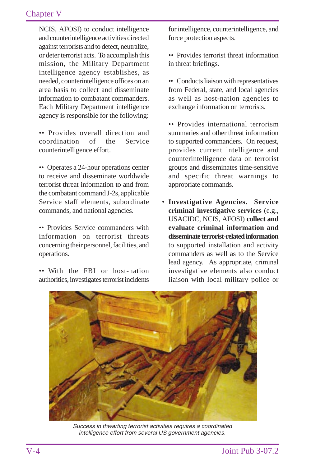NCIS, AFOSI) to conduct intelligence and counterintelligence activities directed against terrorists and to detect, neutralize, or deter terrorist acts. To accomplish this mission, the Military Department intelligence agency establishes, as needed, counterintelligence offices on an area basis to collect and disseminate information to combatant commanders. Each Military Department intelligence agency is responsible for the following:

•• Provides overall direction and coordination of the Service counterintelligence effort.

•• Operates a 24-hour operations center to receive and disseminate worldwide terrorist threat information to and from the combatant command J-2s, applicable Service staff elements, subordinate commands, and national agencies.

•• Provides Service commanders with information on terrorist threats concerning their personnel, facilities, and operations.

•• With the FBI or host-nation authorities, investigates terrorist incidents for intelligence, counterintelligence, and force protection aspects.

•• Provides terrorist threat information in threat briefings.

• Conducts liaison with representatives from Federal, state, and local agencies as well as host-nation agencies to exchange information on terrorists.

•• Provides international terrorism summaries and other threat information to supported commanders. On request, provides current intelligence and counterintelligence data on terrorist groups and disseminates time-sensitive and specific threat warnings to appropriate commands.

• **Investigative Agencies. Service criminal investigative services** (e.g., USACIDC, NCIS, AFOSI) **collect and evaluate criminal information and disseminate terrorist-related information** to supported installation and activity commanders as well as to the Service lead agency. As appropriate, criminal investigative elements also conduct liaison with local military police or



Success in thwarting terrorist activities requires a coordinated intelligence effort from several US government agencies.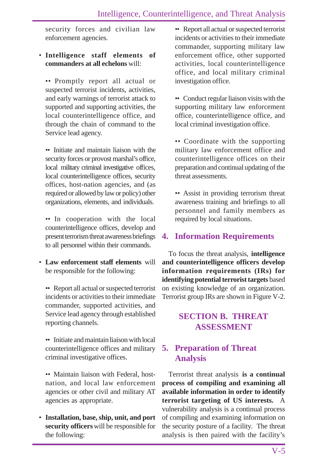security forces and civilian law enforcement agencies.

#### • **Intelligence staff elements of commanders at all echelons** will:

•• Promptly report all actual or suspected terrorist incidents, activities, and early warnings of terrorist attack to supported and supporting activities, the local counterintelligence office, and through the chain of command to the Service lead agency.

•• Initiate and maintain liaison with the security forces or provost marshal's office, local military criminal investigative offices, local counterintelligence offices, security offices, host-nation agencies, and (as required or allowed by law or policy) other organizations, elements, and individuals.

•• In cooperation with the local counterintelligence offices, develop and present terrorism threat awareness briefings to all personnel within their commands.

• **Law enforcement staff elements** will be responsible for the following:

•• Report all actual or suspected terrorist incidents or activities to their immediate commander, supported activities, and Service lead agency through established reporting channels.

•• Initiate and maintain liaison with local counterintelligence offices and military criminal investigative offices.

•• Maintain liaison with Federal, hostnation, and local law enforcement agencies or other civil and military AT agencies as appropriate.

• **Installation, base, ship, unit, and port security officers** will be responsible for the following:

•• Report all actual or suspected terrorist incidents or activities to their immediate commander, supporting military law enforcement office, other supported activities, local counterintelligence office, and local military criminal investigation office.

- •• Conduct regular liaison visits with the supporting military law enforcement office, counterintelligence office, and local criminal investigation office.
- Coordinate with the supporting military law enforcement office and counterintelligence offices on their preparation and continual updating of the threat assessments.

•• Assist in providing terrorism threat awareness training and briefings to all personnel and family members as required by local situations.

# **4. Information Requirements**

To focus the threat analysis, **intelligence and counterintelligence officers develop information requirements (IRs) for identifying potential terrorist targets** based on existing knowledge of an organization. Terrorist group IRs are shown in Figure V-2.

## **SECTION B. THREAT ASSESSMENT**

## **5. Preparation of Threat Analysis**

Terrorist threat analysis **is a continual process of compiling and examining all available information in order to identify terrorist targeting of US interests.** A vulnerability analysis is a continual process of compiling and examining information on the security posture of a facility. The threat analysis is then paired with the facility's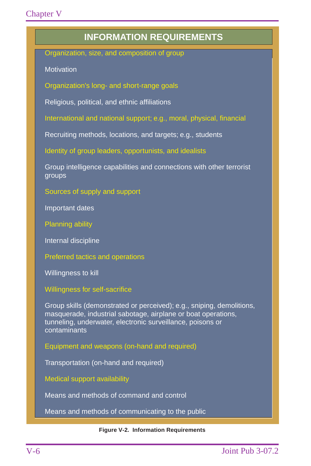# **INFORMATION REQUIREMENTS**

Organization, size, and composition of group

**Motivation** 

Organization's long- and short-range goals

Religious, political, and ethnic affiliations

International and national support; e.g., moral, physical, financial

Recruiting methods, locations, and targets; e.g., students

Identity of group leaders, opportunists, and idealists

Group intelligence capabilities and connections with other terrorist groups

Sources of supply and support

Important dates

Planning ability

Internal discipline

Preferred tactics and operations

Willingness to kill

Willingness for self-sacrifice

Group skills (demonstrated or perceived); e.g., sniping, demolitions, masquerade, industrial sabotage, airplane or boat operations, tunneling, underwater, electronic surveillance, poisons or contaminants

Equipment and weapons (on-hand and required)

Transportation (on-hand and required)

Medical support availability

Means and methods of command and control

Means and methods of communicating to the public

#### **Figure V-2. Information Requirements**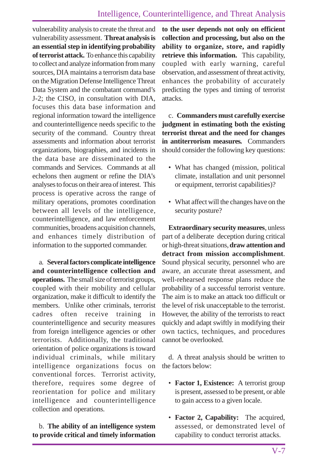vulnerability analysis to create the threat and vulnerability assessment. **Threat analysis is an essential step in identifying probability of terrorist attack.** To enhance this capability to collect and analyze information from many sources, DIA maintains a terrorism data base on the Migration Defense Intelligence Threat Data System and the combatant command's J-2; the CISO, in consultation with DIA, focuses this data base information and regional information toward the intelligence and counterintelligence needs specific to the security of the command. Country threat assessments and information about terrorist organizations, biographies, and incidents in the data base are disseminated to the commands and Services. Commands at all echelons then augment or refine the DIA's analyses to focus on their area of interest. This process is operative across the range of military operations, promotes coordination between all levels of the intelligence, counterintelligence, and law enforcement communities, broadens acquisition channels, and enhances timely distribution of information to the supported commander.

a. **Several factors complicate intelligence and counterintelligence collection and operations.** The small size of terrorist groups, coupled with their mobility and cellular organization, make it difficult to identify the members. Unlike other criminals, terrorist cadres often receive training in counterintelligence and security measures from foreign intelligence agencies or other terrorists. Additionally, the traditional orientation of police organizations is toward individual criminals, while military intelligence organizations focus on conventional forces. Terrorist activity, therefore, requires some degree of reorientation for police and military intelligence and counterintelligence collection and operations.

b. **The ability of an intelligence system to provide critical and timely information**

**to the user depends not only on efficient collection and processing, but also on the ability to organize, store, and rapidly retrieve this information.** This capability, coupled with early warning, careful observation, and assessment of threat activity, enhances the probability of accurately predicting the types and timing of terrorist attacks.

c. **Commanders must carefully exercise judgment in estimating both the existing terrorist threat and the need for changes in antiterrorism measures.** Commanders should consider the following key questions:

- What has changed (mission, political climate, installation and unit personnel or equipment, terrorist capabilities)?
- What affect will the changes have on the security posture?

**Extraordinary security measures**, unless part of a deliberate deception during critical or high-threat situations, **draw attention and detract from mission accomplishment**. Sound physical security, personnel who are aware, an accurate threat assessment, and well-rehearsed response plans reduce the probability of a successful terrorist venture. The aim is to make an attack too difficult or the level of risk unacceptable to the terrorist. However, the ability of the terrorists to react quickly and adapt swiftly in modifying their own tactics, techniques, and procedures cannot be overlooked.

d. A threat analysis should be written to the factors below:

- **Factor 1, Existence:** A terrorist group is present, assessed to be present, or able to gain access to a given locale.
- **Factor 2, Capability:** The acquired, assessed, or demonstrated level of capability to conduct terrorist attacks.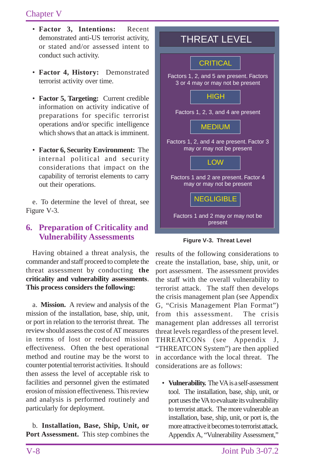### Chapter V

- **Factor 3, Intentions:** Recent demonstrated anti-US terrorist activity, or stated and/or assessed intent to conduct such activity.
- **Factor 4, History:** Demonstrated terrorist activity over time.
- **Factor 5, Targeting:** Current credible information on activity indicative of preparations for specific terrorist operations and/or specific intelligence which shows that an attack is imminent.
- **Factor 6, Security Environment:** The internal political and security considerations that impact on the capability of terrorist elements to carry out their operations.

e. To determine the level of threat, see Figure V-3.

### **6. Preparation of Criticality and Vulnerability Assessments**

Having obtained a threat analysis, the commander and staff proceed to complete the threat assessment by conducting **the criticality and vulnerability assessments**. **This process considers the following:**

a. **Mission.** A review and analysis of the mission of the installation, base, ship, unit, or port in relation to the terrorist threat. The review should assess the cost of AT measures in terms of lost or reduced mission effectiveness. Often the best operational method and routine may be the worst to counter potential terrorist activities. It should then assess the level of acceptable risk to facilities and personnel given the estimated erosion of mission effectiveness. This review and analysis is performed routinely and particularly for deployment.

b. **Installation, Base, Ship, Unit, or Port Assessment.** This step combines the



**Figure V-3. Threat Level**

results of the following considerations to create the installation, base, ship, unit, or port assessment. The assessment provides the staff with the overall vulnerability to terrorist attack. The staff then develops the crisis management plan (see Appendix G, "Crisis Management Plan Format") from this assessment. The crisis management plan addresses all terrorist threat levels regardless of the present level. THREATCONs (see Appendix J, "THREATCON System") are then applied in accordance with the local threat. The considerations are as follows:

• **Vulnerability.** The VA is a self-assessment tool. The installation, base, ship, unit, or port uses the VA to evaluate its vulnerability to terrorist attack. The more vulnerable an installation, base, ship, unit, or port is, the more attractive it becomes to terrorist attack. Appendix A, "Vulnerability Assessment,"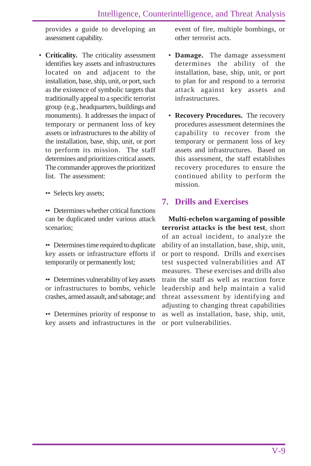provides a guide to developing an assessment capability.

- **Criticality.** The criticality assessment identifies key assets and infrastructures located on and adjacent to the installation, base, ship, unit, or port, such as the existence of symbolic targets that traditionally appeal to a specific terrorist group (e.g., headquarters, buildings and monuments). It addresses the impact of temporary or permanent loss of key assets or infrastructures to the ability of the installation, base, ship, unit, or port to perform its mission. The staff determines and prioritizes critical assets. The commander approves the prioritized list. The assessment:
	- •• Selects key assets;
	- •• Determines whether critical functions can be duplicated under various attack scenarios;
	- •• Determines time required to duplicate key assets or infrastructure efforts if temporarily or permanently lost;
	- •• Determines vulnerability of key assets or infrastructures to bombs, vehicle crashes, armed assault, and sabotage; and
	- •• Determines priority of response to key assets and infrastructures in the

event of fire, multiple bombings, or other terrorist acts.

- **Damage.** The damage assessment determines the ability of the installation, base, ship, unit, or port to plan for and respond to a terrorist attack against key assets and infrastructures.
- **Recovery Procedures.** The recovery procedures assessment determines the capability to recover from the temporary or permanent loss of key assets and infrastructures. Based on this assessment, the staff establishes recovery procedures to ensure the continued ability to perform the mission.

## **7. Drills and Exercises**

**Multi-echelon wargaming of possible terrorist attacks is the best test**, short of an actual incident, to analyze the ability of an installation, base, ship, unit, or port to respond. Drills and exercises test suspected vulnerabilities and AT measures. These exercises and drills also train the staff as well as reaction force leadership and help maintain a valid threat assessment by identifying and adjusting to changing threat capabilities as well as installation, base, ship, unit, or port vulnerabilities.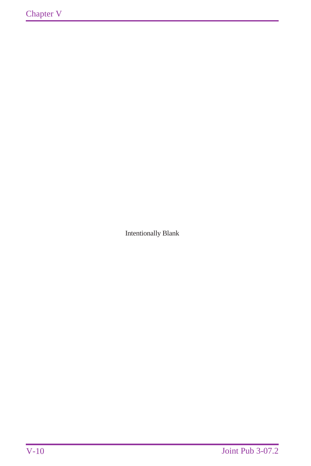Intentionally Blank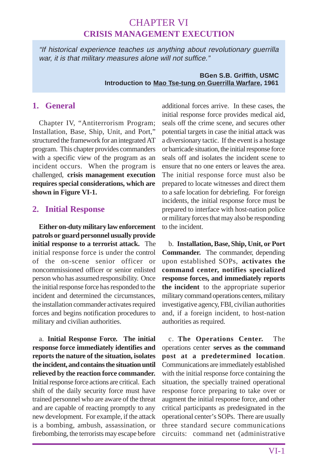# CHAPTER VI **CRISIS MANAGEMENT EXECUTION**

"If historical experience teaches us anything about revolutionary guerrilla war, it is that military measures alone will not suffice."

> **BGen S.B. Griffith, USMC Introduction to Mao Tse-tung on Guerrilla Warfare, 1961**

#### **1. General**

Chapter IV, "Antiterrorism Program; Installation, Base, Ship, Unit, and Port," structured the framework for an integrated AT program. This chapter provides commanders with a specific view of the program as an incident occurs. When the program is challenged, **crisis management execution requires special considerations, which are shown in Figure VI-1.**

### **2. Initial Response**

**Either on-duty military law enforcement patrols or guard personnel usually provide initial response to a terrorist attack.** The initial response force is under the control of the on-scene senior officer or noncommissioned officer or senior enlisted person who has assumed responsibility. Once the initial response force has responded to the incident and determined the circumstances, the installation commander activates required forces and begins notification procedures to military and civilian authorities.

a. **Initial Response Force. The initial response force immediately identifies and reports the nature of the situation, isolates the incident, and contains the situation until relieved by the reaction force commander.** Initial response force actions are critical. Each shift of the daily security force must have trained personnel who are aware of the threat and are capable of reacting promptly to any new development. For example, if the attack is a bombing, ambush, assassination, or firebombing, the terrorists may escape before

additional forces arrive. In these cases, the initial response force provides medical aid, seals off the crime scene, and secures other potential targets in case the initial attack was a diversionary tactic. If the event is a hostage or barricade situation, the initial response force seals off and isolates the incident scene to ensure that no one enters or leaves the area. The initial response force must also be prepared to locate witnesses and direct them to a safe location for debriefing. For foreign incidents, the initial response force must be prepared to interface with host-nation police or military forces that may also be responding to the incident.

b. **Installation, Base, Ship, Unit, or Port Commander.** The commander, depending upon established SOPs, **activates the command center, notifies specialized response forces, and immediately reports the incident** to the appropriate superior military command operations centers, military investigative agency, FBI, civilian authorities and, if a foreign incident, to host-nation authorities as required.

c. **The Operations Center.** The operations center **serves as the command post at a predetermined location**. Communications are immediately established with the initial response force containing the situation, the specially trained operational response force preparing to take over or augment the initial response force, and other critical participants as predesignated in the operational center's SOPs. There are usually three standard secure communications circuits: command net (administrative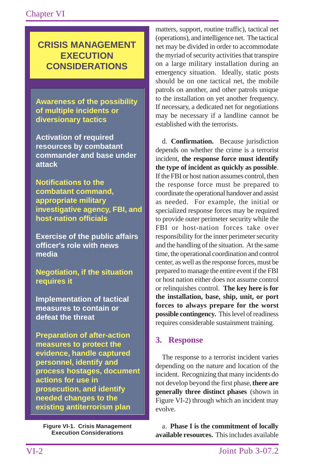# **CRISIS MANAGEMENT EXECUTION CONSIDERATIONS**

**Awareness of the possibility of multiple incidents or diversionary tactics**

**Activation of required resources by combatant commander and base under attack**

**Notifications to the combatant command, appropriate military investigative agency, FBI, and host-nation officials**

**Exercise of the public affairs officer's role with news media**

**Negotiation, if the situation requires it**

**Implementation of tactical measures to contain or defeat the threat**

**Preparation of after-action measures to protect the evidence, handle captured personnel, identify and process hostages, document actions for use in prosecution, and identify needed changes to the existing antiterrorism plan**

**Figure VI-1. Crisis Management Execution Considerations**

matters, support, routine traffic), tactical net (operations), and intelligence net. The tactical net may be divided in order to accommodate the myriad of security activities that transpire on a large military installation during an emergency situation. Ideally, static posts should be on one tactical net, the mobile patrols on another, and other patrols unique to the installation on yet another frequency. If necessary, a dedicated net for negotiations may be necessary if a landline cannot be established with the terrorists.

d. **Confirmation.** Because jurisdiction depends on whether the crime is a terrorist incident, **the response force must identify the type of incident as quickly as possible**. If the FBI or host nation assumes control, then the response force must be prepared to coordinate the operational handover and assist as needed. For example, the initial or specialized response forces may be required to provide outer perimeter security while the FBI or host-nation forces take over responsibility for the inner perimeter security and the handling of the situation. At the same time, the operational coordination and control center, as well as the response forces, must be prepared to manage the entire event if the FBI or host nation either does not assume control or relinquishes control. **The key here is for the installation, base, ship, unit, or port forces to always prepare for the worst possible contingency.** This level of readiness requires considerable sustainment training.

#### **3. Response**

The response to a terrorist incident varies depending on the nature and location of the incident. Recognizing that many incidents do not develop beyond the first phase, **there are generally three distinct phases** (shown in Figure VI-2) through which an incident may evolve.

a. **Phase I is the commitment of locally available resources.** This includes available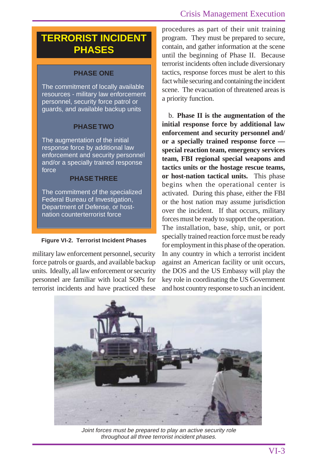# **TERRORIST INCIDENT PHASES**

#### **PHASE ONE**

The commitment of locally available resources - military law enforcement personnel, security force patrol or guards, and available backup units

#### **PHASE TWO**

The augmentation of the initial response force by additional law enforcement and security personnel and/or a specially trained response force

#### **PHASE THREE**

The commitment of the specialized Federal Bureau of Investigation, Department of Defense, or hostnation counterterrorist force

#### **Figure VI-2. Terrorist Incident Phases**

military law enforcement personnel, security force patrols or guards, and available backup units. Ideally, all law enforcement or security personnel are familiar with local SOPs for terrorist incidents and have practiced these procedures as part of their unit training program. They must be prepared to secure, contain, and gather information at the scene until the beginning of Phase II. Because terrorist incidents often include diversionary tactics, response forces must be alert to this fact while securing and containing the incident scene. The evacuation of threatened areas is a priority function.

b. **Phase II is the augmentation of the initial response force by additional law enforcement and security personnel and/ or a specially trained response force special reaction team, emergency services team, FBI regional special weapons and tactics units or the hostage rescue teams, or host-nation tactical units.** This phase begins when the operational center is activated. During this phase, either the FBI or the host nation may assume jurisdiction over the incident. If that occurs, military forces must be ready to support the operation. The installation, base, ship, unit, or port specially trained reaction force must be ready for employment in this phase of the operation. In any country in which a terrorist incident against an American facility or unit occurs, the DOS and the US Embassy will play the key role in coordinating the US Government and host country response to such an incident.



Joint forces must be prepared to play an active security role throughout all three terrorist incident phases.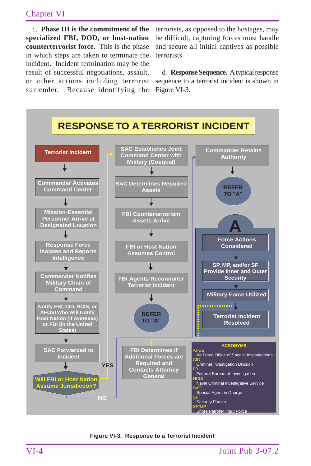c. **Phase III is the commitment of the specialized FBI, DOD, or host-nation counterterrorist force.** This is the phase in which steps are taken to terminate the incident. Incident termination may be the result of successful negotiations, assault, or other actions including terrorist surrender. Because identifying the

terrorists, as opposed to the hostages, may be difficult, capturing forces must handle and secure all initial captives as possible terrorists.

d. **Response Sequence.** A typical response sequence to a terrorist incident is shown in Figure VI-3.



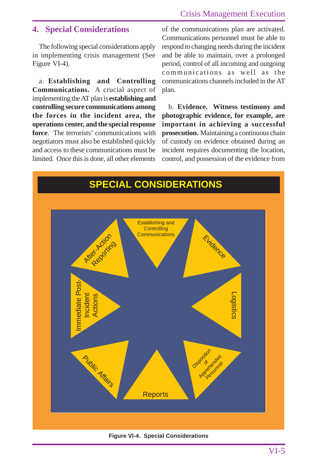## **4. Special Considerations**

The following special considerations apply in implementing crisis management (See Figure VI-4).

a. **Establishing and Controlling Communications.** A crucial aspect of implementing the AT plan is **establishing and controlling secure communications among the forces in the incident area, the operations center, and the special response force**. The terrorists' communications with negotiators must also be established quickly and access to these communications must be limited. Once this is done, all other elements

of the communications plan are activated. Communications personnel must be able to respond to changing needs during the incident and be able to maintain, over a prolonged period, control of all incoming and outgoing communications as well as the communications channels included in the AT plan.

b. **Evidence. Witness testimony and photographic evidence, for example, are important in achieving a successful prosecution.** Maintaining a continuous chain of custody on evidence obtained during an incident requires documenting the location, control, and possession of the evidence from

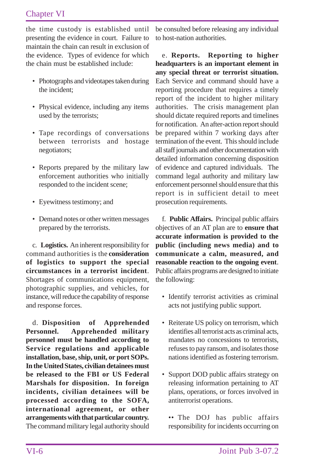## Chapter VI

the time custody is established until presenting the evidence in court. Failure to maintain the chain can result in exclusion of the evidence. Types of evidence for which the chain must be established include:

- Photographs and videotapes taken during the incident;
- Physical evidence, including any items used by the terrorists;
- Tape recordings of conversations between terrorists and hostage negotiators;
- Reports prepared by the military law enforcement authorities who initially responded to the incident scene;
- Eyewitness testimony; and
- Demand notes or other written messages prepared by the terrorists.

c. **Logistics.** An inherent responsibility for command authorities is the **consideration of logistics to support the special circumstances in a terrorist incident**. Shortages of communications equipment, photographic supplies, and vehicles, for instance, will reduce the capability of response and response forces.

d. **Disposition of Apprehended Personnel. Apprehended military personnel must be handled according to Service regulations and applicable installation, base, ship, unit, or port SOPs. In the United States, civilian detainees must be released to the FBI or US Federal Marshals for disposition. In foreign incidents, civilian detainees will be processed according to the SOFA, international agreement, or other arrangements with that particular country.** The command military legal authority should be consulted before releasing any individual to host-nation authorities.

e. **Reports. Reporting to higher headquarters is an important element in any special threat or terrorist situation.** Each Service and command should have a reporting procedure that requires a timely report of the incident to higher military authorities. The crisis management plan should dictate required reports and timelines for notification. An after-action report should be prepared within 7 working days after termination of the event. This should include all staff journals and other documentation with detailed information concerning disposition of evidence and captured individuals. The command legal authority and military law enforcement personnel should ensure that this report is in sufficient detail to meet prosecution requirements.

f. **Public Affairs.** Principal public affairs objectives of an AT plan are to **ensure that accurate information is provided to the public (including news media) and to communicate a calm, measured, and reasonable reaction to the ongoing event**. Public affairs programs are designed to initiate the following:

- Identify terrorist activities as criminal acts not justifying public support.
- Reiterate US policy on terrorism, which identifies all terrorist acts as criminal acts, mandates no concessions to terrorists, refuses to pay ransom, and isolates those nations identified as fostering terrorism.
- Support DOD public affairs strategy on releasing information pertaining to AT plans, operations, or forces involved in antiterrorist operations.

•• The DOJ has public affairs responsibility for incidents occurring on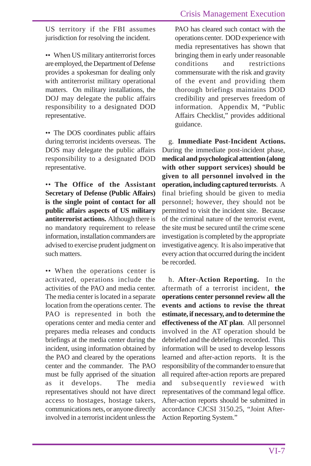US territory if the FBI assumes jurisdiction for resolving the incident.

•• When US military antiterrorist forces are employed, the Department of Defense provides a spokesman for dealing only with antiterrorist military operational matters. On military installations, the DOJ may delegate the public affairs responsibility to a designated DOD representative.

• The DOS coordinates public affairs during terrorist incidents overseas. The DOS may delegate the public affairs responsibility to a designated DOD representative.

•• **The Office of the Assistant Secretary of Defense (Public Affairs) is the single point of contact for all public affairs aspects of US military antiterrorist actions.** Although there is no mandatory requirement to release information, installation commanders are advised to exercise prudent judgment on such matters.

•• When the operations center is activated, operations include the activities of the PAO and media center. The media center is located in a separate location from the operations center. The PAO is represented in both the operations center and media center and prepares media releases and conducts briefings at the media center during the incident, using information obtained by the PAO and cleared by the operations center and the commander. The PAO must be fully apprised of the situation as it develops. The media representatives should not have direct access to hostages, hostage takers, communications nets, or anyone directly involved in a terrorist incident unless the PAO has cleared such contact with the operations center. DOD experience with media representatives has shown that bringing them in early under reasonable conditions and restrictions commensurate with the risk and gravity of the event and providing them thorough briefings maintains DOD credibility and preserves freedom of information. Appendix M, "Public Affairs Checklist," provides additional guidance.

g. **Immediate Post-Incident Actions.** During the immediate post-incident phase, **medical and psychological attention (along with other support services) should be given to all personnel involved in the operation, including captured terrorists**. A final briefing should be given to media personnel; however, they should not be permitted to visit the incident site. Because of the criminal nature of the terrorist event, the site must be secured until the crime scene investigation is completed by the appropriate investigative agency. It is also imperative that every action that occurred during the incident be recorded.

h. **After-Action Reporting.** In the aftermath of a terrorist incident, **the operations center personnel review all the events and actions to revise the threat estimate, if necessary, and to determine the effectiveness of the AT plan**. All personnel involved in the AT operation should be debriefed and the debriefings recorded. This information will be used to develop lessons learned and after-action reports. It is the responsibility of the commander to ensure that all required after-action reports are prepared and subsequently reviewed with representatives of the command legal office. After-action reports should be submitted in accordance CJCSI 3150.25, "Joint After-Action Reporting System."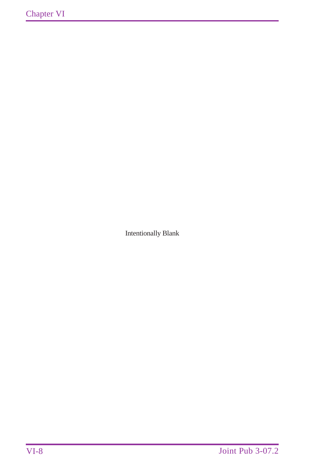Intentionally Blank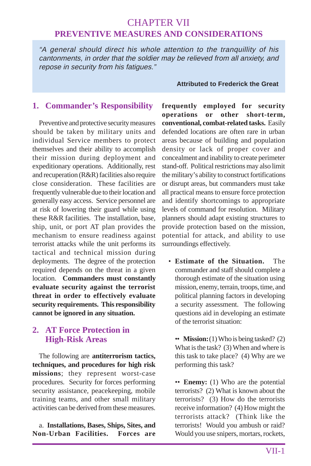# CHAPTER VII **PREVENTIVE MEASURES AND CONSIDERATIONS**

"A general should direct his whole attention to the tranquillity of his cantonments, in order that the soldier may be relieved from all anxiety, and repose in security from his fatigues."

## **1. Commander's Responsibility**

Preventive and protective security measures should be taken by military units and individual Service members to protect themselves and their ability to accomplish their mission during deployment and expeditionary operations. Additionally, rest and recuperation (R&R) facilities also require close consideration. These facilities are frequently vulnerable due to their location and generally easy access. Service personnel are at risk of lowering their guard while using these R&R facilities. The installation, base, ship, unit, or port AT plan provides the mechanism to ensure readiness against terrorist attacks while the unit performs its tactical and technical mission during deployments. The degree of the protection required depends on the threat in a given location. **Commanders must constantly evaluate security against the terrorist threat in order to effectively evaluate security requirements. This responsibility cannot be ignored in any situation.**

## **2. AT Force Protection in High-Risk Areas**

The following are **antiterrorism tactics, techniques, and procedures for high risk missions**; they represent worst-case procedures. Security for forces performing security assistance, peacekeeping, mobile training teams, and other small military activities can be derived from these measures.

a. **Installations, Bases, Ships, Sites, and Non-Urban Facilities. Forces are** **Attributed to Frederick the Great**

**frequently employed for security operations or other short-term, conventional, combat-related tasks.** Easily defended locations are often rare in urban areas because of building and population density or lack of proper cover and concealment and inability to create perimeter stand-off. Political restrictions may also limit the military's ability to construct fortifications or disrupt areas, but commanders must take all practical means to ensure force protection and identify shortcomings to appropriate levels of command for resolution. Military planners should adapt existing structures to provide protection based on the mission, potential for attack, and ability to use surroundings effectively.

• **Estimate of the Situation.** The commander and staff should complete a thorough estimate of the situation using mission, enemy, terrain, troops, time, and political planning factors in developing a security assessment. The following questions aid in developing an estimate of the terrorist situation:

• **Mission:** (1) Who is being tasked? (2) What is the task? (3) When and where is this task to take place? (4) Why are we performing this task?

•• **Enemy:** (1) Who are the potential terrorists? (2) What is known about the terrorists? (3) How do the terrorists receive information? (4) How might the terrorists attack? (Think like the terrorists! Would you ambush or raid? Would you use snipers, mortars, rockets,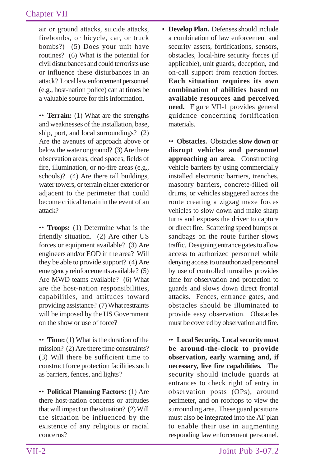air or ground attacks, suicide attacks, firebombs, or bicycle, car, or truck bombs?) (5) Does your unit have routines? (6) What is the potential for civil disturbances and could terrorists use or influence these disturbances in an attack? Local law enforcement personnel (e.g., host-nation police) can at times be a valuable source for this information.

•• **Terrain:** (1) What are the strengths and weaknesses of the installation, base, ship, port, and local surroundings? (2) Are the avenues of approach above or below the water or ground? (3) Are there observation areas, dead spaces, fields of fire, illumination, or no-fire areas (e.g., schools)? (4) Are there tall buildings, water towers, or terrain either exterior or adjacent to the perimeter that could become critical terrain in the event of an attack?

•• **Troops:** (1) Determine what is the friendly situation. (2) Are other US forces or equipment available? (3) Are engineers and/or EOD in the area? Will they be able to provide support? (4) Are emergency reinforcements available? (5) Are MWD teams available? (6) What are the host-nation responsibilities, capabilities, and attitudes toward providing assistance? (7) What restraints will be imposed by the US Government on the show or use of force?

•• **Time:** (1) What is the duration of the mission? (2) Are there time constraints? (3) Will there be sufficient time to construct force protection facilities such as barriers, fences, and lights?

•• **Political Planning Factors:** (1) Are there host-nation concerns or attitudes that will impact on the situation? (2) Will the situation be influenced by the existence of any religious or racial concerns?

• **Develop Plan.** Defenses should include a combination of law enforcement and security assets, fortifications, sensors, obstacles, local-hire security forces (if applicable), unit guards, deception, and on-call support from reaction forces. **Each situation requires its own combination of abilities based on available resources and perceived need.** Figure VII-1 provides general guidance concerning fortification materials.

•• **Obstacles.** Obstacles **slow down or disrupt vehicles and personnel approaching an area**. Constructing vehicle barriers by using commercially installed electronic barriers, trenches, masonry barriers, concrete-filled oil drums, or vehicles staggered across the route creating a zigzag maze forces vehicles to slow down and make sharp turns and exposes the driver to capture or direct fire. Scattering speed bumps or sandbags on the route further slows traffic. Designing entrance gates to allow access to authorized personnel while denying access to unauthorized personnel by use of controlled turnstiles provides time for observation and protection to guards and slows down direct frontal attacks. Fences, entrance gates, and obstacles should be illuminated to provide easy observation. Obstacles must be covered by observation and fire.

•• **Local Security. Local security must be around-the-clock to provide observation, early warning and, if necessary, live fire capabilities.** The security should include guards at entrances to check right of entry in observation posts (OPs), around perimeter, and on rooftops to view the surrounding area. These guard positions must also be integrated into the AT plan to enable their use in augmenting responding law enforcement personnel.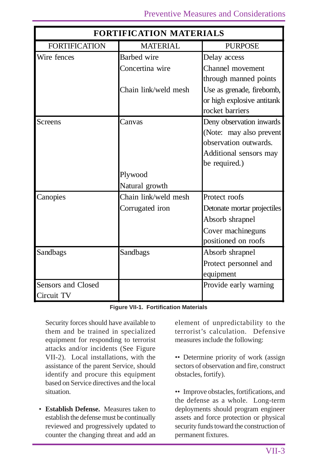| <b>FORTIFICATION MATERIALS</b> |                      |                             |
|--------------------------------|----------------------|-----------------------------|
| <b>FORTIFICATION</b>           | <b>MATERIAL</b>      | <b>PURPOSE</b>              |
| Wire fences                    | <b>Barbed</b> wire   | Delay access                |
|                                | Concertina wire      | Channel movement            |
|                                |                      | through manned points       |
|                                | Chain link/weld mesh | Use as grenade, firebomb,   |
|                                |                      | or high explosive antitank  |
|                                |                      | rocket barriers             |
| <b>Screens</b>                 | Canvas               | Deny observation inwards    |
|                                |                      | (Note: may also prevent     |
|                                |                      | observation outwards.       |
|                                |                      | Additional sensors may      |
|                                |                      | be required.)               |
|                                | Plywood              |                             |
|                                | Natural growth       |                             |
| Canopies                       | Chain link/weld mesh | Protect roofs               |
|                                | Corrugated iron      | Detonate mortar projectiles |
|                                |                      | Absorb shrapnel             |
|                                |                      | Cover machineguns           |
|                                |                      | positioned on roofs         |
| Sandbags                       | <b>Sandbags</b>      | Absorb shrapnel             |
|                                |                      | Protect personnel and       |
|                                |                      | equipment                   |
| Sensors and Closed             |                      | Provide early warning       |
| Circuit TV                     |                      |                             |

**Figure VII-1. Fortification Materials**

Security forces should have available to them and be trained in specialized equipment for responding to terrorist attacks and/or incidents (See Figure VII-2). Local installations, with the assistance of the parent Service, should identify and procure this equipment based on Service directives and the local situation.

• **Establish Defense.** Measures taken to establish the defense must be continually reviewed and progressively updated to counter the changing threat and add an

element of unpredictability to the terrorist's calculation. Defensive measures include the following:

• Determine priority of work (assign sectors of observation and fire, construct obstacles, fortify).

•• Improve obstacles, fortifications, and the defense as a whole. Long-term deployments should program engineer assets and force protection or physical security funds toward the construction of permanent fixtures.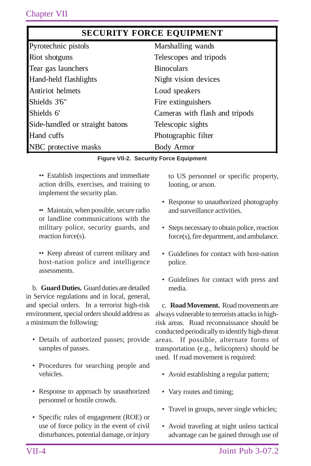# **SECURITY FORCE EQUIPMENT**

| Pyrotechnic pistols             | Marshalling wands              |  |
|---------------------------------|--------------------------------|--|
| Riot shotguns                   | Telescopes and tripods         |  |
| Tear gas launchers              | <b>Binoculars</b>              |  |
| Hand-held flashlights           | Night vision devices           |  |
| Antiriot helmets                | Loud speakers                  |  |
| Shields 3'6"                    | Fire extinguishers             |  |
| Shields 6'                      | Cameras with flash and tripods |  |
| Side-handled or straight batons | Telescopic sights              |  |
| Hand cuffs                      | Photographic filter            |  |
| NBC protective masks            | Body Armor                     |  |

**Figure VII-2. Security Force Equipment**

•• Establish inspections and immediate action drills, exercises, and training to implement the security plan.

•• Maintain, when possible, secure radio or landline communications with the military police, security guards, and reaction force(s).

•• Keep abreast of current military and host-nation police and intelligence assessments.

b. **Guard Duties.** Guard duties are detailed in Service regulations and in local, general, and special orders. In a terrorist high-risk environment, special orders should address as a minimum the following:

- Details of authorized passes; provide samples of passes.
- Procedures for searching people and vehicles.
- Response to approach by unauthorized personnel or hostile crowds.
- Specific rules of engagement (ROE) or use of force policy in the event of civil disturbances, potential damage, or injury

to US personnel or specific property, looting, or arson.

- Response to unauthorized photography and surveillance activities.
- Steps necessary to obtain police, reaction force(s), fire department, and ambulance.
- Guidelines for contact with host-nation police.
- Guidelines for contact with press and media.

c. **Road Movement.** Road movements are always vulnerable to terrorists attacks in highrisk areas. Road reconnaissance should be conducted periodically to identify high-threat areas. If possible, alternate forms of transportation (e.g., helicopters) should be used. If road movement is required:

- Avoid establishing a regular pattern;
- Vary routes and timing;
- Travel in groups, never single vehicles;
- Avoid traveling at night unless tactical advantage can be gained through use of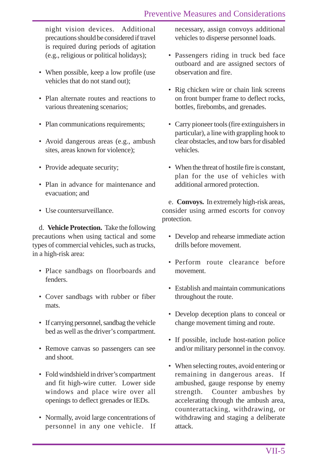night vision devices. Additional precautions should be considered if travel is required during periods of agitation (e.g., religious or political holidays);

- When possible, keep a low profile (use vehicles that do not stand out);
- Plan alternate routes and reactions to various threatening scenarios;
- Plan communications requirements;
- Avoid dangerous areas (e.g., ambush sites, areas known for violence);
- Provide adequate security;
- Plan in advance for maintenance and evacuation; and
- Use countersurveillance.

d. **Vehicle Protection.** Take the following precautions when using tactical and some types of commercial vehicles, such as trucks, in a high-risk area:

- Place sandbags on floorboards and fenders.
- Cover sandbags with rubber or fiber mats.
- If carrying personnel, sandbag the vehicle bed as well as the driver's compartment.
- Remove canvas so passengers can see and shoot.
- Fold windshield in driver's compartment and fit high-wire cutter. Lower side windows and place wire over all openings to deflect grenades or IEDs.
- Normally, avoid large concentrations of personnel in any one vehicle. If

necessary, assign convoys additional vehicles to disperse personnel loads.

- Passengers riding in truck bed face outboard and are assigned sectors of observation and fire.
- Rig chicken wire or chain link screens on front bumper frame to deflect rocks, bottles, firebombs, and grenades.
- Carry pioneer tools (fire extinguishers in particular), a line with grappling hook to clear obstacles, and tow bars for disabled vehicles.
- When the threat of hostile fire is constant, plan for the use of vehicles with additional armored protection.

e. **Convoys.** In extremely high-risk areas, consider using armed escorts for convoy protection.

- Develop and rehearse immediate action drills before movement.
- Perform route clearance before movement.
- Establish and maintain communications throughout the route.
- Develop deception plans to conceal or change movement timing and route.
- If possible, include host-nation police and/or military personnel in the convoy.
- When selecting routes, avoid entering or remaining in dangerous areas. If ambushed, gauge response by enemy strength. Counter ambushes by accelerating through the ambush area, counterattacking, withdrawing, or withdrawing and staging a deliberate attack.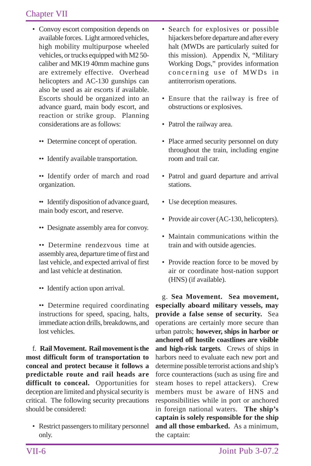# Chapter VII

- Convoy escort composition depends on available forces. Light armored vehicles, high mobility multipurpose wheeled vehicles, or trucks equipped with M2 50 caliber and MK19 40mm machine guns are extremely effective. Overhead helicopters and AC-130 gunships can also be used as air escorts if available. Escorts should be organized into an advance guard, main body escort, and reaction or strike group. Planning considerations are as follows:
	- Determine concept of operation.
	- •• Identify available transportation.
	- •• Identify order of march and road organization.

• Identify disposition of advance guard, main body escort, and reserve.

- •• Designate assembly area for convoy.
- •• Determine rendezvous time at assembly area, departure time of first and last vehicle, and expected arrival of first and last vehicle at destination.
- •• Identify action upon arrival.

•• Determine required coordinating instructions for speed, spacing, halts, immediate action drills, breakdowns, and lost vehicles.

f. **Rail Movement. Rail movement is the most difficult form of transportation to conceal and protect because it follows a predictable route and rail heads are difficult to conceal.** Opportunities for deception are limited and physical security is critical. The following security precautions should be considered:

• Restrict passengers to military personnel only.

- Search for explosives or possible hijackers before departure and after every halt (MWDs are particularly suited for this mission). Appendix N, "Military Working Dogs," provides information concerning use of MWDs in antiterrorism operations.
- Ensure that the railway is free of obstructions or explosives.
- Patrol the railway area.
- Place armed security personnel on duty throughout the train, including engine room and trail car.
- Patrol and guard departure and arrival stations.
- Use deception measures.
- Provide air cover (AC-130, helicopters).
- Maintain communications within the train and with outside agencies.
- Provide reaction force to be moved by air or coordinate host-nation support (HNS) (if available).

g. **Sea Movement. Sea movement, especially aboard military vessels, may provide a false sense of security.** Sea operations are certainly more secure than urban patrols; **however, ships in harbor or anchored off hostile coastlines are visible and high-risk targets**. Crews of ships in harbors need to evaluate each new port and determine possible terrorist actions and ship's force counteractions (such as using fire and steam hoses to repel attackers). Crew members must be aware of HNS and responsibilities while in port or anchored in foreign national waters. **The ship's captain is solely responsible for the ship and all those embarked.** As a minimum, the captain: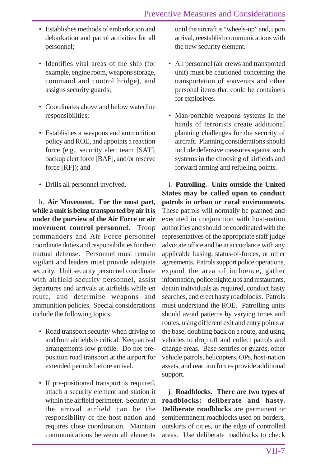- Establishes methods of embarkation and debarkation and patrol activities for all personnel;
- Identifies vital areas of the ship (for example, engine room, weapons storage, command and control bridge), and assigns security guards;
- Coordinates above and below waterline responsibilities;
- Establishes a weapons and ammunition policy and ROE, and appoints a reaction force (e.g., security alert team [SAT], backup alert force [BAF], and/or reserve force [RF]); and
- Drills all personnel involved.

h. **Air Movement. For the most part, while a unit is being transported by air it is under the purview of the Air Force or air movement control personnel.** Troop commanders and Air Force personnel coordinate duties and responsibilities for their mutual defense. Personnel must remain vigilant and leaders must provide adequate security. Unit security personnel coordinate with airfield security personnel, assist departures and arrivals at airfields while en route, and determine weapons and ammunition policies. Special considerations include the following topics:

- Road transport security when driving to and from airfields is critical. Keep arrival arrangements low profile. Do not preposition road transport at the airport for extended periods before arrival.
- If pre-positioned transport is required, attach a security element and station it within the airfield perimeter. Security at the arrival airfield can be the responsibility of the host nation and requires close coordination. Maintain communications between all elements

until the aircraft is "wheels-up" and, upon arrival, reestablish communications with the new security element.

- All personnel (air crews and transported unit) must be cautioned concerning the transportation of souvenirs and other personal items that could be containers for explosives.
- Man-portable weapons systems in the hands of terrorists create additional planning challenges for the security of aircraft. Planning considerations should include defensive measures against such systems in the choosing of airfields and forward arming and refueling points.

i. **Patrolling. Units outside the United States may be called upon to conduct patrols in urban or rural environments.** These patrols will normally be planned and executed in conjunction with host-nation authorities and should be coordinated with the representatives of the appropriate staff judge advocate office and be in accordance with any applicable basing, status-of-forces, or other agreements. Patrols support police operations, expand the area of influence, gather information, police nightclubs and restaurants, detain individuals as required, conduct hasty searches, and erect hasty roadblocks. Patrols must understand the ROE. Patrolling units should avoid patterns by varying times and routes, using different exit and entry points at the base, doubling back on a route, and using vehicles to drop off and collect patrols and change areas. Base sentries or guards, other vehicle patrols, helicopters, OPs, host-nation assets, and reaction forces provide additional support.

j. **Roadblocks. There are two types of roadblocks: deliberate and hasty. Deliberate roadblocks** are permanent or semipermanent roadblocks used on borders, outskirts of cities, or the edge of controlled areas. Use deliberate roadblocks to check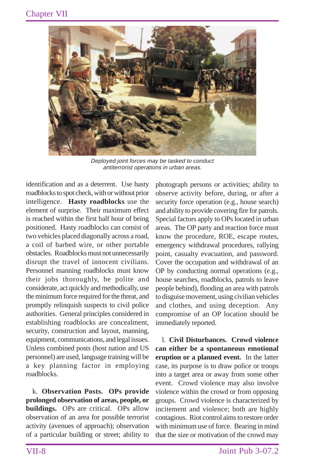

Deployed joint forces may be tasked to conduct antiterrorist operations in urban areas.

identification and as a deterrent. Use hasty roadblocks to spot check, with or without prior intelligence. **Hasty roadblocks** use the element of surprise. Their maximum effect is reached within the first half hour of being positioned. Hasty roadblocks can consist of two vehicles placed diagonally across a road, a coil of barbed wire, or other portable obstacles. Roadblocks must not unnecessarily disrupt the travel of innocent civilians. Personnel manning roadblocks must know their jobs thoroughly, be polite and considerate, act quickly and methodically, use the minimum force required for the threat, and promptly relinquish suspects to civil police authorities. General principles considered in establishing roadblocks are concealment, security, construction and layout, manning, equipment, communications, and legal issues. Unless combined posts (host nation and US personnel) are used, language training will be a key planning factor in employing roadblocks.

k. **Observation Posts. OPs provide prolonged observation of areas, people, or buildings.** OPs are critical. OPs allow observation of an area for possible terrorist activity (avenues of approach); observation of a particular building or street; ability to photograph persons or activities; ability to observe activity before, during, or after a security force operation (e.g., house search) and ability to provide covering fire for patrols. Special factors apply to OPs located in urban areas. The OP party and reaction force must know the procedure, ROE, escape routes, emergency withdrawal procedures, rallying point, casualty evacuation, and password. Cover the occupation and withdrawal of an OP by conducting normal operations (e.g., house searches, roadblocks, patrols to leave people behind), flooding an area with patrols to disguise movement, using civilian vehicles and clothes, and using deception. Any compromise of an OP location should be immediately reported.

l. **Civil Disturbances. Crowd violence can either be a spontaneous emotional eruption or a planned event.** In the latter case, its purpose is to draw police or troops into a target area or away from some other event. Crowd violence may also involve violence within the crowd or from opposing groups. Crowd violence is characterized by incitement and violence; both are highly contagious. Riot control aims to restore order with minimum use of force. Bearing in mind that the size or motivation of the crowd may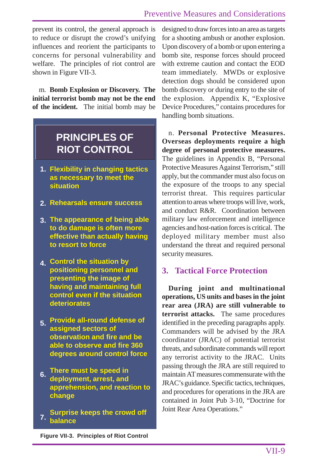prevent its control, the general approach is to reduce or disrupt the crowd's unifying influences and reorient the participants to concerns for personal vulnerability and welfare. The principles of riot control are shown in Figure VII-3.

m. **Bomb Explosion or Discovery. The initial terrorist bomb may not be the end of the incident.** The initial bomb may be

# **PRINCIPLES OF RIOT CONTROL**

- **Flexibility in changing tactics 1. as necessary to meet the situation**
- **Rehearsals ensure success 2.**
- **The appearance of being able 3. to do damage is often more effective than actually having to resort to force**
- **Control the situation by 4. positioning personnel and presenting the image of having and maintaining full control even if the situation deteriorates**
- **Provide all-round defense of 5. assigned sectors of observation and fire and be able to observe and fire 360 degrees around control force**
- **There must be speed in deployment, arrest, and apprehension, and reaction to change 6.**

**Surprise keeps the crowd off balance 7.**

designed to draw forces into an area as targets for a shooting ambush or another explosion. Upon discovery of a bomb or upon entering a bomb site, response forces should proceed with extreme caution and contact the EOD team immediately. MWDs or explosive detection dogs should be considered upon bomb discovery or during entry to the site of the explosion. Appendix K, "Explosive Device Procedures," contains procedures for handling bomb situations.

n. **Personal Protective Measures. Overseas deployments require a high degree of personal protective measures.** The guidelines in Appendix B, "Personal Protective Measures Against Terrorism," still apply, but the commander must also focus on the exposure of the troops to any special terrorist threat. This requires particular attention to areas where troops will live, work, and conduct R&R. Coordination between military law enforcement and intelligence agencies and host-nation forces is critical. The deployed military member must also understand the threat and required personal security measures.

## **3. Tactical Force Protection**

**During joint and multinational operations, US units and bases in the joint rear area (JRA) are still vulnerable to terrorist attacks.** The same procedures identified in the preceding paragraphs apply. Commanders will be advised by the JRA coordinator (JRAC) of potential terrorist threats, and subordinate commands will report any terrorist activity to the JRAC. Units passing through the JRA are still required to maintain AT measures commensurate with the JRAC's guidance. Specific tactics, techniques, and procedures for operations in the JRA are contained in Joint Pub 3-10, "Doctrine for Joint Rear Area Operations."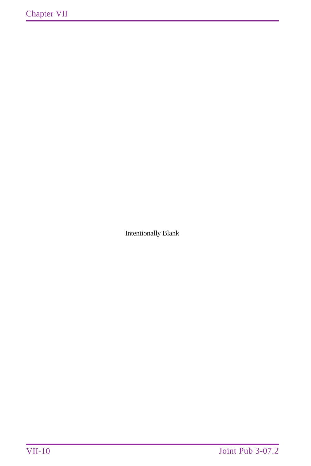Intentionally Blank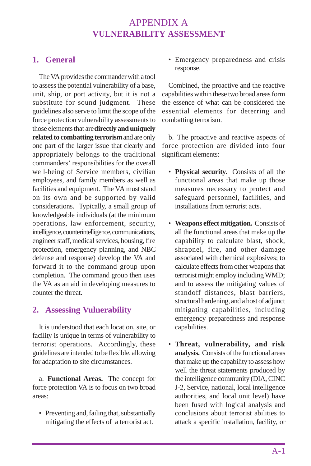# APPENDIX A **VULNERABILITY ASSESSMENT**

## **1. General**

The VA provides the commander with a tool to assess the potential vulnerability of a base, unit, ship, or port activity, but it is not a substitute for sound judgment. These guidelines also serve to limit the scope of the force protection vulnerability assessments to those elements that are **directly and uniquely related to combatting terrorism** and are only one part of the larger issue that clearly and appropriately belongs to the traditional commanders' responsibilities for the overall well-being of Service members, civilian employees, and family members as well as facilities and equipment. The VA must stand on its own and be supported by valid considerations. Typically, a small group of knowledgeable individuals (at the minimum operations, law enforcement, security, intelligence, counterintelligence, communications, engineer staff, medical services, housing, fire protection, emergency planning, and NBC defense and response) develop the VA and forward it to the command group upon completion. The command group then uses the VA as an aid in developing measures to counter the threat.

## **2. Assessing Vulnerability**

It is understood that each location, site, or facility is unique in terms of vulnerability to terrorist operations. Accordingly, these guidelines are intended to be flexible, allowing for adaptation to site circumstances.

a. **Functional Areas.** The concept for force protection VA is to focus on two broad areas:

• Preventing and, failing that, substantially mitigating the effects of a terrorist act.

• Emergency preparedness and crisis response.

Combined, the proactive and the reactive capabilities within these two broad areas form the essence of what can be considered the essential elements for deterring and combatting terrorism.

b. The proactive and reactive aspects of force protection are divided into four significant elements:

- **Physical security.** Consists of all the functional areas that make up those measures necessary to protect and safeguard personnel, facilities, and installations from terrorist acts.
- **Weapons effect mitigation.** Consists of all the functional areas that make up the capability to calculate blast, shock, shrapnel, fire, and other damage associated with chemical explosives; to calculate effects from other weapons that terrorist might employ including WMD; and to assess the mitigating values of standoff distances, blast barriers, structural hardening, and a host of adjunct mitigating capabilities, including emergency preparedness and response capabilities.
- **Threat, vulnerability, and risk analysis.** Consists of the functional areas that make up the capability to assess how well the threat statements produced by the intelligence community (DIA, CINC J-2, Service, national, local intelligence authorities, and local unit level) have been fused with logical analysis and conclusions about terrorist abilities to attack a specific installation, facility, or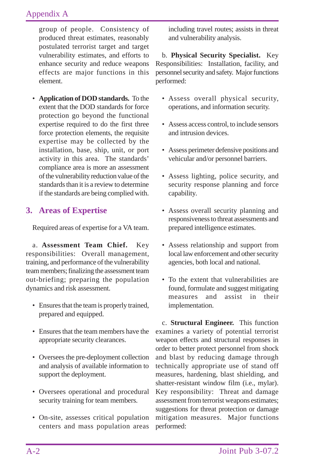group of people. Consistency of produced threat estimates, reasonably postulated terrorist target and target vulnerability estimates, and efforts to enhance security and reduce weapons effects are major functions in this element.

• **Application of DOD standards.** To the extent that the DOD standards for force protection go beyond the functional expertise required to do the first three force protection elements, the requisite expertise may be collected by the installation, base, ship, unit, or port activity in this area. The standards' compliance area is more an assessment of the vulnerability reduction value of the standards than it is a review to determine if the standards are being complied with.

## **3. Areas of Expertise**

Required areas of expertise for a VA team.

a. **Assessment Team Chief.** Key responsibilities: Overall management, training, and performance of the vulnerability team members; finalizing the assessment team out-briefing; preparing the population dynamics and risk assessment.

- Ensures that the team is properly trained, prepared and equipped.
- Ensures that the team members have the appropriate security clearances.
- Oversees the pre-deployment collection and analysis of available information to support the deployment.
- Oversees operational and procedural security training for team members.
- On-site, assesses critical population centers and mass population areas

including travel routes; assists in threat and vulnerability analysis.

b. **Physical Security Specialist.** Key Responsibilities: Installation, facility, and personnel security and safety. Major functions performed:

- Assess overall physical security, operations, and information security.
- Assess access control, to include sensors and intrusion devices.
- Assess perimeter defensive positions and vehicular and/or personnel barriers.
- Assess lighting, police security, and security response planning and force capability.
- Assess overall security planning and responsiveness to threat assessments and prepared intelligence estimates.
- Assess relationship and support from local law enforcement and other security agencies, both local and national.
- To the extent that vulnerabilities are found, formulate and suggest mitigating measures and assist in their implementation.

c. **Structural Engineer.** This function examines a variety of potential terrorist weapon effects and structural responses in order to better protect personnel from shock and blast by reducing damage through technically appropriate use of stand off measures, hardening, blast shielding, and shatter-resistant window film (i.e., mylar). Key responsibility: Threat and damage assessment from terrorist weapons estimates; suggestions for threat protection or damage mitigation measures. Major functions performed: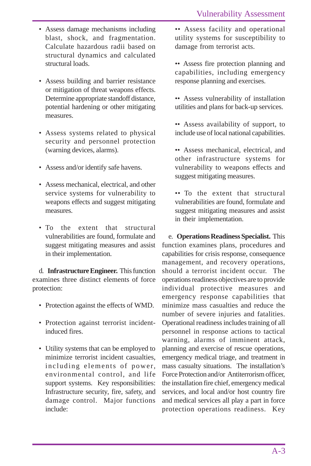- Assess damage mechanisms including blast, shock, and fragmentation. Calculate hazardous radii based on structural dynamics and calculated structural loads.
- Assess building and barrier resistance or mitigation of threat weapons effects. Determine appropriate standoff distance, potential hardening or other mitigating measures.
- Assess systems related to physical security and personnel protection (warning devices, alarms).
- Assess and/or identify safe havens.
- Assess mechanical, electrical, and other service systems for vulnerability to weapons effects and suggest mitigating measures.
- To the extent that structural vulnerabilities are found, formulate and suggest mitigating measures and assist in their implementation.

d. **Infrastructure Engineer.** This function examines three distinct elements of force protection:

- Protection against the effects of WMD.
- Protection against terrorist incidentinduced fires.
- Utility systems that can be employed to minimize terrorist incident casualties, including elements of power, environmental control, and life support systems. Key responsibilities: Infrastructure security, fire, safety, and damage control. Major functions include:

•• Assess facility and operational utility systems for susceptibility to damage from terrorist acts.

- Assess fire protection planning and capabilities, including emergency response planning and exercises.
- •• Assess vulnerability of installation utilities and plans for back-up services.
- •• Assess availability of support, to include use of local national capabilities.
- •• Assess mechanical, electrical, and other infrastructure systems for vulnerability to weapons effects and suggest mitigating measures.

•• To the extent that structural vulnerabilities are found, formulate and suggest mitigating measures and assist in their implementation.

e. **Operations Readiness Specialist.** This function examines plans, procedures and capabilities for crisis response, consequence management, and recovery operations, should a terrorist incident occur. The operations readiness objectives are to provide individual protective measures and emergency response capabilities that minimize mass casualties and reduce the number of severe injuries and fatalities. Operational readiness includes training of all personnel in response actions to tactical warning, alarms of imminent attack, planning and exercise of rescue operations, emergency medical triage, and treatment in mass casualty situations. The installation's Force Protection and/or Antiterrorism officer, the installation fire chief, emergency medical services, and local and/or host country fire and medical services all play a part in force protection operations readiness. Key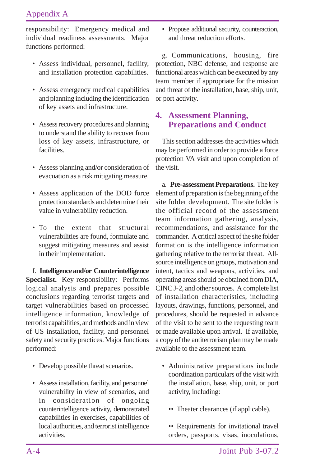responsibility: Emergency medical and individual readiness assessments. Major functions performed:

- Assess individual, personnel, facility, and installation protection capabilities.
- Assess emergency medical capabilities and planning including the identification of key assets and infrastructure.
- Assess recovery procedures and planning to understand the ability to recover from loss of key assets, infrastructure, or facilities.
- Assess planning and/or consideration of evacuation as a risk mitigating measure.
- Assess application of the DOD force protection standards and determine their value in vulnerability reduction.
- To the extent that structural vulnerabilities are found, formulate and suggest mitigating measures and assist in their implementation.

f. **Intelligence and/or Counterintelligence Specialist.** Key responsibility: Performs logical analysis and prepares possible conclusions regarding terrorist targets and target vulnerabilities based on processed intelligence information, knowledge of terrorist capabilities, and methods and in view of US installation, facility, and personnel safety and security practices. Major functions performed:

- Develop possible threat scenarios.
- Assess installation, facility, and personnel vulnerability in view of scenarios, and in consideration of ongoing counterintelligence activity, demonstrated capabilities in exercises, capabilities of local authorities, and terrorist intelligence activities.

• Propose additional security, counteraction, and threat reduction efforts.

g. Communications, housing, fire protection, NBC defense, and response are functional areas which can be executed by any team member if appropriate for the mission and threat of the installation, base, ship, unit, or port activity.

## **4. Assessment Planning, Preparations and Conduct**

This section addresses the activities which may be performed in order to provide a force protection VA visit and upon completion of the visit.

a. **Pre-assessment Preparations.** The key element of preparation is the beginning of the site folder development. The site folder is the official record of the assessment team information gathering, analysis, recommendations, and assistance for the commander. A critical aspect of the site folder formation is the intelligence information gathering relative to the terrorist threat. Allsource intelligence on groups, motivation and intent, tactics and weapons, activities, and operating areas should be obtained from DIA, CINC J-2, and other sources. A complete list of installation characteristics, including layouts, drawings, functions, personnel, and procedures, should be requested in advance of the visit to be sent to the requesting team or made available upon arrival. If available, a copy of the antiterrorism plan may be made available to the assessment team.

- Administrative preparations include coordination particulars of the visit with the installation, base, ship, unit, or port activity, including:
	- •• Theater clearances (if applicable).

•• Requirements for invitational travel orders, passports, visas, inoculations,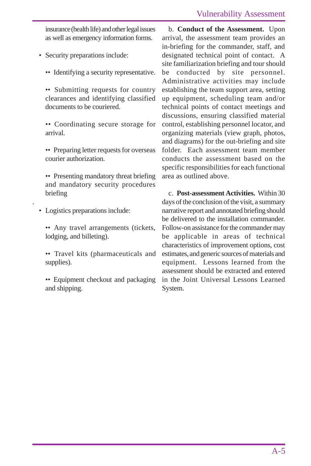insurance (health life) and other legal issues as well as emergency information forms.

- Security preparations include:
	- •• Identifying a security representative.

• Submitting requests for country clearances and identifying classified documents to be couriered.

•• Coordinating secure storage for arrival.

•• Preparing letter requests for overseas courier authorization.

•• Presenting mandatory threat briefing and mandatory security procedures briefing

• Logistics preparations include:

.

• Any travel arrangements (tickets, lodging, and billeting).

•• Travel kits (pharmaceuticals and supplies).

• Equipment checkout and packaging and shipping.

b. **Conduct of the Assessment.** Upon arrival, the assessment team provides an in-briefing for the commander, staff, and designated technical point of contact. A site familiarization briefing and tour should be conducted by site personnel. Administrative activities may include establishing the team support area, setting up equipment, scheduling team and/or technical points of contact meetings and discussions, ensuring classified material control, establishing personnel locator, and organizing materials (view graph, photos, and diagrams) for the out-briefing and site folder. Each assessment team member conducts the assessment based on the specific responsibilities for each functional area as outlined above.

c. **Post-assessment Activities.** Within 30 days of the conclusion of the visit, a summary narrative report and annotated briefing should be delivered to the installation commander. Follow-on assistance for the commander may be applicable in areas of technical characteristics of improvement options, cost estimates, and generic sources of materials and equipment. Lessons learned from the assessment should be extracted and entered in the Joint Universal Lessons Learned System.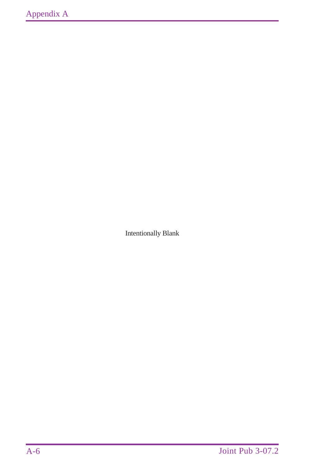Intentionally Blank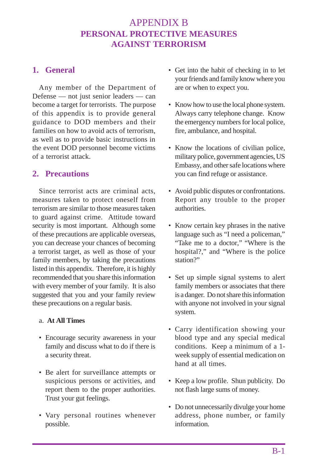# APPENDIX B **PERSONAL PROTECTIVE MEASURES AGAINST TERRORISM**

## **1. General**

Any member of the Department of Defense — not just senior leaders — can become a target for terrorists. The purpose of this appendix is to provide general guidance to DOD members and their families on how to avoid acts of terrorism, as well as to provide basic instructions in the event DOD personnel become victims of a terrorist attack.

## **2. Precautions**

Since terrorist acts are criminal acts, measures taken to protect oneself from terrorism are similar to those measures taken to guard against crime. Attitude toward security is most important. Although some of these precautions are applicable overseas, you can decrease your chances of becoming a terrorist target, as well as those of your family members, by taking the precautions listed in this appendix. Therefore, it is highly recommended that you share this information with every member of your family. It is also suggested that you and your family review these precautions on a regular basis.

#### a. **At All Times**

- Encourage security awareness in your family and discuss what to do if there is a security threat.
- Be alert for surveillance attempts or suspicious persons or activities, and report them to the proper authorities. Trust your gut feelings.
- Vary personal routines whenever possible.
- Get into the habit of checking in to let your friends and family know where you are or when to expect you.
- Know how to use the local phone system. Always carry telephone change. Know the emergency numbers for local police, fire, ambulance, and hospital.
- Know the locations of civilian police, military police, government agencies, US Embassy, and other safe locations where you can find refuge or assistance.
- Avoid public disputes or confrontations. Report any trouble to the proper authorities.
- Know certain key phrases in the native language such as "I need a policeman," "Take me to a doctor," "Where is the hospital?," and "Where is the police station?"
- Set up simple signal systems to alert family members or associates that there is a danger. Do not share this information with anyone not involved in your signal system.
- Carry identification showing your blood type and any special medical conditions. Keep a minimum of a 1 week supply of essential medication on hand at all times.
- Keep a low profile. Shun publicity. Do not flash large sums of money.
- Do not unnecessarily divulge your home address, phone number, or family information.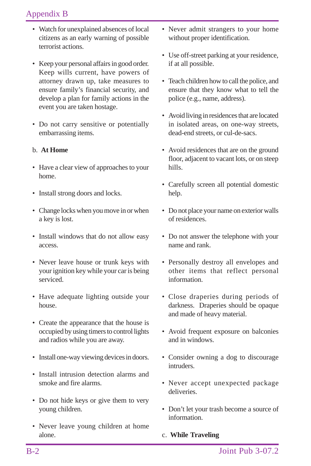# Appendix B

- Watch for unexplained absences of local citizens as an early warning of possible terrorist actions.
- Keep your personal affairs in good order. Keep wills current, have powers of attorney drawn up, take measures to ensure family's financial security, and develop a plan for family actions in the event you are taken hostage.
- Do not carry sensitive or potentially embarrassing items.

#### b. **At Home**

- Have a clear view of approaches to your home.
- Install strong doors and locks.
- Change locks when you move in or when a key is lost.
- Install windows that do not allow easy access.
- Never leave house or trunk keys with your ignition key while your car is being serviced.
- Have adequate lighting outside your house.
- Create the appearance that the house is occupied by using timers to control lights and radios while you are away.
- Install one-way viewing devices in doors.
- Install intrusion detection alarms and smoke and fire alarms.
- Do not hide keys or give them to very young children.
- Never leave young children at home alone.
- Never admit strangers to your home without proper identification.
- Use off-street parking at your residence, if at all possible.
- Teach children how to call the police, and ensure that they know what to tell the police (e.g., name, address).
- Avoid living in residences that are located in isolated areas, on one-way streets, dead-end streets, or cul-de-sacs.
- Avoid residences that are on the ground floor, adjacent to vacant lots, or on steep hills.
- Carefully screen all potential domestic help.
- Do not place your name on exterior walls of residences.
- Do not answer the telephone with your name and rank.
- Personally destroy all envelopes and other items that reflect personal information.
- Close draperies during periods of darkness. Draperies should be opaque and made of heavy material.
- Avoid frequent exposure on balconies and in windows.
- Consider owning a dog to discourage intruders.
- Never accept unexpected package deliveries.
- Don't let your trash become a source of information.
- c. **While Traveling**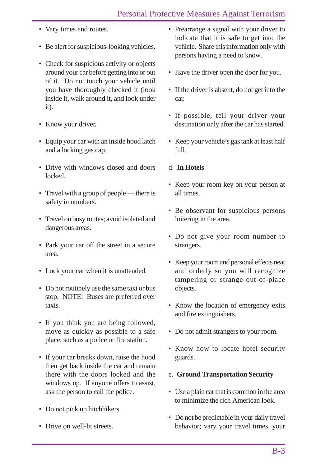- Vary times and routes.
- Be alert for suspicious-looking vehicles.
- Check for suspicious activity or objects around your car before getting into or out of it. Do not touch your vehicle until you have thoroughly checked it (look inside it, walk around it, and look under it).
- Know your driver.
- Equip your car with an inside hood latch and a locking gas cap.
- Drive with windows closed and doors locked.
- Travel with a group of people there is safety in numbers.
- Travel on busy routes; avoid isolated and dangerous areas.
- Park your car off the street in a secure area.
- Lock your car when it is unattended.
- Do not routinely use the same taxi or bus stop. NOTE: Buses are preferred over taxis.
- If you think you are being followed, move as quickly as possible to a safe place, such as a police or fire station.
- If your car breaks down, raise the hood then get back inside the car and remain there with the doors locked and the windows up. If anyone offers to assist, ask the person to call the police.
- Do not pick up hitchhikers.
- Drive on well-lit streets.
- Prearrange a signal with your driver to indicate that it is safe to get into the vehicle. Share this information only with persons having a need to know.
- Have the driver open the door for you.
- If the driver is absent, do not get into the car.
- If possible, tell your driver your destination only after the car has started.
- Keep your vehicle's gas tank at least half full.

#### d. **In Hotels**

- Keep your room key on your person at all times.
- Be observant for suspicious persons loitering in the area.
- Do not give your room number to strangers.
- Keep your room and personal effects neat and orderly so you will recognize tampering or strange out-of-place objects.
- Know the location of emergency exits and fire extinguishers.
- Do not admit strangers to your room.
- Know how to locate hotel security guards.
- e. **Ground Transportation Security**
- Use a plain car that is common in the area to minimize the rich American look.
- Do not be predictable in your daily travel behavior; vary your travel times, your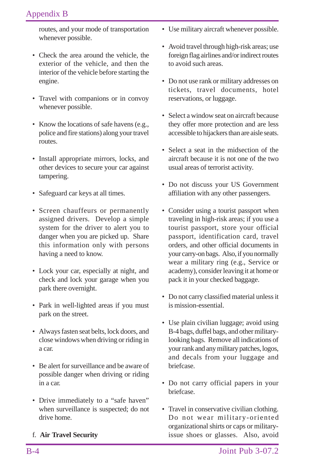## Appendix B

routes, and your mode of transportation whenever possible.

- Check the area around the vehicle, the exterior of the vehicle, and then the interior of the vehicle before starting the engine.
- Travel with companions or in convoy whenever possible.
- Know the locations of safe havens (e.g., police and fire stations) along your travel routes.
- Install appropriate mirrors, locks, and other devices to secure your car against tampering.
- Safeguard car keys at all times.
- Screen chauffeurs or permanently assigned drivers. Develop a simple system for the driver to alert you to danger when you are picked up. Share this information only with persons having a need to know.
- Lock your car, especially at night, and check and lock your garage when you park there overnight.
- Park in well-lighted areas if you must park on the street.
- Always fasten seat belts, lock doors, and close windows when driving or riding in a car.
- Be alert for surveillance and be aware of possible danger when driving or riding in a car.
- Drive immediately to a "safe haven" when surveillance is suspected; do not drive home.
- f. **Air Travel Security**
- Use military aircraft whenever possible.
- Avoid travel through high-risk areas; use foreign flag airlines and/or indirect routes to avoid such areas.
- Do not use rank or military addresses on tickets, travel documents, hotel reservations, or luggage.
- Select a window seat on aircraft because they offer more protection and are less accessible to hijackers than are aisle seats.
- Select a seat in the midsection of the aircraft because it is not one of the two usual areas of terrorist activity.
- Do not discuss your US Government affiliation with any other passengers.
- Consider using a tourist passport when traveling in high-risk areas; if you use a tourist passport, store your official passport, identification card, travel orders, and other official documents in your carry-on bags. Also, if you normally wear a military ring (e.g., Service or academy), consider leaving it at home or pack it in your checked baggage.
- Do not carry classified material unless it is mission-essential.
- Use plain civilian luggage; avoid using B-4 bags, duffel bags, and other militarylooking bags. Remove all indications of your rank and any military patches, logos, and decals from your luggage and briefcase.
- Do not carry official papers in your briefcase.
- Travel in conservative civilian clothing. Do not wear military-oriented organizational shirts or caps or militaryissue shoes or glasses. Also, avoid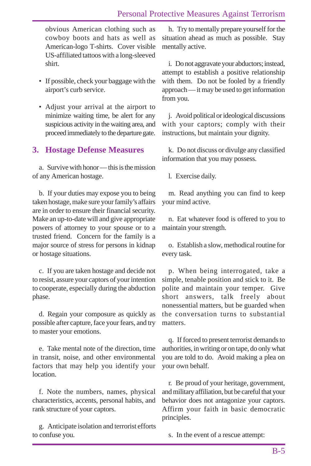obvious American clothing such as cowboy boots and hats as well as American-logo T-shirts. Cover visible US-affiliated tattoos with a long-sleeved shirt.

- If possible, check your baggage with the airport's curb service.
- Adjust your arrival at the airport to minimize waiting time, be alert for any suspicious activity in the waiting area, and proceed immediately to the departure gate.

## **3. Hostage Defense Measures**

a. Survive with honor — this is the mission of any American hostage.

b. If your duties may expose you to being taken hostage, make sure your family's affairs are in order to ensure their financial security. Make an up-to-date will and give appropriate powers of attorney to your spouse or to a trusted friend. Concern for the family is a major source of stress for persons in kidnap or hostage situations.

c. If you are taken hostage and decide not to resist, assure your captors of your intention to cooperate, especially during the abduction phase.

d. Regain your composure as quickly as possible after capture, face your fears, and try to master your emotions.

e. Take mental note of the direction, time in transit, noise, and other environmental factors that may help you identify your location.

f. Note the numbers, names, physical characteristics, accents, personal habits, and rank structure of your captors.

g. Anticipate isolation and terrorist efforts to confuse you.

h. Try to mentally prepare yourself for the situation ahead as much as possible. Stay mentally active.

i. Do not aggravate your abductors; instead, attempt to establish a positive relationship with them. Do not be fooled by a friendly approach — it may be used to get information from you.

j. Avoid political or ideological discussions with your captors; comply with their instructions, but maintain your dignity.

k. Do not discuss or divulge any classified information that you may possess.

l. Exercise daily.

m. Read anything you can find to keep your mind active.

n. Eat whatever food is offered to you to maintain your strength.

o. Establish a slow, methodical routine for every task.

p. When being interrogated, take a simple, tenable position and stick to it. Be polite and maintain your temper. Give short answers, talk freely about nonessential matters, but be guarded when the conversation turns to substantial matters.

q. If forced to present terrorist demands to authorities, in writing or on tape, do only what you are told to do. Avoid making a plea on your own behalf.

r. Be proud of your heritage, government, and military affiliation, but be careful that your behavior does not antagonize your captors. Affirm your faith in basic democratic principles.

s. In the event of a rescue attempt: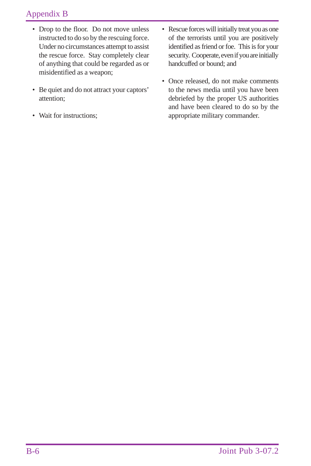# Appendix B

- Drop to the floor. Do not move unless instructed to do so by the rescuing force. Under no circumstances attempt to assist the rescue force. Stay completely clear of anything that could be regarded as or misidentified as a weapon;
- Be quiet and do not attract your captors' attention;
- Wait for instructions;
- Rescue forces will initially treat you as one of the terrorists until you are positively identified as friend or foe. This is for your security. Cooperate, even if you are initially handcuffed or bound; and
- Once released, do not make comments to the news media until you have been debriefed by the proper US authorities and have been cleared to do so by the appropriate military commander.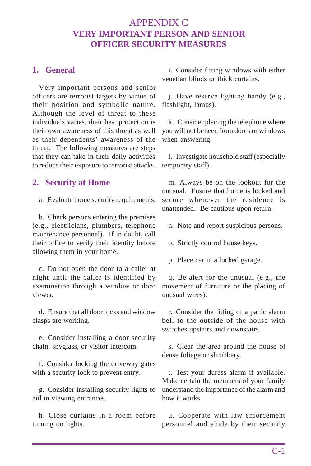# APPENDIX C **VERY IMPORTANT PERSON AND SENIOR OFFICER SECURITY MEASURES**

## **1. General**

Very important persons and senior officers are terrorist targets by virtue of their position and symbolic nature. Although the level of threat to these individuals varies, their best protection is their own awareness of this threat as well as their dependents' awareness of the threat. The following measures are steps that they can take in their daily activities to reduce their exposure to terrorist attacks.

#### **2. Security at Home**

a. Evaluate home security requirements.

b. Check persons entering the premises (e.g., electricians, plumbers, telephone maintenance personnel). If in doubt, call their office to verify their identity before allowing them in your home.

c. Do not open the door to a caller at night until the caller is identified by examination through a window or door viewer.

d. Ensure that all door locks and window clasps are working.

e. Consider installing a door security chain, spyglass, or visitor intercom.

f. Consider locking the driveway gates with a security lock to prevent entry.

g. Consider installing security lights to aid in viewing entrances.

h. Close curtains in a room before turning on lights.

i. Consider fitting windows with either venetian blinds or thick curtains.

j. Have reserve lighting handy (e.g., flashlight, lamps).

k. Consider placing the telephone where you will not be seen from doors or windows when answering.

l. Investigate household staff (especially temporary staff).

m. Always be on the lookout for the unusual. Ensure that home is locked and secure whenever the residence is unattended. Be cautious upon return.

- n. Note and report suspicious persons.
- o. Strictly control house keys.
- p. Place car in a locked garage.

q. Be alert for the unusual (e.g., the movement of furniture or the placing of unusual wires).

r. Consider the fitting of a panic alarm bell to the outside of the house with switches upstairs and downstairs.

s. Clear the area around the house of dense foliage or shrubbery.

t. Test your duress alarm if available. Make certain the members of your family understand the importance of the alarm and how it works.

u. Cooperate with law enforcement personnel and abide by their security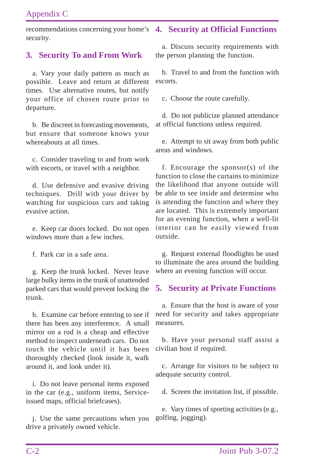recommendations concerning your home's **4. Security at Official Functions** security.

## **3. Security To and From Work**

a. Vary your daily pattern as much as possible. Leave and return at different times. Use alternative routes, but notify your office of chosen route prior to departure.

b. Be discreet in forecasting movements, but ensure that someone knows your whereabouts at all times.

c. Consider traveling to and from work with escorts, or travel with a neighbor.

d. Use defensive and evasive driving techniques. Drill with your driver by watching for suspicious cars and taking evasive action.

e. Keep car doors locked. Do not open windows more than a few inches.

f. Park car in a safe area.

g. Keep the trunk locked. Never leave large bulky items in the trunk of unattended parked cars that would prevent locking the trunk.

h. Examine car before entering to see if there has been any interference. A small mirror on a rod is a cheap and effective method to inspect underneath cars. Do not touch the vehicle until it has been thoroughly checked (look inside it, walk around it, and look under it).

i. Do not leave personal items exposed in the car (e.g., uniform items, Serviceissued maps, official briefcases).

j. Use the same precautions when you drive a privately owned vehicle.

a. Discuss security requirements with the person planning the function.

b. Travel to and from the function with escorts.

c. Choose the route carefully.

d. Do not publicize planned attendance at official functions unless required.

e. Attempt to sit away from both public areas and windows.

f. Encourage the sponsor(s) of the function to close the curtains to minimize the likelihood that anyone outside will be able to see inside and determine who is attending the function and where they are located. This is extremely important for an evening function, when a well-lit interior can be easily viewed from outside.

g. Request external floodlights be used to illuminate the area around the building where an evening function will occur.

## **5. Security at Private Functions**

a. Ensure that the host is aware of your need for security and takes appropriate measures.

b. Have your personal staff assist a civilian host if required.

c. Arrange for visitors to be subject to adequate security control.

d. Screen the invitation list, if possible.

e. Vary times of sporting activities (e.g., golfing, jogging).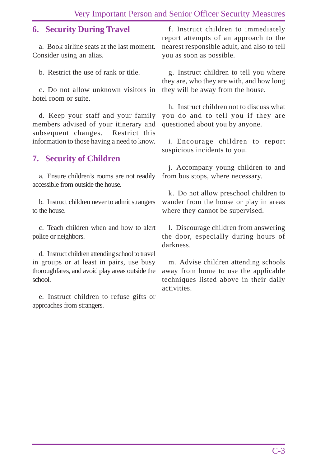#### **6. Security During Travel**

a. Book airline seats at the last moment. Consider using an alias.

b. Restrict the use of rank or title.

c. Do not allow unknown visitors in hotel room or suite.

d. Keep your staff and your family members advised of your itinerary and subsequent changes. Restrict this information to those having a need to know.

#### **7. Security of Children**

a. Ensure children's rooms are not readily accessible from outside the house.

b. Instruct children never to admit strangers to the house.

c. Teach children when and how to alert police or neighbors.

d. Instruct children attending school to travel in groups or at least in pairs, use busy thoroughfares, and avoid play areas outside the school.

e. Instruct children to refuse gifts or approaches from strangers.

f. Instruct children to immediately report attempts of an approach to the nearest responsible adult, and also to tell you as soon as possible.

g. Instruct children to tell you where they are, who they are with, and how long they will be away from the house.

h. Instruct children not to discuss what you do and to tell you if they are questioned about you by anyone.

i. Encourage children to report suspicious incidents to you.

j. Accompany young children to and from bus stops, where necessary.

k. Do not allow preschool children to wander from the house or play in areas where they cannot be supervised.

l. Discourage children from answering the door, especially during hours of darkness.

m. Advise children attending schools away from home to use the applicable techniques listed above in their daily activities.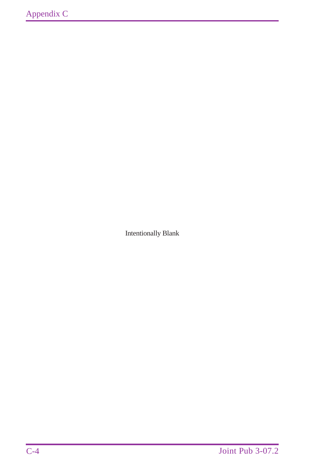Intentionally Blank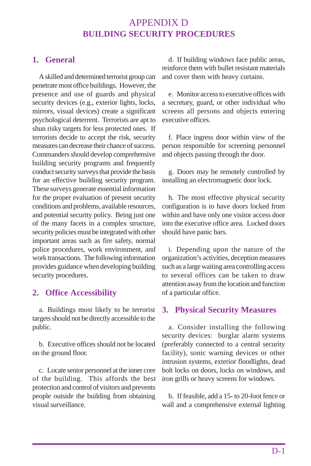# APPENDIX D **BUILDING SECURITY PROCEDURES**

## **1. General**

A skilled and determined terrorist group can penetrate most office buildings. However, the presence and use of guards and physical security devices (e.g., exterior lights, locks, mirrors, visual devices) create a significant psychological deterrent. Terrorists are apt to shun risky targets for less protected ones. If terrorists decide to accept the risk, security measures can decrease their chance of success. Commanders should develop comprehensive building security programs and frequently conduct security surveys that provide the basis for an effective building security program. These surveys generate essential information for the proper evaluation of present security conditions and problems, available resources, and potential security policy. Being just one of the many facets in a complex structure, security policies must be integrated with other important areas such as fire safety, normal police procedures, work environment, and work transactions. The following information provides guidance when developing building security procedures.

## **2. Office Accessibility**

a. Buildings most likely to be terrorist targets should not be directly accessible to the public.

b. Executive offices should not be located on the ground floor.

c. Locate senior personnel at the inner core of the building. This affords the best protection and control of visitors and prevents people outside the building from obtaining visual surveillance.

d. If building windows face public areas, reinforce them with bullet resistant materials and cover them with heavy curtains.

e. Monitor access to executive offices with a secretary, guard, or other individual who screens all persons and objects entering executive offices.

f. Place ingress door within view of the person responsible for screening personnel and objects passing through the door.

g. Doors may be remotely controlled by installing an electromagnetic door lock.

h. The most effective physical security configuration is to have doors locked from within and have only one visitor access door into the executive office area. Locked doors should have panic bars.

i. Depending upon the nature of the organization's activities, deception measures such as a large waiting area controlling access to several offices can be taken to draw attention away from the location and function of a particular office.

#### **3. Physical Security Measures**

a. Consider installing the following security devices: burglar alarm systems (preferably connected to a central security facility), sonic warning devices or other intrusion systems, exterior floodlights, dead bolt locks on doors, locks on windows, and iron grills or heavy screens for windows.

b. If feasible, add a 15- to 20-foot fence or wall and a comprehensive external lighting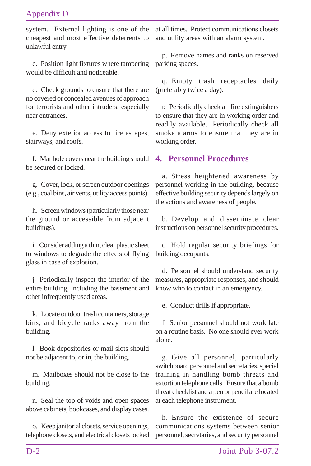system. External lighting is one of the cheapest and most effective deterrents to unlawful entry.

c. Position light fixtures where tampering would be difficult and noticeable.

d. Check grounds to ensure that there are no covered or concealed avenues of approach for terrorists and other intruders, especially near entrances.

e. Deny exterior access to fire escapes, stairways, and roofs.

f. Manhole covers near the building should be secured or locked.

g. Cover, lock, or screen outdoor openings (e.g., coal bins, air vents, utility access points).

h. Screen windows (particularly those near the ground or accessible from adjacent buildings).

i. Consider adding a thin, clear plastic sheet to windows to degrade the effects of flying glass in case of explosion.

j. Periodically inspect the interior of the entire building, including the basement and other infrequently used areas.

k. Locate outdoor trash containers, storage bins, and bicycle racks away from the building.

l. Book depositories or mail slots should not be adjacent to, or in, the building.

m. Mailboxes should not be close to the building.

n. Seal the top of voids and open spaces above cabinets, bookcases, and display cases.

o. Keep janitorial closets, service openings, telephone closets, and electrical closets locked at all times. Protect communications closets and utility areas with an alarm system.

p. Remove names and ranks on reserved parking spaces.

q. Empty trash receptacles daily (preferably twice a day).

r. Periodically check all fire extinguishers to ensure that they are in working order and readily available. Periodically check all smoke alarms to ensure that they are in working order.

## **4. Personnel Procedures**

a. Stress heightened awareness by personnel working in the building, because effective building security depends largely on the actions and awareness of people.

b. Develop and disseminate clear instructions on personnel security procedures.

c. Hold regular security briefings for building occupants.

d. Personnel should understand security measures, appropriate responses, and should know who to contact in an emergency.

e. Conduct drills if appropriate.

f. Senior personnel should not work late on a routine basis. No one should ever work alone.

g. Give all personnel, particularly switchboard personnel and secretaries, special training in handling bomb threats and extortion telephone calls. Ensure that a bomb threat checklist and a pen or pencil are located at each telephone instrument.

h. Ensure the existence of secure communications systems between senior personnel, secretaries, and security personnel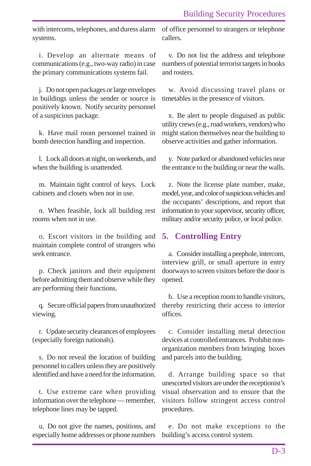with intercoms, telephones, and duress alarm systems.

i. Develop an alternate means of communications (e.g., two-way radio) in case the primary communications systems fail.

j. Do not open packages or large envelopes in buildings unless the sender or source is positively known. Notify security personnel of a suspicious package.

k. Have mail room personnel trained in bomb detection handling and inspection.

l. Lock all doors at night, on weekends, and when the building is unattended.

m. Maintain tight control of keys. Lock cabinets and closets when not in use.

n. When feasible, lock all building rest rooms when not in use.

o. Escort visitors in the building and maintain complete control of strangers who seek entrance.

p. Check janitors and their equipment before admitting them and observe while they are performing their functions.

q. Secure official papers from unauthorized viewing.

r. Update security clearances of employees (especially foreign nationals).

s. Do not reveal the location of building personnel to callers unless they are positively identified and have a need for the information.

t. Use extreme care when providing information over the telephone — remember, telephone lines may be tapped.

u. Do not give the names, positions, and especially home addresses or phone numbers of office personnel to strangers or telephone callers.

v. Do not list the address and telephone numbers of potential terrorist targets in books and rosters.

w. Avoid discussing travel plans or timetables in the presence of visitors.

x. Be alert to people disguised as public utility crews (e.g., road workers, vendors) who might station themselves near the building to observe activities and gather information.

y. Note parked or abandoned vehicles near the entrance to the building or near the walls.

z. Note the license plate number, make, model, year, and color of suspicious vehicles and the occupants' descriptions, and report that information to your supervisor, security officer, military and/or security police, or local police.

## **5. Controlling Entry**

a. Consider installing a peephole, intercom, interview grill, or small aperture in entry doorways to screen visitors before the door is opened.

b. Use a reception room to handle visitors, thereby restricting their access to interior offices.

c. Consider installing metal detection devices at controlled entrances. Prohibit nonorganization members from bringing boxes and parcels into the building.

d. Arrange building space so that unescorted visitors are under the receptionist's visual observation and to ensure that the visitors follow stringent access control procedures.

e. Do not make exceptions to the building's access control system.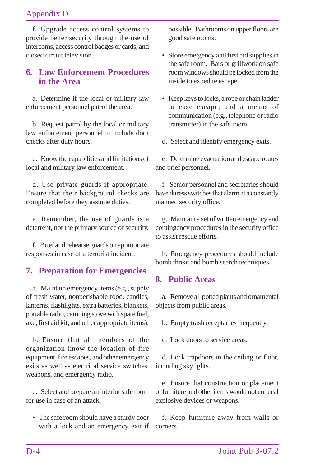## Appendix D

f. Upgrade access control systems to provide better security through the use of intercoms, access control badges or cards, and closed circuit television.

## **6. Law Enforcement Procedures in the Area**

a. Determine if the local or military law enforcement personnel patrol the area.

b. Request patrol by the local or military law enforcement personnel to include door checks after duty hours.

c. Know the capabilities and limitations of local and military law enforcement.

d. Use private guards if appropriate. Ensure that their background checks are completed before they assume duties.

e. Remember, the use of guards is a deterrent, not the primary source of security.

f. Brief and rehearse guards on appropriate responses in case of a terrorist incident.

## **7. Preparation for Emergencies**

a. Maintain emergency items (e.g., supply of fresh water, nonperishable food, candles, lanterns, flashlights, extra batteries, blankets, portable radio, camping stove with spare fuel, axe, first aid kit, and other appropriate items).

b. Ensure that all members of the organization know the location of fire equipment, fire escapes, and other emergency exits as well as electrical service switches, weapons, and emergency radio.

c. Select and prepare an interior safe room for use in case of an attack.

• The safe room should have a sturdy door with a lock and an emergency exit if possible. Bathrooms on upper floors are good safe rooms.

- Store emergency and first aid supplies in the safe room. Bars or grillwork on safe room windows should be locked from the inside to expedite escape.
- Keep keys to locks, a rope or chain ladder to ease escape, and a means of communication (e.g., telephone or radio transmitter) in the safe room.
- d. Select and identify emergency exits.

e. Determine evacuation and escape routes and brief personnel.

f. Senior personnel and secretaries should have duress switches that alarm at a constantly manned security office.

g. Maintain a set of written emergency and contingency procedures in the security office to assist rescue efforts.

h. Emergency procedures should include bomb threat and bomb search techniques.

#### **8. Public Areas**

a. Remove all potted plants and ornamental objects from public areas.

b. Empty trash receptacles frequently.

c. Lock doors to service areas.

d. Lock trapdoors in the ceiling or floor, including skylights.

e. Ensure that construction or placement of furniture and other items would not conceal explosive devices or weapons.

f. Keep furniture away from walls or corners.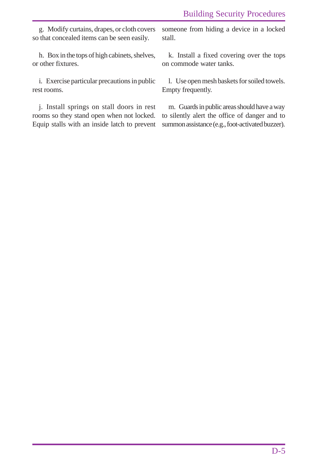g. Modify curtains, drapes, or cloth covers so that concealed items can be seen easily.

h. Box in the tops of high cabinets, shelves, or other fixtures.

i. Exercise particular precautions in public rest rooms.

j. Install springs on stall doors in rest rooms so they stand open when not locked. Equip stalls with an inside latch to prevent

someone from hiding a device in a locked stall.

k. Install a fixed covering over the tops on commode water tanks.

l. Use open mesh baskets for soiled towels. Empty frequently.

m. Guards in public areas should have a way to silently alert the office of danger and to summon assistance (e.g., foot-activated buzzer).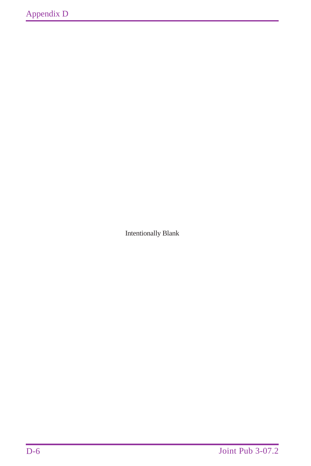Intentionally Blank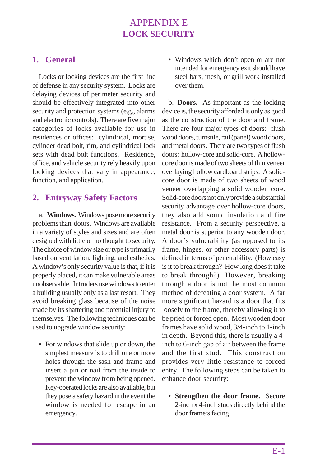# APPENDIX E **LOCK SECURITY**

### **1. General**

Locks or locking devices are the first line of defense in any security system. Locks are delaying devices of perimeter security and should be effectively integrated into other security and protection systems (e.g., alarms and electronic controls). There are five major categories of locks available for use in residences or offices: cylindrical, mortise, cylinder dead bolt, rim, and cylindrical lock sets with dead bolt functions. Residence, office, and vehicle security rely heavily upon locking devices that vary in appearance, function, and application.

### **2. Entryway Safety Factors**

a. **Windows.** Windows pose more security problems than doors. Windows are available in a variety of styles and sizes and are often designed with little or no thought to security. The choice of window size or type is primarily based on ventilation, lighting, and esthetics. A window's only security value is that, if it is properly placed, it can make vulnerable areas unobservable. Intruders use windows to enter a building usually only as a last resort. They avoid breaking glass because of the noise made by its shattering and potential injury to themselves. The following techniques can be used to upgrade window security:

• For windows that slide up or down, the simplest measure is to drill one or more holes through the sash and frame and insert a pin or nail from the inside to prevent the window from being opened. Key-operated locks are also available, but they pose a safety hazard in the event the window is needed for escape in an emergency.

• Windows which don't open or are not intended for emergency exit should have steel bars, mesh, or grill work installed over them.

b. **Doors.** As important as the locking device is, the security afforded is only as good as the construction of the door and frame. There are four major types of doors: flush wood doors, turnstile, rail (panel) wood doors, and metal doors. There are two types of flush doors: hollow-core and solid-core. A hollowcore door is made of two sheets of thin veneer overlaying hollow cardboard strips. A solidcore door is made of two sheets of wood veneer overlapping a solid wooden core. Solid-core doors not only provide a substantial security advantage over hollow-core doors, they also add sound insulation and fire resistance. From a security perspective, a metal door is superior to any wooden door. A door's vulnerability (as opposed to its frame, hinges, or other accessory parts) is defined in terms of penetrability. (How easy is it to break through? How long does it take to break through?) However, breaking through a door is not the most common method of defeating a door system. A far more significant hazard is a door that fits loosely to the frame, thereby allowing it to be pried or forced open. Most wooden door frames have solid wood, 3/4-inch to 1-inch in depth. Beyond this, there is usually a 4 inch to 6-inch gap of air between the frame and the first stud. This construction provides very little resistance to forced entry. The following steps can be taken to enhance door security:

• **Strengthen the door frame.** Secure 2-inch x 4-inch studs directly behind the door frame's facing.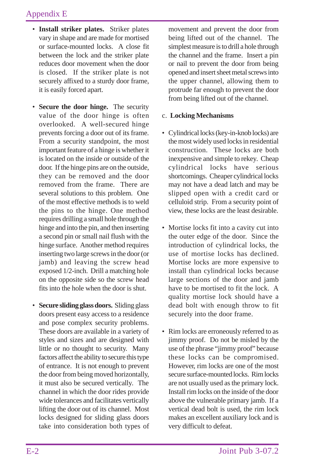## Appendix E

- **Install striker plates.** Striker plates vary in shape and are made for mortised or surface-mounted locks. A close fit between the lock and the striker plate reduces door movement when the door is closed. If the striker plate is not securely affixed to a sturdy door frame, it is easily forced apart.
- **Secure the door hinge.** The security value of the door hinge is often overlooked. A well-secured hinge prevents forcing a door out of its frame. From a security standpoint, the most important feature of a hinge is whether it is located on the inside or outside of the door. If the hinge pins are on the outside, they can be removed and the door removed from the frame. There are several solutions to this problem. One of the most effective methods is to weld the pins to the hinge. One method requires drilling a small hole through the hinge and into the pin, and then inserting a second pin or small nail flush with the hinge surface. Another method requires inserting two large screws in the door (or jamb) and leaving the screw head exposed 1/2-inch. Drill a matching hole on the opposite side so the screw head fits into the hole when the door is shut.
- **Secure sliding glass doors.** Sliding glass doors present easy access to a residence and pose complex security problems. These doors are available in a variety of styles and sizes and are designed with little or no thought to security. Many factors affect the ability to secure this type of entrance. It is not enough to prevent the door from being moved horizontally, it must also be secured vertically. The channel in which the door rides provide wide tolerances and facilitates vertically lifting the door out of its channel. Most locks designed for sliding glass doors take into consideration both types of

movement and prevent the door from being lifted out of the channel. The simplest measure is to drill a hole through the channel and the frame. Insert a pin or nail to prevent the door from being opened and insert sheet metal screws into the upper channel, allowing them to protrude far enough to prevent the door from being lifted out of the channel.

#### c. **Locking Mechanisms**

- Cylindrical locks (key-in-knob locks) are the most widely used locks in residential construction. These locks are both inexpensive and simple to rekey. Cheap cylindrical locks have serious shortcomings. Cheaper cylindrical locks may not have a dead latch and may be slipped open with a credit card or celluloid strip. From a security point of view, these locks are the least desirable.
- Mortise locks fit into a cavity cut into the outer edge of the door. Since the introduction of cylindrical locks, the use of mortise locks has declined. Mortise locks are more expensive to install than cylindrical locks because large sections of the door and jamb have to be mortised to fit the lock. A quality mortise lock should have a dead bolt with enough throw to fit securely into the door frame.
- Rim locks are erroneously referred to as jimmy proof. Do not be misled by the use of the phrase "jimmy proof" because these locks can be compromised. However, rim locks are one of the most secure surface-mounted locks. Rim locks are not usually used as the primary lock. Install rim locks on the inside of the door above the vulnerable primary jamb. If a vertical dead bolt is used, the rim lock makes an excellent auxiliary lock and is very difficult to defeat.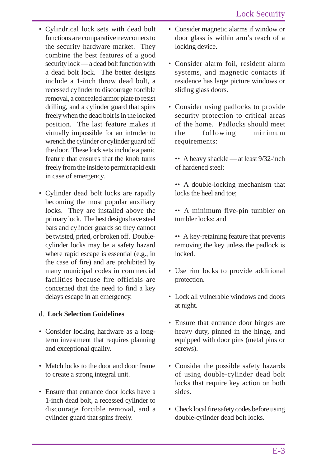- Cylindrical lock sets with dead bolt functions are comparative newcomers to the security hardware market. They combine the best features of a good security lock — a dead bolt function with a dead bolt lock. The better designs include a 1-inch throw dead bolt, a recessed cylinder to discourage forcible removal, a concealed armor plate to resist drilling, and a cylinder guard that spins freely when the dead bolt is in the locked position. The last feature makes it virtually impossible for an intruder to wrench the cylinder or cylinder guard off the door. These lock sets include a panic feature that ensures that the knob turns freely from the inside to permit rapid exit in case of emergency.
- Cylinder dead bolt locks are rapidly becoming the most popular auxiliary locks. They are installed above the primary lock. The best designs have steel bars and cylinder guards so they cannot be twisted, pried, or broken off. Doublecylinder locks may be a safety hazard where rapid escape is essential (e.g., in the case of fire) and are prohibited by many municipal codes in commercial facilities because fire officials are concerned that the need to find a key delays escape in an emergency.

#### d. **Lock Selection Guidelines**

- Consider locking hardware as a longterm investment that requires planning and exceptional quality.
- Match locks to the door and door frame to create a strong integral unit.
- Ensure that entrance door locks have a 1-inch dead bolt, a recessed cylinder to discourage forcible removal, and a cylinder guard that spins freely.
- Consider magnetic alarms if window or door glass is within arm's reach of a locking device.
- Consider alarm foil, resident alarm systems, and magnetic contacts if residence has large picture windows or sliding glass doors.
- Consider using padlocks to provide security protection to critical areas of the home. Padlocks should meet the following minimum requirements:
	- •• A heavy shackle at least 9/32-inch of hardened steel;
	- •• A double-locking mechanism that locks the heel and toe;
	- •• A minimum five-pin tumbler on tumbler locks; and
	- •• A key-retaining feature that prevents removing the key unless the padlock is locked.
- Use rim locks to provide additional protection.
- Lock all vulnerable windows and doors at night.
- Ensure that entrance door hinges are heavy duty, pinned in the hinge, and equipped with door pins (metal pins or screws).
- Consider the possible safety hazards of using double-cylinder dead bolt locks that require key action on both sides.
- Check local fire safety codes before using double-cylinder dead bolt locks.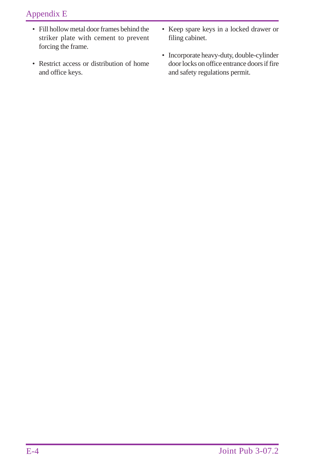# Appendix E

- Fill hollow metal door frames behind the striker plate with cement to prevent forcing the frame.
- Restrict access or distribution of home and office keys.
- Keep spare keys in a locked drawer or filing cabinet.
- Incorporate heavy-duty, double-cylinder door locks on office entrance doors if fire and safety regulations permit.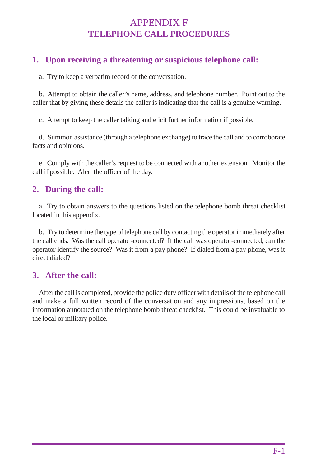# APPENDIX F **TELEPHONE CALL PROCEDURES**

## **1. Upon receiving a threatening or suspicious telephone call:**

a. Try to keep a verbatim record of the conversation.

b. Attempt to obtain the caller's name, address, and telephone number. Point out to the caller that by giving these details the caller is indicating that the call is a genuine warning.

c. Attempt to keep the caller talking and elicit further information if possible.

d. Summon assistance (through a telephone exchange) to trace the call and to corroborate facts and opinions.

e. Comply with the caller's request to be connected with another extension. Monitor the call if possible. Alert the officer of the day.

### **2. During the call:**

a. Try to obtain answers to the questions listed on the telephone bomb threat checklist located in this appendix.

b. Try to determine the type of telephone call by contacting the operator immediately after the call ends. Was the call operator-connected? If the call was operator-connected, can the operator identify the source? Was it from a pay phone? If dialed from a pay phone, was it direct dialed?

### **3. After the call:**

After the call is completed, provide the police duty officer with details of the telephone call and make a full written record of the conversation and any impressions, based on the information annotated on the telephone bomb threat checklist. This could be invaluable to the local or military police.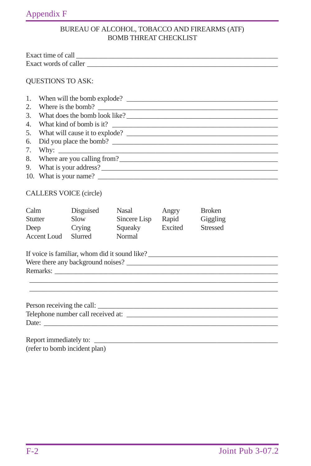### BUREAU OF ALCOHOL, TOBACCO AND FIREARMS (ATF) BOMB THREAT CHECKLIST

| <b>QUESTIONS TO ASK:</b>      |                               |                        |         |                                               |  |
|-------------------------------|-------------------------------|------------------------|---------|-----------------------------------------------|--|
| $\mathbf{1}$ .                |                               |                        |         |                                               |  |
| 2.                            |                               |                        |         | Where is the bomb?                            |  |
| 3.                            |                               |                        |         |                                               |  |
| 4.                            |                               |                        |         | What kind of bomb is it?                      |  |
| 5.                            |                               |                        |         |                                               |  |
| 6.                            |                               |                        |         | Did you place the bomb?                       |  |
| 7.                            |                               |                        |         |                                               |  |
| 8.                            |                               |                        |         |                                               |  |
| 9.                            |                               |                        |         | What is your address?                         |  |
|                               |                               |                        |         |                                               |  |
| <b>CALLERS VOICE (circle)</b> |                               |                        |         |                                               |  |
| Calm                          | Disguised                     | Nasal                  | Angry   | <b>Broken</b>                                 |  |
| Stutter                       | Slow                          | Sincere Lisp           | Rapid   | Giggling                                      |  |
| Deep                          | Crying                        | Squeaky                | Excited | Stressed                                      |  |
| <b>Accent Loud</b>            | Slurred                       | Normal                 |         |                                               |  |
|                               |                               |                        |         | If voice is familiar, whom did it sound like? |  |
|                               |                               |                        |         |                                               |  |
|                               |                               |                        |         |                                               |  |
|                               |                               |                        |         |                                               |  |
|                               |                               |                        |         |                                               |  |
|                               |                               |                        |         |                                               |  |
|                               |                               |                        |         |                                               |  |
|                               |                               |                        |         |                                               |  |
|                               |                               |                        |         |                                               |  |
|                               |                               | Report immediately to: |         |                                               |  |
|                               | (refer to bomb incident plan) |                        |         |                                               |  |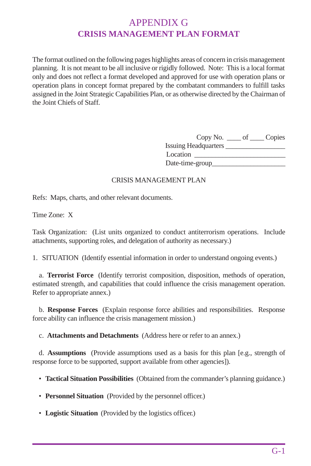# APPENDIX G **CRISIS MANAGEMENT PLAN FORMAT**

The format outlined on the following pages highlights areas of concern in crisis management planning. It is not meant to be all inclusive or rigidly followed. Note: This is a local format only and does not reflect a format developed and approved for use with operation plans or operation plans in concept format prepared by the combatant commanders to fulfill tasks assigned in the Joint Strategic Capabilities Plan, or as otherwise directed by the Chairman of the Joint Chiefs of Staff.

| Copy No.                    | $\sigma$ f | Copies |
|-----------------------------|------------|--------|
| <b>Issuing Headquarters</b> |            |        |
| Location                    |            |        |
| Date-time-group             |            |        |

#### CRISIS MANAGEMENT PLAN

Refs: Maps, charts, and other relevant documents.

Time Zone: X

Task Organization: (List units organized to conduct antiterrorism operations. Include attachments, supporting roles, and delegation of authority as necessary.)

1. SITUATION (Identify essential information in order to understand ongoing events.)

a. **Terrorist Force** (Identify terrorist composition, disposition, methods of operation, estimated strength, and capabilities that could influence the crisis management operation. Refer to appropriate annex.)

b. **Response Forces** (Explain response force abilities and responsibilities. Response force ability can influence the crisis management mission.)

c. **Attachments and Detachments** (Address here or refer to an annex.)

d. **Assumptions** (Provide assumptions used as a basis for this plan [e.g., strength of response force to be supported, support available from other agencies]).

• **Tactical Situation Possibilities** (Obtained from the commander's planning guidance.)

• **Personnel Situation** (Provided by the personnel officer.)

• **Logistic Situation** (Provided by the logistics officer.)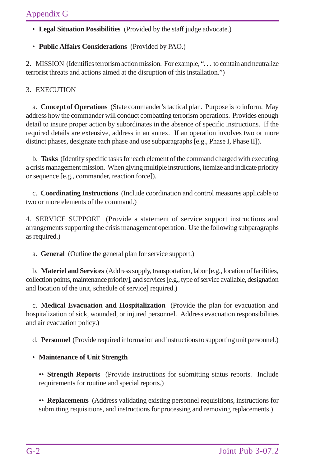- **Legal Situation Possibilities** (Provided by the staff judge advocate.)
- **Public Affairs Considerations** (Provided by PAO.)

2. MISSION (Identifies terrorism action mission. For example, ". . . to contain and neutralize terrorist threats and actions aimed at the disruption of this installation.")

### 3. EXECUTION

a. **Concept of Operations** (State commander's tactical plan. Purpose is to inform. May address how the commander will conduct combatting terrorism operations. Provides enough detail to insure proper action by subordinates in the absence of specific instructions. If the required details are extensive, address in an annex. If an operation involves two or more distinct phases, designate each phase and use subparagraphs [e.g., Phase I, Phase II]).

b. **Tasks** (Identify specific tasks for each element of the command charged with executing a crisis management mission. When giving multiple instructions, itemize and indicate priority or sequence [e.g., commander, reaction force]).

c. **Coordinating Instructions** (Include coordination and control measures applicable to two or more elements of the command.)

4. SERVICE SUPPORT (Provide a statement of service support instructions and arrangements supporting the crisis management operation. Use the following subparagraphs as required.)

a. **General** (Outline the general plan for service support.)

b. **Materiel and Services** (Address supply, transportation, labor [e.g., location of facilities, collection points, maintenance priority], and services [e.g., type of service available, designation and location of the unit, schedule of service] required.)

c. **Medical Evacuation and Hospitalization** (Provide the plan for evacuation and hospitalization of sick, wounded, or injured personnel. Address evacuation responsibilities and air evacuation policy.)

d. **Personnel** (Provide required information and instructions to supporting unit personnel.)

### • **Maintenance of Unit Strength**

•• **Strength Reports** (Provide instructions for submitting status reports. Include requirements for routine and special reports.)

•• **Replacements** (Address validating existing personnel requisitions, instructions for submitting requisitions, and instructions for processing and removing replacements.)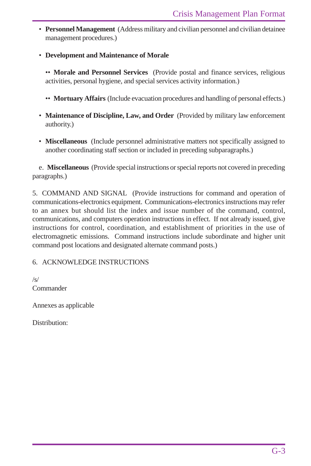- **Personnel Management** (Address military and civilian personnel and civilian detainee management procedures.)
- **Development and Maintenance of Morale**

•• **Morale and Personnel Services** (Provide postal and finance services, religious activities, personal hygiene, and special services activity information.)

- •• **Mortuary Affairs** (Include evacuation procedures and handling of personal effects.)
- **Maintenance of Discipline, Law, and Order** (Provided by military law enforcement authority.)
- **Miscellaneous** (Include personnel administrative matters not specifically assigned to another coordinating staff section or included in preceding subparagraphs.)

e. **Miscellaneous** (Provide special instructions or special reports not covered in preceding paragraphs.)

5. COMMAND AND SIGNAL (Provide instructions for command and operation of communications-electronics equipment. Communications-electronics instructions may refer to an annex but should list the index and issue number of the command, control, communications, and computers operation instructions in effect. If not already issued, give instructions for control, coordination, and establishment of priorities in the use of electromagnetic emissions. Command instructions include subordinate and higher unit command post locations and designated alternate command posts.)

### 6. ACKNOWLEDGE INSTRUCTIONS

/s/ **Commander** 

Annexes as applicable

Distribution: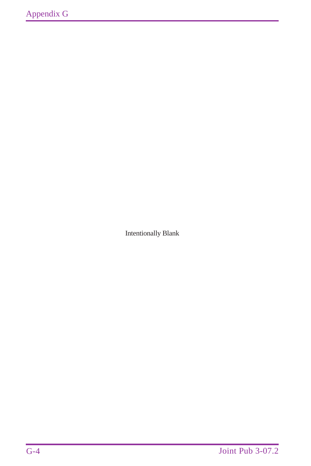Intentionally Blank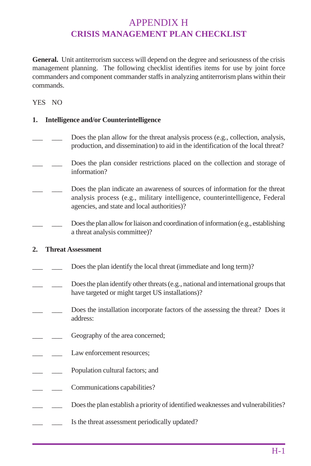# APPENDIX H **CRISIS MANAGEMENT PLAN CHECKLIST**

General. Unit antiterrorism success will depend on the degree and seriousness of the crisis management planning. The following checklist identifies items for use by joint force commanders and component commander staffs in analyzing antiterrorism plans within their commands.

YES NO

| 1. |  | <b>Intelligence and/or Counterintelligence</b> |
|----|--|------------------------------------------------|
|----|--|------------------------------------------------|

- Does the plan allow for the threat analysis process (e.g., collection, analysis, production, and dissemination) to aid in the identification of the local threat?
- Does the plan consider restrictions placed on the collection and storage of information?
- Does the plan indicate an awareness of sources of information for the threat analysis process (e.g., military intelligence, counterintelligence, Federal agencies, and state and local authorities)?
- Does the plan allow for liaison and coordination of information (e.g., establishing a threat analysis committee)?

#### **2. Threat Assessment**

- Does the plan identify the local threat (immediate and long term)?
- Does the plan identify other threats (e.g., national and international groups that have targeted or might target US installations)?
- Does the installation incorporate factors of the assessing the threat? Does it address:
- Geography of the area concerned;
- Law enforcement resources;
- Population cultural factors; and
- Communications capabilities?
- Does the plan establish a priority of identified weaknesses and vulnerabilities?
- Is the threat assessment periodically updated?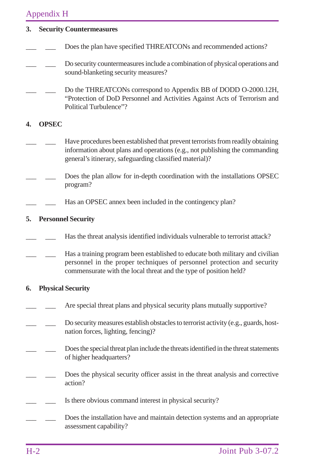# Appendix H

| 3. |              | <b>Security Countermeasures</b>                                                                                                                                                                                               |
|----|--------------|-------------------------------------------------------------------------------------------------------------------------------------------------------------------------------------------------------------------------------|
|    |              | Does the plan have specified THREATCONs and recommended actions?                                                                                                                                                              |
|    |              | Do security countermeasures include a combination of physical operations and<br>sound-blanketing security measures?                                                                                                           |
|    |              | Do the THREATCONs correspond to Appendix BB of DODD O-2000.12H,<br>"Protection of DoD Personnel and Activities Against Acts of Terrorism and<br>Political Turbulence"?                                                        |
|    | <b>OPSEC</b> |                                                                                                                                                                                                                               |
|    |              | Have procedures been established that prevent terrorists from readily obtaining<br>information about plans and operations (e.g., not publishing the commanding<br>general's itinerary, safeguarding classified material)?     |
|    |              | Does the plan allow for in-depth coordination with the installations OPSEC<br>program?                                                                                                                                        |
|    |              | Has an OPSEC annex been included in the contingency plan?                                                                                                                                                                     |
| 5. |              | <b>Personnel Security</b>                                                                                                                                                                                                     |
|    |              | Has the threat analysis identified individuals vulnerable to terrorist attack?                                                                                                                                                |
|    |              | Has a training program been established to educate both military and civilian<br>personnel in the proper techniques of personnel protection and security<br>commensurate with the local threat and the type of position held? |
| 6. |              | <b>Physical Security</b>                                                                                                                                                                                                      |
|    |              | Are special threat plans and physical security plans mutually supportive?                                                                                                                                                     |
|    |              | Do security measures establish obstacles to terrorist activity (e.g., guards, host-<br>nation forces, lighting, fencing)?                                                                                                     |
|    |              | Does the special threat plan include the threats identified in the threat statements<br>of higher headquarters?                                                                                                               |
|    |              | Does the physical security officer assist in the threat analysis and corrective<br>action?                                                                                                                                    |
|    |              | Is there obvious command interest in physical security?                                                                                                                                                                       |
|    |              | Does the installation have and maintain detection systems and an appropriate<br>assessment capability?                                                                                                                        |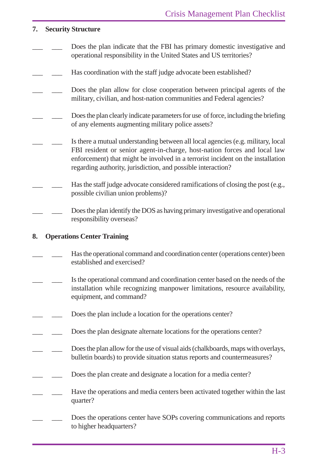#### **7. Security Structure**

- Does the plan indicate that the FBI has primary domestic investigative and operational responsibility in the United States and US territories?
- Has coordination with the staff judge advocate been established?
- Does the plan allow for close cooperation between principal agents of the military, civilian, and host-nation communities and Federal agencies?
- Does the plan clearly indicate parameters for use of force, including the briefing of any elements augmenting military police assets?
- Is there a mutual understanding between all local agencies (e.g. military, local FBI resident or senior agent-in-charge, host-nation forces and local law enforcement) that might be involved in a terrorist incident on the installation regarding authority, jurisdiction, and possible interaction?
- Has the staff judge advocate considered ramifications of closing the post (e.g., possible civilian union problems)?
- Does the plan identify the DOS as having primary investigative and operational responsibility overseas?

#### **8. Operations Center Training**

- Has the operational command and coordination center (operations center) been established and exercised?
- Is the operational command and coordination center based on the needs of the installation while recognizing manpower limitations, resource availability, equipment, and command?
- Does the plan include a location for the operations center?
- Does the plan designate alternate locations for the operations center?
- Does the plan allow for the use of visual aids (chalkboards, maps with overlays, bulletin boards) to provide situation status reports and countermeasures?
- Does the plan create and designate a location for a media center?
- Have the operations and media centers been activated together within the last quarter?
- Does the operations center have SOPs covering communications and reports to higher headquarters?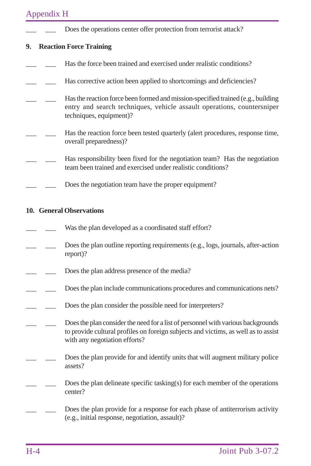## Appendix H

|    | Does the operations center offer protection from terrorist attack?                                                                                                                    |
|----|---------------------------------------------------------------------------------------------------------------------------------------------------------------------------------------|
| 9. | <b>Reaction Force Training</b>                                                                                                                                                        |
|    | Has the force been trained and exercised under realistic conditions?                                                                                                                  |
|    | Has corrective action been applied to shortcomings and deficiencies?                                                                                                                  |
|    | Has the reaction force been formed and mission-specified trained (e.g., building<br>entry and search techniques, vehicle assault operations, countersniper<br>techniques, equipment)? |
|    | Has the reaction force been tested quarterly (alert procedures, response time,<br>overall preparedness)?                                                                              |
|    | Has responsibility been fixed for the negotiation team? Has the negotiation<br>team been trained and exercised under realistic conditions?                                            |
|    | Does the negotiation team have the proper equipment?                                                                                                                                  |

#### **10. General Observations**

- Was the plan developed as a coordinated staff effort?
- Does the plan outline reporting requirements (e.g., logs, journals, after-action report)?
- Does the plan address presence of the media?
- Does the plan include communications procedures and communications nets?
- Does the plan consider the possible need for interpreters?
- Does the plan consider the need for a list of personnel with various backgrounds to provide cultural profiles on foreign subjects and victims, as well as to assist with any negotiation efforts?
- Does the plan provide for and identify units that will augment military police assets?
- Does the plan delineate specific tasking(s) for each member of the operations center?
- Does the plan provide for a response for each phase of antiterrorism activity (e.g., initial response, negotiation, assault)?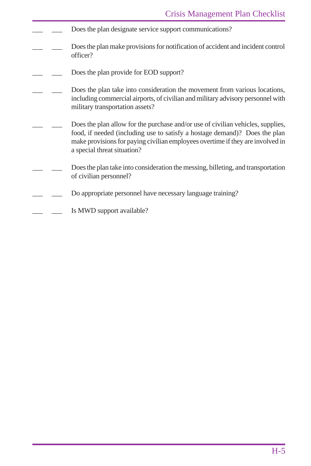Does the plan designate service support communications? Does the plan make provisions for notification of accident and incident control officer? Does the plan provide for EOD support? Does the plan take into consideration the movement from various locations, including commercial airports, of civilian and military advisory personnel with military transportation assets? Does the plan allow for the purchase and/or use of civilian vehicles, supplies, food, if needed (including use to satisfy a hostage demand)? Does the plan make provisions for paying civilian employees overtime if they are involved in a special threat situation? Does the plan take into consideration the messing, billeting, and transportation of civilian personnel? Do appropriate personnel have necessary language training? Is MWD support available?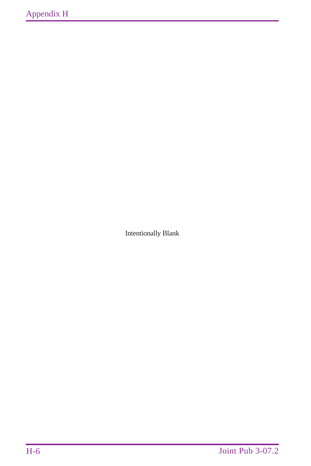Intentionally Blank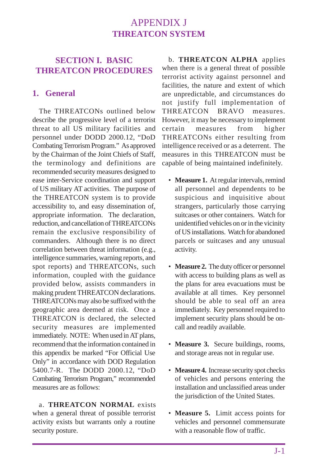# APPENDIX J **THREATCON SYSTEM**

### **SECTION I. BASIC THREATCON PROCEDURES**

### **1. General**

The THREATCONs outlined below describe the progressive level of a terrorist threat to all US military facilities and personnel under DODD 2000.12, "DoD Combating Terrorism Program." As approved by the Chairman of the Joint Chiefs of Staff, the terminology and definitions are recommended security measures designed to ease inter-Service coordination and support of US military AT activities. The purpose of the THREATCON system is to provide accessibility to, and easy dissemination of, appropriate information. The declaration, reduction, and cancellation of THREATCONs remain the exclusive responsibility of commanders. Although there is no direct correlation between threat information (e.g., intelligence summaries, warning reports, and spot reports) and THREATCONs, such information, coupled with the guidance provided below, assists commanders in making prudent THREATCON declarations. THREATCONs may also be suffixed with the geographic area deemed at risk. Once a THREATCON is declared, the selected security measures are implemented immediately. NOTE: When used in AT plans, recommend that the information contained in this appendix be marked "For Official Use Only" in accordance with DOD Regulation 5400.7-R. The DODD 2000.12, "DoD Combating Terrorism Program," recommended measures are as follows:

a. **THREATCON NORMAL** exists when a general threat of possible terrorist activity exists but warrants only a routine security posture.

b. **THREATCON ALPHA** applies when there is a general threat of possible terrorist activity against personnel and facilities, the nature and extent of which are unpredictable, and circumstances do not justify full implementation of THREATCON BRAVO measures. However, it may be necessary to implement certain measures from higher THREATCONs either resulting from intelligence received or as a deterrent. The measures in this THREATCON must be capable of being maintained indefinitely.

- **Measure 1.** At regular intervals, remind all personnel and dependents to be suspicious and inquisitive about strangers, particularly those carrying suitcases or other containers. Watch for unidentified vehicles on or in the vicinity of US installations. Watch for abandoned parcels or suitcases and any unusual activity.
- **Measure 2.** The duty officer or personnel with access to building plans as well as the plans for area evacuations must be available at all times. Key personnel should be able to seal off an area immediately. Key personnel required to implement security plans should be oncall and readily available.
- **Measure 3.** Secure buildings, rooms, and storage areas not in regular use.
- **Measure 4.** Increase security spot checks of vehicles and persons entering the installation and unclassified areas under the jurisdiction of the United States.
- **Measure 5.** Limit access points for vehicles and personnel commensurate with a reasonable flow of traffic.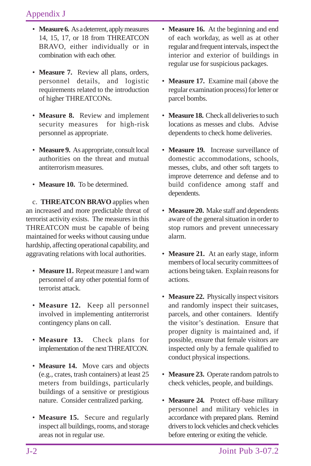## Appendix J

- **Measure 6.** As a deterrent, apply measures 14, 15, 17, or 18 from THREATCON BRAVO, either individually or in combination with each other.
- **Measure 7.** Review all plans, orders, personnel details, and logistic requirements related to the introduction of higher THREATCONs.
- **Measure 8.** Review and implement security measures for high-risk personnel as appropriate.
- **Measure 9.** As appropriate, consult local authorities on the threat and mutual antiterrorism measures.
- **Measure 10.** To be determined.

c. **THREATCON BRAVO** applies when an increased and more predictable threat of terrorist activity exists. The measures in this THREATCON must be capable of being maintained for weeks without causing undue hardship, affecting operational capability, and aggravating relations with local authorities.

- **Measure 11.** Repeat measure 1 and warn personnel of any other potential form of terrorist attack.
- **Measure 12.** Keep all personnel involved in implementing antiterrorist contingency plans on call.
- **Measure 13.** Check plans for implementation of the next THREATCON.
- **Measure 14.** Move cars and objects (e.g., crates, trash containers) at least 25 meters from buildings, particularly buildings of a sensitive or prestigious nature. Consider centralized parking.
- **Measure 15.** Secure and regularly inspect all buildings, rooms, and storage areas not in regular use.
- **Measure 16.** At the beginning and end of each workday, as well as at other regular and frequent intervals, inspect the interior and exterior of buildings in regular use for suspicious packages.
- **Measure 17.** Examine mail (above the regular examination process) for letter or parcel bombs.
- **Measure 18.** Check all deliveries to such locations as messes and clubs. Advise dependents to check home deliveries.
- **Measure 19.** Increase surveillance of domestic accommodations, schools, messes, clubs, and other soft targets to improve deterrence and defense and to build confidence among staff and dependents.
- **Measure 20.** Make staff and dependents aware of the general situation in order to stop rumors and prevent unnecessary alarm.
- **Measure 21.** At an early stage, inform members of local security committees of actions being taken. Explain reasons for actions.
- **Measure 22.** Physically inspect visitors and randomly inspect their suitcases, parcels, and other containers. Identify the visitor's destination. Ensure that proper dignity is maintained and, if possible, ensure that female visitors are inspected only by a female qualified to conduct physical inspections.
- **Measure 23.** Operate random patrols to check vehicles, people, and buildings.
- **Measure 24.** Protect off-base military personnel and military vehicles in accordance with prepared plans. Remind drivers to lock vehicles and check vehicles before entering or exiting the vehicle.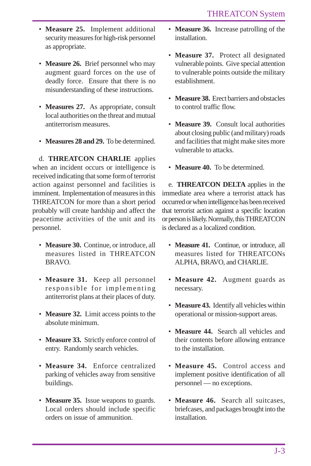- **Measure 25.** Implement additional security measures for high-risk personnel as appropriate.
- **Measure 26.** Brief personnel who may augment guard forces on the use of deadly force. Ensure that there is no misunderstanding of these instructions.
- **Measures 27.** As appropriate, consult local authorities on the threat and mutual antiterrorism measures.
- **Measures 28 and 29.** To be determined.

d. **THREATCON CHARLIE** applies when an incident occurs or intelligence is received indicating that some form of terrorist action against personnel and facilities is imminent. Implementation of measures in this THREATCON for more than a short period probably will create hardship and affect the peacetime activities of the unit and its personnel.

- **Measure 30.** Continue, or introduce, all measures listed in THREATCON BRAVO.
- **Measure 31.** Keep all personnel responsible for implementing antiterrorist plans at their places of duty.
- **Measure 32.** Limit access points to the absolute minimum.
- **Measure 33.** Strictly enforce control of entry. Randomly search vehicles.
- **Measure 34.** Enforce centralized parking of vehicles away from sensitive buildings.
- **Measure 35.** Issue weapons to guards. Local orders should include specific orders on issue of ammunition.
- **Measure 36.** Increase patrolling of the installation.
- **Measure 37.** Protect all designated vulnerable points. Give special attention to vulnerable points outside the military establishment.
- **Measure 38.** Erect barriers and obstacles to control traffic flow.
- **Measure 39.** Consult local authorities about closing public (and military) roads and facilities that might make sites more vulnerable to attacks.
- **Measure 40.** To be determined.

e. **THREATCON DELTA** applies in the immediate area where a terrorist attack has occurred or when intelligence has been received that terrorist action against a specific location or person is likely. Normally, this THREATCON is declared as a localized condition.

- **Measure 41.** Continue, or introduce, all measures listed for THREATCONs ALPHA, BRAVO, and CHARLIE.
- **Measure 42.** Augment guards as necessary.
- **Measure 43.** Identify all vehicles within operational or mission-support areas.
- **Measure 44.** Search all vehicles and their contents before allowing entrance to the installation.
- **Measure 45.** Control access and implement positive identification of all personnel — no exceptions.
- **Measure 46.** Search all suitcases, briefcases, and packages brought into the installation.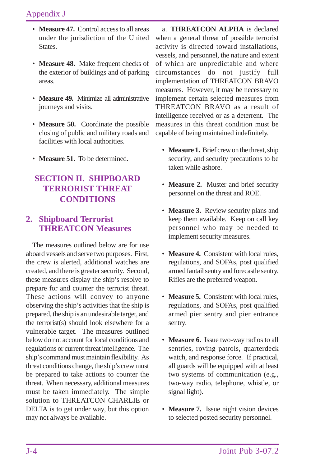- **Measure 47.** Control access to all areas under the jurisdiction of the United States.
- **Measure 48.** Make frequent checks of the exterior of buildings and of parking areas.
- **Measure 49.** Minimize all administrative journeys and visits.
- **Measure 50.** Coordinate the possible closing of public and military roads and facilities with local authorities.
- **Measure 51.** To be determined.

# **SECTION II. SHIPBOARD TERRORIST THREAT CONDITIONS**

## **2. Shipboard Terrorist THREATCON Measures**

The measures outlined below are for use aboard vessels and serve two purposes. First, the crew is alerted, additional watches are created, and there is greater security. Second, these measures display the ship's resolve to prepare for and counter the terrorist threat. These actions will convey to anyone observing the ship's activities that the ship is prepared, the ship is an undesirable target, and the terrorist(s) should look elsewhere for a vulnerable target. The measures outlined below do not account for local conditions and regulations or current threat intelligence. The ship's command must maintain flexibility. As threat conditions change, the ship's crew must be prepared to take actions to counter the threat. When necessary, additional measures must be taken immediately. The simple solution to THREATCON CHARLIE or DELTA is to get under way, but this option may not always be available.

a. **THREATCON ALPHA** is declared when a general threat of possible terrorist activity is directed toward installations, vessels, and personnel, the nature and extent of which are unpredictable and where circumstances do not justify full implementation of THREATCON BRAVO measures. However, it may be necessary to implement certain selected measures from THREATCON BRAVO as a result of intelligence received or as a deterrent. The measures in this threat condition must be capable of being maintained indefinitely.

- **Measure 1.** Brief crew on the threat, ship security, and security precautions to be taken while ashore.
- **Measure 2.** Muster and brief security personnel on the threat and ROE.
- **Measure 3.** Review security plans and keep them available. Keep on call key personnel who may be needed to implement security measures.
- **Measure 4.** Consistent with local rules, regulations, and SOFAs, post qualified armed fantail sentry and forecastle sentry. Rifles are the preferred weapon.
- **Measure 5.** Consistent with local rules, regulations, and SOFAs, post qualified armed pier sentry and pier entrance sentry.
- **Measure 6.** Issue two-way radios to all sentries, roving patrols, quarterdeck watch, and response force. If practical, all guards will be equipped with at least two systems of communication (e.g., two-way radio, telephone, whistle, or signal light).
- **Measure 7.** Issue night vision devices to selected posted security personnel.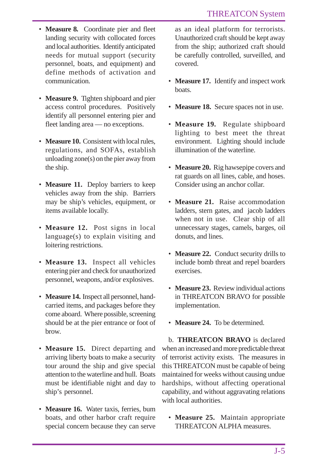- **Measure 8.** Coordinate pier and fleet landing security with collocated forces and local authorities. Identify anticipated needs for mutual support (security personnel, boats, and equipment) and define methods of activation and communication.
- **Measure 9.** Tighten shipboard and pier access control procedures. Positively identify all personnel entering pier and fleet landing area — no exceptions.
- **Measure 10.** Consistent with local rules, regulations, and SOFAs, establish unloading zone(s) on the pier away from the ship.
- **Measure 11.** Deploy barriers to keep vehicles away from the ship. Barriers may be ship's vehicles, equipment, or items available locally.
- **Measure 12.** Post signs in local language(s) to explain visiting and loitering restrictions.
- **Measure 13.** Inspect all vehicles entering pier and check for unauthorized personnel, weapons, and/or explosives.
- **Measure 14.** Inspect all personnel, handcarried items, and packages before they come aboard. Where possible, screening should be at the pier entrance or foot of brow.
- **Measure 15.** Direct departing and arriving liberty boats to make a security tour around the ship and give special attention to the waterline and hull. Boats must be identifiable night and day to ship's personnel.
- **Measure 16.** Water taxis, ferries, bum boats, and other harbor craft require special concern because they can serve

as an ideal platform for terrorists. Unauthorized craft should be kept away from the ship; authorized craft should be carefully controlled, surveilled, and covered.

- **Measure 17.** Identify and inspect work boats.
- **Measure 18.** Secure spaces not in use.
- **Measure 19.** Regulate shipboard lighting to best meet the threat environment. Lighting should include illumination of the waterline.
- **Measure 20.** Rig hawsepipe covers and rat guards on all lines, cable, and hoses. Consider using an anchor collar.
- **Measure 21.** Raise accommodation ladders, stern gates, and jacob ladders when not in use. Clear ship of all unnecessary stages, camels, barges, oil donuts, and lines.
- **Measure 22.** Conduct security drills to include bomb threat and repel boarders exercises.
- **Measure 23.** Review individual actions in THREATCON BRAVO for possible implementation.
- **Measure 24.** To be determined.

b. **THREATCON BRAVO** is declared when an increased and more predictable threat of terrorist activity exists. The measures in this THREATCON must be capable of being maintained for weeks without causing undue hardships, without affecting operational capability, and without aggravating relations with local authorities.

• **Measure 25.** Maintain appropriate THREATCON ALPHA measures.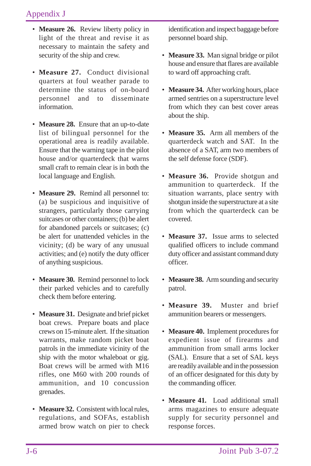## Appendix J

- **Measure 26.** Review liberty policy in light of the threat and revise it as necessary to maintain the safety and security of the ship and crew.
- **Measure 27.** Conduct divisional quarters at foul weather parade to determine the status of on-board personnel and to disseminate information.
- **Measure 28.** Ensure that an up-to-date list of bilingual personnel for the operational area is readily available. Ensure that the warning tape in the pilot house and/or quarterdeck that warns small craft to remain clear is in both the local language and English.
- **Measure 29.** Remind all personnel to: (a) be suspicious and inquisitive of strangers, particularly those carrying suitcases or other containers; (b) be alert for abandoned parcels or suitcases; (c) be alert for unattended vehicles in the vicinity; (d) be wary of any unusual activities; and (e) notify the duty officer of anything suspicious.
- **Measure 30.** Remind personnel to lock their parked vehicles and to carefully check them before entering.
- **Measure 31.** Designate and brief picket boat crews. Prepare boats and place crews on 15-minute alert. If the situation warrants, make random picket boat patrols in the immediate vicinity of the ship with the motor whaleboat or gig. Boat crews will be armed with M16 rifles, one M60 with 200 rounds of ammunition, and 10 concussion grenades.
- **Measure 32.** Consistent with local rules, regulations, and SOFAs, establish armed brow watch on pier to check

identification and inspect baggage before personnel board ship.

- **Measure 33.** Man signal bridge or pilot house and ensure that flares are available to ward off approaching craft.
- **Measure 34.** After working hours, place armed sentries on a superstructure level from which they can best cover areas about the ship.
- **Measure 35.** Arm all members of the quarterdeck watch and SAT. In the absence of a SAT, arm two members of the self defense force (SDF).
- **Measure 36.** Provide shotgun and ammunition to quarterdeck. If the situation warrants, place sentry with shotgun inside the superstructure at a site from which the quarterdeck can be covered.
- **Measure 37.** Issue arms to selected qualified officers to include command duty officer and assistant command duty officer.
- **Measure 38.** Arm sounding and security patrol.
- **Measure 39.** Muster and brief ammunition bearers or messengers.
- **Measure 40.** Implement procedures for expedient issue of firearms and ammunition from small arms locker (SAL). Ensure that a set of SAL keys are readily available and in the possession of an officer designated for this duty by the commanding officer.
- **Measure 41.** Load additional small arms magazines to ensure adequate supply for security personnel and response forces.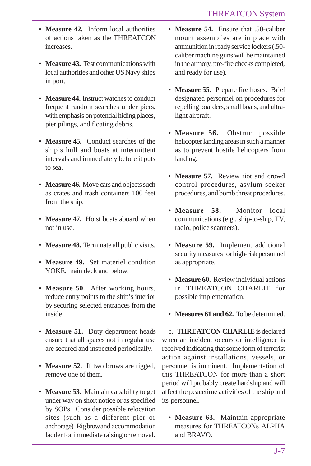- **Measure 42.** Inform local authorities of actions taken as the THREATCON increases.
- **Measure 43.** Test communications with local authorities and other US Navy ships in port.
- **Measure 44.** Instruct watches to conduct frequent random searches under piers, with emphasis on potential hiding places, pier pilings, and floating debris.
- **Measure 45.** Conduct searches of the ship's hull and boats at intermittent intervals and immediately before it puts to sea.
- **Measure 46.** Move cars and objects such as crates and trash containers 100 feet from the ship.
- **Measure 47.** Hoist boats aboard when not in use.
- **Measure 48.** Terminate all public visits.
- **Measure 49.** Set materiel condition YOKE, main deck and below.
- **Measure 50.** After working hours, reduce entry points to the ship's interior by securing selected entrances from the inside.
- **Measure 51.** Duty department heads ensure that all spaces not in regular use are secured and inspected periodically.
- **Measure 52.** If two brows are rigged, remove one of them.
- **Measure 53.** Maintain capability to get under way on short notice or as specified by SOPs. Consider possible relocation sites (such as a different pier or anchorage). Rig brow and accommodation ladder for immediate raising or removal.
- **Measure 54.** Ensure that .50-caliber mount assemblies are in place with ammunition in ready service lockers (.50 caliber machine guns will be maintained in the armory, pre-fire checks completed, and ready for use).
- **Measure 55.** Prepare fire hoses. Brief designated personnel on procedures for repelling boarders, small boats, and ultralight aircraft.
- **Measure 56.** Obstruct possible helicopter landing areas in such a manner as to prevent hostile helicopters from landing.
- **Measure 57.** Review riot and crowd control procedures, asylum-seeker procedures, and bomb threat procedures.
- **Measure 58.** Monitor local communications (e.g., ship-to-ship, TV, radio, police scanners).
- **Measure 59.** Implement additional security measures for high-risk personnel as appropriate.
- **Measure 60.** Review individual actions in THREATCON CHARLIE for possible implementation.
- **Measures 61 and 62.** To be determined.

c. **THREATCON CHARLIE** is declared when an incident occurs or intelligence is received indicating that some form of terrorist action against installations, vessels, or personnel is imminent. Implementation of this THREATCON for more than a short period will probably create hardship and will affect the peacetime activities of the ship and its personnel.

• **Measure 63.** Maintain appropriate measures for THREATCONs ALPHA and BRAVO.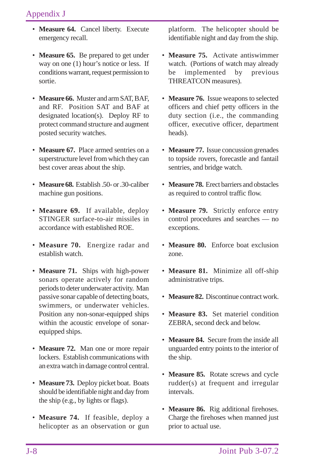- **Measure 64.** Cancel liberty. Execute emergency recall.
- **Measure 65.** Be prepared to get under way on one (1) hour's notice or less. If conditions warrant, request permission to sortie.
- **Measure 66.** Muster and arm SAT, BAF, and RF. Position SAT and BAF at designated location(s). Deploy RF to protect command structure and augment posted security watches.
- **Measure 67.** Place armed sentries on a superstructure level from which they can best cover areas about the ship.
- **Measure 68.** Establish .50- or .30-caliber machine gun positions.
- **Measure 69.** If available, deploy STINGER surface-to-air missiles in accordance with established ROE.
- **Measure 70.** Energize radar and establish watch.
- **Measure 71.** Ships with high-power sonars operate actively for random periods to deter underwater activity. Man passive sonar capable of detecting boats, swimmers, or underwater vehicles. Position any non-sonar-equipped ships within the acoustic envelope of sonarequipped ships.
- **Measure 72.** Man one or more repair lockers. Establish communications with an extra watch in damage control central.
- **Measure 73.** Deploy picket boat. Boats should be identifiable night and day from the ship (e.g., by lights or flags).
- **Measure 74.** If feasible, deploy a helicopter as an observation or gun

platform. The helicopter should be identifiable night and day from the ship.

- **Measure 75.** Activate antiswimmer watch. (Portions of watch may already be implemented by previous THREATCON measures).
- **Measure 76.** Issue weapons to selected officers and chief petty officers in the duty section (i.e., the commanding officer, executive officer, department heads).
- **Measure 77.** Issue concussion grenades to topside rovers, forecastle and fantail sentries, and bridge watch.
- **Measure 78.** Erect barriers and obstacles as required to control traffic flow.
- **Measure 79.** Strictly enforce entry control procedures and searches — no exceptions.
- **Measure 80.** Enforce boat exclusion zone.
- **Measure 81.** Minimize all off-ship administrative trips.
- **Measure 82.** Discontinue contract work.
- **Measure 83.** Set materiel condition ZEBRA, second deck and below.
- **Measure 84.** Secure from the inside all unguarded entry points to the interior of the ship.
- **Measure 85.** Rotate screws and cycle rudder(s) at frequent and irregular intervals.
- **Measure 86.** Rig additional firehoses. Charge the firehoses when manned just prior to actual use.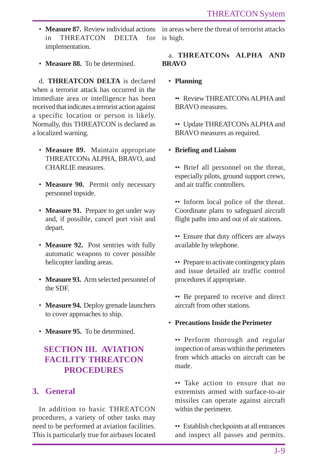- in THREATCON DELTA for implementation.
- **Measure 88.** To be determined.

d. **THREATCON DELTA** is declared when a terrorist attack has occurred in the immediate area or intelligence has been received that indicates a terrorist action against a specific location or person is likely. Normally, this THREATCON is declared as a localized warning.

- **Measure 89.** Maintain appropriate THREATCONs ALPHA, BRAVO, and CHARLIE measures.
- **Measure 90.** Permit only necessary personnel topside.
- **Measure 91.** Prepare to get under way and, if possible, cancel port visit and depart.
- **Measure 92.** Post sentries with fully automatic weapons to cover possible helicopter landing areas.
- **Measure 93.** Arm selected personnel of the SDF.
- **Measure 94.** Deploy grenade launchers to cover approaches to ship.
- **Measure 95.** To be determined.

# **SECTION III. AVIATION FACILITY THREATCON PROCEDURES**

# **3. General**

In addition to basic THREATCON procedures, a variety of other tasks may need to be performed at aviation facilities. This is particularly true for airbases located

• Measure 87. Review individual actions in areas where the threat of terrorist attacks is high.

### a. **THREATCONs ALPHA AND BRAVO**

## • **Planning**

•• Review THREATCONs ALPHA and BRAVO measures.

•• Update THREATCONs ALPHA and BRAVO measures as required.

## • **Briefing and Liaison**

• Brief all personnel on the threat, especially pilots, ground support crews, and air traffic controllers.

• Inform local police of the threat. Coordinate plans to safeguard aircraft flight paths into and out of air stations.

- •• Ensure that duty officers are always available by telephone.
- •• Prepare to activate contingency plans and issue detailed air traffic control procedures if appropriate.
- •• Be prepared to receive and direct aircraft from other stations.

## • **Precautions Inside the Perimeter**

•• Perform thorough and regular inspection of areas within the perimeters from which attacks on aircraft can be made.

•• Take action to ensure that no extremists armed with surface-to-air missiles can operate against aircraft within the perimeter.

•• Establish checkpoints at all entrances and inspect all passes and permits.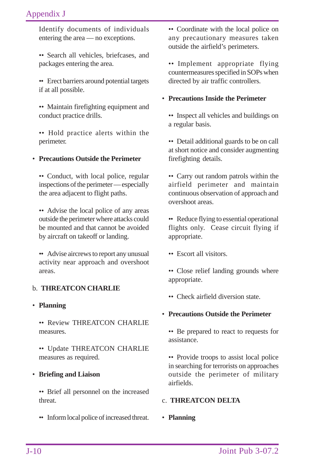Identify documents of individuals entering the area — no exceptions.

•• Search all vehicles, briefcases, and packages entering the area.

• Erect barriers around potential targets if at all possible.

• Maintain firefighting equipment and conduct practice drills.

•• Hold practice alerts within the perimeter.

### • **Precautions Outside the Perimeter**

•• Conduct, with local police, regular inspections of the perimeter — especially the area adjacent to flight paths.

•• Advise the local police of any areas outside the perimeter where attacks could be mounted and that cannot be avoided by aircraft on takeoff or landing.

•• Advise aircrews to report any unusual activity near approach and overshoot areas.

### b. **THREATCON CHARLIE**

### • **Planning**

•• Review THREATCON CHARLIE measures.

•• Update THREATCON CHARLIE measures as required.

### • **Briefing and Liaison**

•• Brief all personnel on the increased threat.

•• Inform local police of increased threat.

•• Coordinate with the local police on any precautionary measures taken outside the airfield's perimeters.

•• Implement appropriate flying countermeasures specified in SOPs when directed by air traffic controllers.

### • **Precautions Inside the Perimeter**

•• Inspect all vehicles and buildings on a regular basis.

•• Detail additional guards to be on call at short notice and consider augmenting firefighting details.

•• Carry out random patrols within the airfield perimeter and maintain continuous observation of approach and overshoot areas.

•• Reduce flying to essential operational flights only. Cease circuit flying if appropriate.

• Escort all visitors.

•• Close relief landing grounds where appropriate.

•• Check airfield diversion state.

### • **Precautions Outside the Perimeter**

•• Be prepared to react to requests for assistance.

• Provide troops to assist local police in searching for terrorists on approaches outside the perimeter of military airfields.

### c. **THREATCON DELTA**

### • **Planning**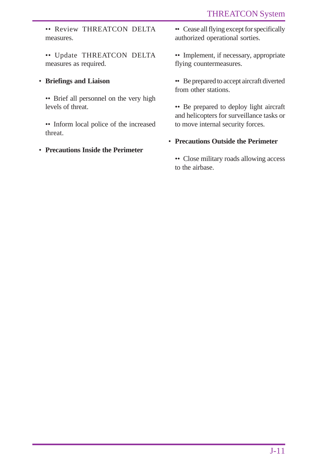•• Review THREATCON DELTA measures.

•• Update THREATCON DELTA measures as required.

### • **Briefings and Liaison**

•• Brief all personnel on the very high levels of threat.

•• Inform local police of the increased threat.

• **Precautions Inside the Perimeter**

•• Cease all flying except for specifically authorized operational sorties.

•• Implement, if necessary, appropriate flying countermeasures.

•• Be prepared to accept aircraft diverted from other stations.

•• Be prepared to deploy light aircraft and helicopters for surveillance tasks or to move internal security forces.

### • **Precautions Outside the Perimeter**

•• Close military roads allowing access to the airbase.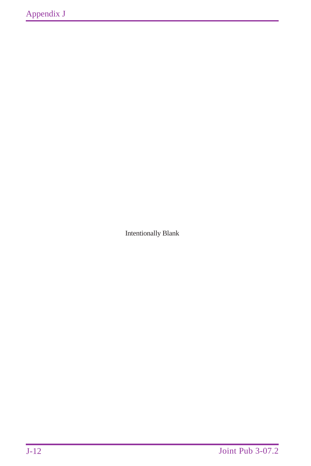Intentionally Blank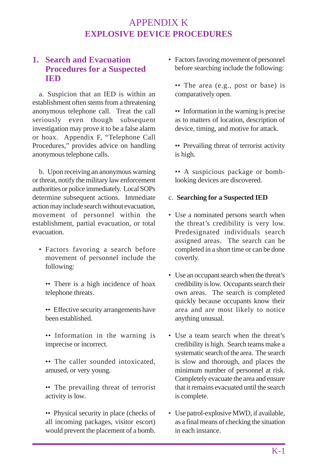# APPENDIX K **EXPLOSIVE DEVICE PROCEDURES**

### **1. Search and Evacuation Procedures for a Suspected IED**

a. Suspicion that an IED is within an establishment often stems from a threatening anonymous telephone call. Treat the call seriously even though subsequent investigation may prove it to be a false alarm or hoax. Appendix F, "Telephone Call Procedures," provides advice on handling anonymous telephone calls.

b. Upon receiving an anonymous warning or threat, notify the military law enforcement authorities or police immediately. Local SOPs determine subsequent actions. Immediate action may include search without evacuation, movement of personnel within the establishment, partial evacuation, or total evacuation.

- Factors favoring a search before movement of personnel include the following:
	- •• There is a high incidence of hoax telephone threats.
	- •• Effective security arrangements have been established.

•• Information in the warning is imprecise or incorrect.

•• The caller sounded intoxicated, amused, or very young.

•• The prevailing threat of terrorist activity is low.

•• Physical security in place (checks of all incoming packages, visitor escort) would prevent the placement of a bomb.

- Factors favoring movement of personnel before searching include the following:
	- •• The area (e.g., post or base) is comparatively open.
	- Information in the warning is precise as to matters of location, description of device, timing, and motive for attack.

•• Prevailing threat of terrorist activity is high.

•• A suspicious package or bomblooking devices are discovered.

### c. **Searching for a Suspected IED**

- Use a nominated persons search when the threat's credibility is very low. Predesignated individuals search assigned areas. The search can be completed in a short time or can be done covertly.
- Use an occupant search when the threat's credibility is low. Occupants search their own areas. The search is completed quickly because occupants know their area and are most likely to notice anything unusual.
- Use a team search when the threat's credibility is high. Search teams make a systematic search of the area. The search is slow and thorough, and places the minimum number of personnel at risk. Completely evacuate the area and ensure that it remains evacuated until the search is complete.
- Use patrol-explosive MWD, if available, as a final means of checking the situation in each instance.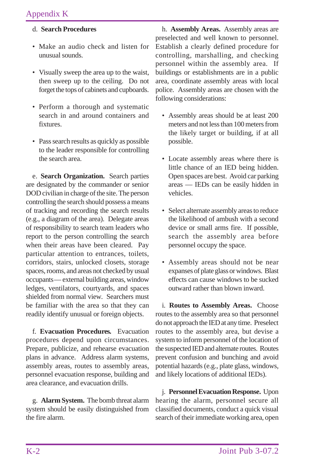#### d. **Search Procedures**

- Make an audio check and listen for unusual sounds.
- Visually sweep the area up to the waist, then sweep up to the ceiling. Do not forget the tops of cabinets and cupboards.
- Perform a thorough and systematic search in and around containers and fixtures.
- Pass search results as quickly as possible to the leader responsible for controlling the search area.

e. **Search Organization.** Search parties are designated by the commander or senior DOD civilian in charge of the site. The person controlling the search should possess a means of tracking and recording the search results (e.g., a diagram of the area). Delegate areas of responsibility to search team leaders who report to the person controlling the search when their areas have been cleared. Pay particular attention to entrances, toilets, corridors, stairs, unlocked closets, storage spaces, rooms, and areas not checked by usual occupants — external building areas, window ledges, ventilators, courtyards, and spaces shielded from normal view. Searchers must be familiar with the area so that they can readily identify unusual or foreign objects.

f. **Evacuation Procedures.** Evacuation procedures depend upon circumstances. Prepare, publicize, and rehearse evacuation plans in advance. Address alarm systems, assembly areas, routes to assembly areas, personnel evacuation response, building and area clearance, and evacuation drills.

g. **Alarm System.** The bomb threat alarm system should be easily distinguished from the fire alarm.

h. **Assembly Areas.** Assembly areas are preselected and well known to personnel. Establish a clearly defined procedure for controlling, marshalling, and checking personnel within the assembly area. If buildings or establishments are in a public area, coordinate assembly areas with local police. Assembly areas are chosen with the following considerations:

- Assembly areas should be at least 200 meters and not less than 100 meters from the likely target or building, if at all possible.
- Locate assembly areas where there is little chance of an IED being hidden. Open spaces are best. Avoid car parking areas — IEDs can be easily hidden in vehicles.
- Select alternate assembly areas to reduce the likelihood of ambush with a second device or small arms fire. If possible, search the assembly area before personnel occupy the space.
- Assembly areas should not be near expanses of plate glass or windows. Blast effects can cause windows to be sucked outward rather than blown inward.

i. **Routes to Assembly Areas.** Choose routes to the assembly area so that personnel do not approach the IED at any time. Preselect routes to the assembly area, but devise a system to inform personnel of the location of the suspected IED and alternate routes. Routes prevent confusion and bunching and avoid potential hazards (e.g., plate glass, windows, and likely locations of additional IEDs).

j. **Personnel Evacuation Response.** Upon hearing the alarm, personnel secure all classified documents, conduct a quick visual search of their immediate working area, open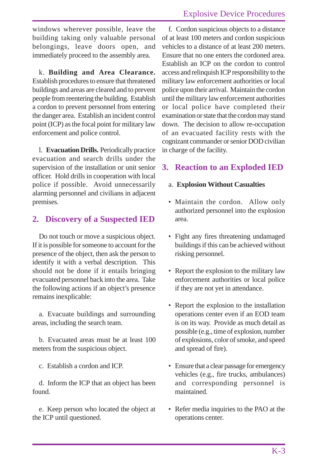windows wherever possible, leave the building taking only valuable personal belongings, leave doors open, and immediately proceed to the assembly area.

k. **Building and Area Clearance.** Establish procedures to ensure that threatened buildings and areas are cleared and to prevent people from reentering the building. Establish a cordon to prevent personnel from entering the danger area. Establish an incident control point (ICP) as the focal point for military law enforcement and police control.

l. **Evacuation Drills.** Periodically practice evacuation and search drills under the supervision of the installation or unit senior officer. Hold drills in cooperation with local police if possible. Avoid unnecessarily alarming personnel and civilians in adjacent premises.

## **2. Discovery of a Suspected IED**

Do not touch or move a suspicious object. If it is possible for someone to account for the presence of the object, then ask the person to identify it with a verbal description. This should not be done if it entails bringing evacuated personnel back into the area. Take the following actions if an object's presence remains inexplicable:

a. Evacuate buildings and surrounding areas, including the search team.

b. Evacuated areas must be at least 100 meters from the suspicious object.

c. Establish a cordon and ICP.

d. Inform the ICP that an object has been found.

e. Keep person who located the object at the ICP until questioned.

f. Cordon suspicious objects to a distance of at least 100 meters and cordon suspicious vehicles to a distance of at least 200 meters. Ensure that no one enters the cordoned area. Establish an ICP on the cordon to control access and relinquish ICP responsibility to the military law enforcement authorities or local police upon their arrival. Maintain the cordon until the military law enforcement authorities or local police have completed their examination or state that the cordon may stand down. The decision to allow re-occupation of an evacuated facility rests with the cognizant commander or senior DOD civilian in charge of the facility.

# **3. Reaction to an Exploded IED**

### a. **Explosion Without Casualties**

- Maintain the cordon. Allow only authorized personnel into the explosion area.
- Fight any fires threatening undamaged buildings if this can be achieved without risking personnel.
- Report the explosion to the military law enforcement authorities or local police if they are not yet in attendance.
- Report the explosion to the installation operations center even if an EOD team is on its way. Provide as much detail as possible (e.g., time of explosion, number of explosions, color of smoke, and speed and spread of fire).
- Ensure that a clear passage for emergency vehicles (e.g., fire trucks, ambulances) and corresponding personnel is maintained.
- Refer media inquiries to the PAO at the operations center.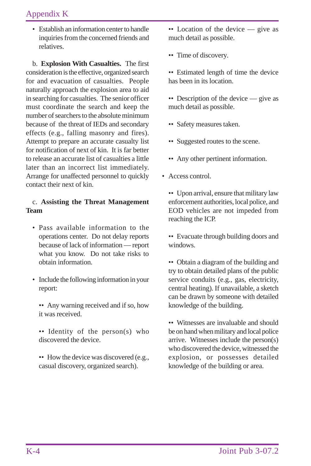• Establish an information center to handle inquiries from the concerned friends and relatives.

b. **Explosion With Casualties.** The first consideration is the effective, organized search for and evacuation of casualties. People naturally approach the explosion area to aid in searching for casualties. The senior officer must coordinate the search and keep the number of searchers to the absolute minimum because of the threat of IEDs and secondary effects (e.g., falling masonry and fires). Attempt to prepare an accurate casualty list for notification of next of kin. It is far better to release an accurate list of casualties a little later than an incorrect list immediately. Arrange for unaffected personnel to quickly contact their next of kin.

### c. **Assisting the Threat Management Team**

- Pass available information to the operations center. Do not delay reports because of lack of information — report what you know. Do not take risks to obtain information.
- Include the following information in your report:
	- •• Any warning received and if so, how it was received.
	- •• Identity of the person(s) who discovered the device.

•• How the device was discovered (e.g., casual discovery, organized search).

• Location of the device — give as much detail as possible.

- •• Time of discovery.
- •• Estimated length of time the device has been in its location.
- Description of the device give as much detail as possible.
- •• Safety measures taken.
- •• Suggested routes to the scene.
- Any other pertinent information.
- Access control.

•• Upon arrival, ensure that military law enforcement authorities, local police, and EOD vehicles are not impeded from reaching the ICP.

•• Evacuate through building doors and windows.

• Obtain a diagram of the building and try to obtain detailed plans of the public service conduits (e.g., gas, electricity, central heating). If unavailable, a sketch can be drawn by someone with detailed knowledge of the building.

•• Witnesses are invaluable and should be on hand when military and local police arrive. Witnesses include the person(s) who discovered the device, witnessed the explosion, or possesses detailed knowledge of the building or area.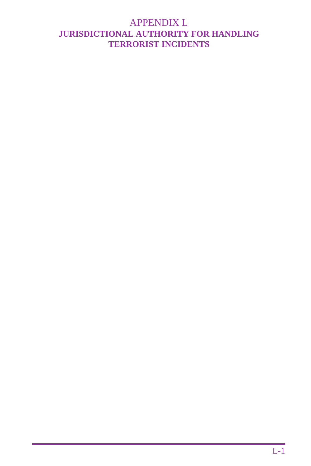# APPENDIX L **JURISDICTIONAL AUTHORITY FOR HANDLING TERRORIST INCIDENTS**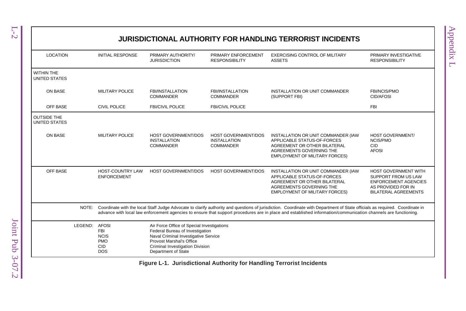L-2

| <b>LOCATION</b>                            |                                                                                                                                                                                                                                                                                                                                                        | <b>INITIAL RESPONSE</b>                                      | PRIMARY AUTHORITY/<br><b>JURISDICTION</b>                                                                                                                                                                   | PRIMARY ENFORCEMENT<br><b>RESPONSIBILITY</b>                          | <b>EXERCISING CONTROL OF MILITARY</b><br><b>ASSETS</b>                                                                                                                  | PRIMARY INVESTIGATIVE<br><b>RESPONSIBILITY</b>                                                                                         |
|--------------------------------------------|--------------------------------------------------------------------------------------------------------------------------------------------------------------------------------------------------------------------------------------------------------------------------------------------------------------------------------------------------------|--------------------------------------------------------------|-------------------------------------------------------------------------------------------------------------------------------------------------------------------------------------------------------------|-----------------------------------------------------------------------|-------------------------------------------------------------------------------------------------------------------------------------------------------------------------|----------------------------------------------------------------------------------------------------------------------------------------|
| <b>WITHIN THE</b><br>UNITED STATES         |                                                                                                                                                                                                                                                                                                                                                        |                                                              |                                                                                                                                                                                                             |                                                                       |                                                                                                                                                                         |                                                                                                                                        |
| ON BASE                                    |                                                                                                                                                                                                                                                                                                                                                        | <b>MILITARY POLICE</b>                                       | <b>FBI/INSTALLATION</b><br><b>COMMANDER</b>                                                                                                                                                                 | <b>FBI/INSTALLATION</b><br><b>COMMANDER</b>                           | INSTALLATION OR UNIT COMMANDER<br>(SUPPORT FBI)                                                                                                                         | <b>FBI/NCIS/PMO</b><br><b>CID/AFOSI</b>                                                                                                |
| OFF BASE                                   |                                                                                                                                                                                                                                                                                                                                                        | <b>CIVIL POLICE</b>                                          | <b>FBI/CIVIL POLICE</b>                                                                                                                                                                                     | <b>FBI/CIVIL POLICE</b>                                               |                                                                                                                                                                         | <b>FBI</b>                                                                                                                             |
| <b>OUTSIDE THE</b><br><b>UNITED STATES</b> |                                                                                                                                                                                                                                                                                                                                                        |                                                              |                                                                                                                                                                                                             |                                                                       |                                                                                                                                                                         |                                                                                                                                        |
| ON BASE                                    |                                                                                                                                                                                                                                                                                                                                                        | <b>MILITARY POLICE</b>                                       | HOST GOVERNMENT/DOS<br><b>INSTALLATION</b><br><b>COMMANDER</b>                                                                                                                                              | <b>HOST GOVERNMENT/DOS</b><br><b>INSTALLATION</b><br><b>COMMANDER</b> | INSTALLATION OR UNIT COMMANDER (IAW<br>APPLICABLE STATUS-OF-FORCES<br>AGREEMENT OR OTHER BILATERAL<br>AGREEMENTS GOVERNING THE<br><b>EMPLOYMENT OF MILITARY FORCES)</b> | <b>HOST GOVERNMENT/</b><br>NCIS/PMO<br><b>CID</b><br><b>AFOSI</b>                                                                      |
| OFF BASE                                   |                                                                                                                                                                                                                                                                                                                                                        | HOST-COUNTRY LAW<br><b>ENFORCEMENT</b>                       | <b>HOST GOVERNMENT/DOS</b>                                                                                                                                                                                  | <b>HOST GOVERNMENT/DOS</b>                                            | INSTALLATION OR UNIT COMMANDER (IAW<br>APPLICABLE STATUS-OF-FORCES<br>AGREEMENT OR OTHER BILATERAL<br>AGREEMENTS GOVERNING THE<br><b>EMPLOYMENT OF MILITARY FORCES)</b> | <b>HOST GOVERNMENT WITH</b><br>SUPPORT FROM US LAW<br><b>ENFORCEMENT AGENCIES</b><br>AS PROVIDED FOR IN<br><b>BILATERAL AGREEMENTS</b> |
|                                            | Coordinate with the local Staff Judge Advocate to clarify authority and questions of jurisdiction. Coordinate with Department of State officials as required. Coordinate in<br>NOTE:<br>advance with local law enforcement agencies to ensure that support procedures are in place and established information/communication channels are functioning. |                                                              |                                                                                                                                                                                                             |                                                                       |                                                                                                                                                                         |                                                                                                                                        |
|                                            | LEGEND: AFOSI                                                                                                                                                                                                                                                                                                                                          | <b>FBI</b><br><b>NCIS</b><br><b>PMO</b><br>CID<br><b>DOS</b> | Air Force Office of Special Investigations<br>Federal Bureau of Investigation<br>Naval Criminal Investigative Service<br>Provost Marshal's Office<br>Criminal Investigation Division<br>Department of State |                                                                       |                                                                                                                                                                         |                                                                                                                                        |

Appendix L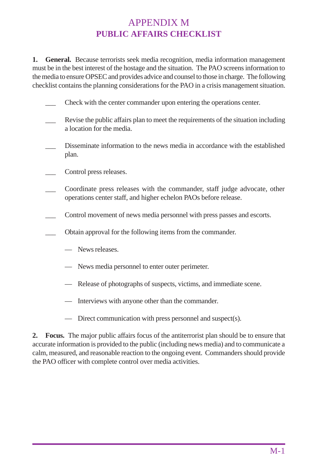# APPENDIX M **PUBLIC AFFAIRS CHECKLIST**

**1. General.** Because terrorists seek media recognition, media information management must be in the best interest of the hostage and the situation. The PAO screens information to the media to ensure OPSEC and provides advice and counsel to those in charge. The following checklist contains the planning considerations for the PAO in a crisis management situation.

- \_\_\_ Check with the center commander upon entering the operations center.
- Revise the public affairs plan to meet the requirements of the situation including a location for the media.
- Disseminate information to the news media in accordance with the established plan.
- Control press releases.
- \_\_\_ Coordinate press releases with the commander, staff judge advocate, other operations center staff, and higher echelon PAOs before release.
- Control movement of news media personnel with press passes and escorts.
- \_\_\_ Obtain approval for the following items from the commander.
	- News releases.
	- News media personnel to enter outer perimeter.
	- Release of photographs of suspects, victims, and immediate scene.
	- Interviews with anyone other than the commander.
	- Direct communication with press personnel and suspect(s).

**2. Focus.** The major public affairs focus of the antiterrorist plan should be to ensure that accurate information is provided to the public (including news media) and to communicate a calm, measured, and reasonable reaction to the ongoing event. Commanders should provide the PAO officer with complete control over media activities.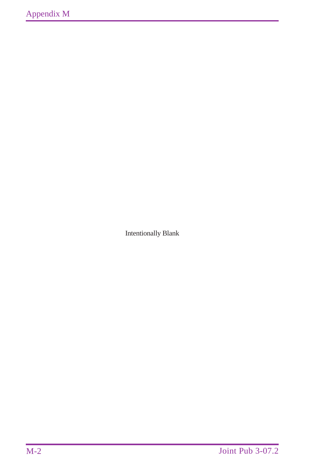Intentionally Blank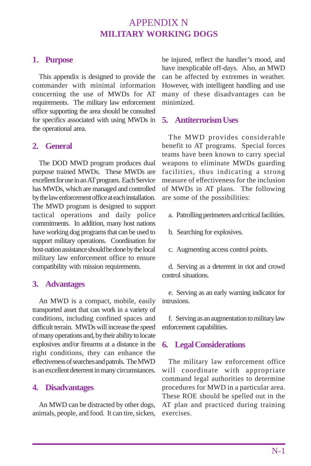## APPENDIX N **MILITARY WORKING DOGS**

#### **1. Purpose**

This appendix is designed to provide the commander with minimal information concerning the use of MWDs for AT requirements. The military law enforcement office supporting the area should be consulted for specifics associated with using MWDs in the operational area.

#### **2. General**

The DOD MWD program produces dual purpose trained MWDs. These MWDs are excellent for use in an AT program. Each Service has MWDs, which are managed and controlled by the law enforcement office at each installation. The MWD program is designed to support tactical operations and daily police commitments. In addition, many host nations have working dog programs that can be used to support military operations. Coordination for host-nation assistance should be done by the local military law enforcement office to ensure compatibility with mission requirements.

#### **3. Advantages**

An MWD is a compact, mobile, easily transported asset that can work in a variety of conditions, including confined spaces and difficult terrain. MWDs will increase the speed of many operations and, by their ability to locate explosives and/or firearms at a distance in the right conditions, they can enhance the effectiveness of searches and patrols. The MWD is an excellent deterrent in many circumstances.

#### **4. Disadvantages**

An MWD can be distracted by other dogs, animals, people, and food. It can tire, sicken,

be injured, reflect the handler's mood, and have inexplicable off-days. Also, an MWD can be affected by extremes in weather. However, with intelligent handling and use many of these disadvantages can be minimized.

#### **5. Antiterrorism Uses**

The MWD provides considerable benefit to AT programs. Special forces teams have been known to carry special weapons to eliminate MWDs guarding facilities, thus indicating a strong measure of effectiveness for the inclusion of MWDs in AT plans. The following are some of the possibilities:

- a. Patrolling perimeters and critical facilities.
- b. Searching for explosives.
- c. Augmenting access control points.

d. Serving as a deterrent in riot and crowd control situations.

e. Serving as an early warning indicator for intrusions.

f. Serving as an augmentation to military law enforcement capabilities.

#### **6. Legal Considerations**

The military law enforcement office will coordinate with appropriate command legal authorities to determine procedures for MWD in a particular area. These ROE should be spelled out in the AT plan and practiced during training exercises.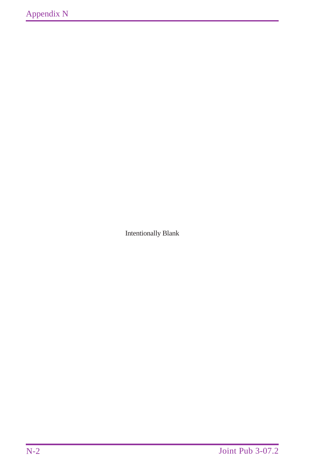Intentionally Blank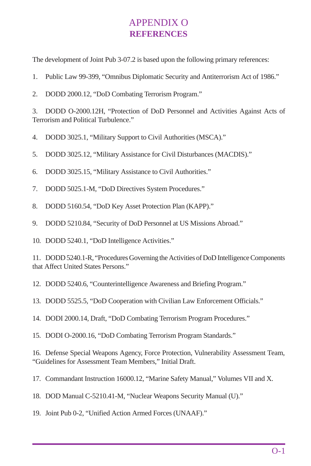## APPENDIX O **REFERENCES**

The development of Joint Pub 3-07.2 is based upon the following primary references:

- 1. Public Law 99-399, "Omnibus Diplomatic Security and Antiterrorism Act of 1986."
- 2. DODD 2000.12, "DoD Combating Terrorism Program."

3. DODD O-2000.12H, "Protection of DoD Personnel and Activities Against Acts of Terrorism and Political Turbulence."

- 4. DODD 3025.1, "Military Support to Civil Authorities (MSCA)."
- 5. DODD 3025.12, "Military Assistance for Civil Disturbances (MACDIS)."
- 6. DODD 3025.15, "Military Assistance to Civil Authorities."
- 7. DODD 5025.1-M, "DoD Directives System Procedures."
- 8. DODD 5160.54, "DoD Key Asset Protection Plan (KAPP)."
- 9. DODD 5210.84, "Security of DoD Personnel at US Missions Abroad."
- 10. DODD 5240.1, "DoD Intelligence Activities."

11. DODD 5240.1-R, "Procedures Governing the Activities of DoD Intelligence Components that Affect United States Persons."

12. DODD 5240.6, "Counterintelligence Awareness and Briefing Program."

13. DODD 5525.5, "DoD Cooperation with Civilian Law Enforcement Officials."

14. DODI 2000.14, Draft, "DoD Combating Terrorism Program Procedures."

15. DODI O-2000.16, "DoD Combating Terrorism Program Standards."

16. Defense Special Weapons Agency, Force Protection, Vulnerability Assessment Team, "Guidelines for Assessment Team Members," Initial Draft.

17. Commandant Instruction 16000.12, "Marine Safety Manual," Volumes VII and X.

- 18. DOD Manual C-5210.41-M, "Nuclear Weapons Security Manual (U)."
- 19. Joint Pub 0-2, "Unified Action Armed Forces (UNAAF)."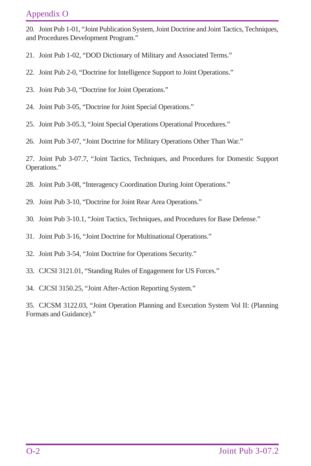### Appendix O

20. Joint Pub 1-01, "Joint Publication System, Joint Doctrine and Joint Tactics, Techniques, and Procedures Development Program."

- 21. Joint Pub 1-02, "DOD Dictionary of Military and Associated Terms."
- 22. Joint Pub 2-0, "Doctrine for Intelligence Support to Joint Operations."
- 23. Joint Pub 3-0, "Doctrine for Joint Operations."
- 24. Joint Pub 3-05, "Doctrine for Joint Special Operations."
- 25. Joint Pub 3-05.3, "Joint Special Operations Operational Procedures."
- 26. Joint Pub 3-07, "Joint Doctrine for Military Operations Other Than War."

27. Joint Pub 3-07.7, "Joint Tactics, Techniques, and Procedures for Domestic Support Operations."

- 28. Joint Pub 3-08, "Interagency Coordination During Joint Operations."
- 29. Joint Pub 3-10, "Doctrine for Joint Rear Area Operations."
- 30. Joint Pub 3-10.1, "Joint Tactics, Techniques, and Procedures for Base Defense."
- 31. Joint Pub 3-16, "Joint Doctrine for Multinational Operations."
- 32. Joint Pub 3-54, "Joint Doctrine for Operations Security."
- 33. CJCSI 3121.01, "Standing Rules of Engagement for US Forces."
- 34. CJCSI 3150.25, "Joint After-Action Reporting System."

35. CJCSM 3122.03, "Joint Operation Planning and Execution System Vol II: (Planning Formats and Guidance)."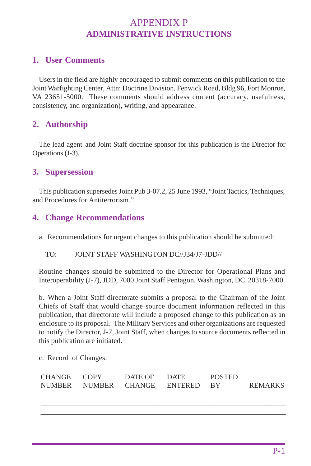## APPENDIX P **ADMINISTRATIVE INSTRUCTIONS**

#### **1. User Comments**

Users in the field are highly encouraged to submit comments on this publication to the Joint Warfighting Center, Attn: Doctrine Division, Fenwick Road, Bldg 96, Fort Monroe, VA 23651-5000. These comments should address content (accuracy, usefulness, consistency, and organization), writing, and appearance.

### **2. Authorship**

The lead agent and Joint Staff doctrine sponsor for this publication is the Director for Operations (J-3).

#### **3. Supersession**

This publication supersedes Joint Pub 3-07.2, 25 June 1993, "Joint Tactics, Techniques, and Procedures for Antiterrorism."

### **4. Change Recommendations**

a. Recommendations for urgent changes to this publication should be submitted:

#### TO: JOINT STAFF WASHINGTON DC//J34/J7-JDD//

Routine changes should be submitted to the Director for Operational Plans and Interoperability (J-7), JDD, 7000 Joint Staff Pentagon, Washington, DC 20318-7000.

b. When a Joint Staff directorate submits a proposal to the Chairman of the Joint Chiefs of Staff that would change source document information reflected in this publication, that directorate will include a proposed change to this publication as an enclosure to its proposal. The Military Services and other organizations are requested to notify the Director, J-7, Joint Staff, when changes to source documents reflected in this publication are initiated.

c. Record of Changes:

| CHANGE COPY |                              | DATE OF | <b>DATE</b> | <b>POSTED</b> |                |
|-------------|------------------------------|---------|-------------|---------------|----------------|
|             | NUMBER NUMBER CHANGE ENTERED |         |             | – RY          | <b>REMARKS</b> |
|             |                              |         |             |               |                |

\_\_\_\_\_\_\_\_\_\_\_\_\_\_\_\_\_\_\_\_\_\_\_\_\_\_\_\_\_\_\_\_\_\_\_\_\_\_\_\_\_\_\_\_\_\_\_\_\_\_\_\_\_\_\_\_\_\_\_\_\_\_\_\_\_\_\_\_\_\_ \_\_\_\_\_\_\_\_\_\_\_\_\_\_\_\_\_\_\_\_\_\_\_\_\_\_\_\_\_\_\_\_\_\_\_\_\_\_\_\_\_\_\_\_\_\_\_\_\_\_\_\_\_\_\_\_\_\_\_\_\_\_\_\_\_\_\_\_\_\_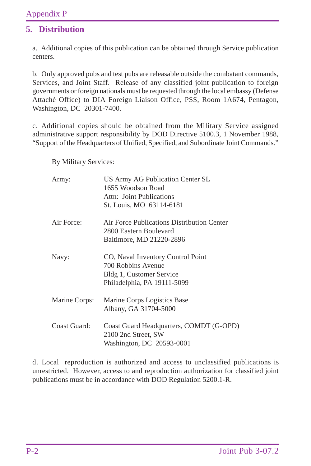## **5. Distribution**

a. Additional copies of this publication can be obtained through Service publication centers.

b. Only approved pubs and test pubs are releasable outside the combatant commands, Services, and Joint Staff. Release of any classified joint publication to foreign governments or foreign nationals must be requested through the local embassy (Defense Attaché Office) to DIA Foreign Liaison Office, PSS, Room 1A674, Pentagon, Washington, DC 20301-7400.

c. Additional copies should be obtained from the Military Service assigned administrative support responsibility by DOD Directive 5100.3, 1 November 1988, "Support of the Headquarters of Unified, Specified, and Subordinate Joint Commands."

By Military Services:

| Army:         | US Army AG Publication Center SL<br>1655 Woodson Road<br>Attn: Joint Publications<br>St. Louis, MO 63114-6181      |
|---------------|--------------------------------------------------------------------------------------------------------------------|
| Air Force:    | Air Force Publications Distribution Center<br>2800 Eastern Boulevard<br>Baltimore, MD 21220-2896                   |
| Navy:         | CO, Naval Inventory Control Point<br>700 Robbins Avenue<br>Bldg 1, Customer Service<br>Philadelphia, PA 19111-5099 |
| Marine Corps: | Marine Corps Logistics Base<br>Albany, GA 31704-5000                                                               |
| Coast Guard:  | Coast Guard Headquarters, COMDT (G-OPD)<br>2100 2nd Street, SW<br>Washington, DC 20593-0001                        |

d. Local reproduction is authorized and access to unclassified publications is unrestricted. However, access to and reproduction authorization for classified joint publications must be in accordance with DOD Regulation 5200.1-R.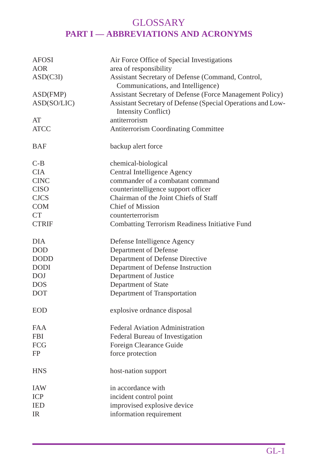## **GLOSSARY PART I — ABBREVIATIONS AND ACRONYMS**

| <b>AFOSI</b><br>AOR<br>ASD(C3I)<br>ASD(FMP)<br>ASD(SO/LIC) | Air Force Office of Special Investigations<br>area of responsibility<br>Assistant Secretary of Defense (Command, Control,<br>Communications, and Intelligence)<br>Assistant Secretary of Defense (Force Management Policy)<br>Assistant Secretary of Defense (Special Operations and Low- |
|------------------------------------------------------------|-------------------------------------------------------------------------------------------------------------------------------------------------------------------------------------------------------------------------------------------------------------------------------------------|
| AT                                                         | Intensity Conflict)<br>antiterrorism                                                                                                                                                                                                                                                      |
| <b>ATCC</b>                                                | <b>Antiterrorism Coordinating Committee</b>                                                                                                                                                                                                                                               |
| BAF                                                        | backup alert force                                                                                                                                                                                                                                                                        |
| $C-B$                                                      | chemical-biological                                                                                                                                                                                                                                                                       |
| <b>CIA</b>                                                 | Central Intelligence Agency                                                                                                                                                                                                                                                               |
| <b>CINC</b>                                                | commander of a combatant command                                                                                                                                                                                                                                                          |
| <b>CISO</b>                                                | counterintelligence support officer                                                                                                                                                                                                                                                       |
| <b>CJCS</b>                                                | Chairman of the Joint Chiefs of Staff                                                                                                                                                                                                                                                     |
| <b>COM</b>                                                 | Chief of Mission                                                                                                                                                                                                                                                                          |
| <b>CT</b>                                                  | counterterrorism                                                                                                                                                                                                                                                                          |
| <b>CTRIF</b>                                               | Combatting Terrorism Readiness Initiative Fund                                                                                                                                                                                                                                            |
| <b>DIA</b>                                                 | Defense Intelligence Agency                                                                                                                                                                                                                                                               |
| <b>DOD</b>                                                 | Department of Defense                                                                                                                                                                                                                                                                     |
| <b>DODD</b>                                                | Department of Defense Directive                                                                                                                                                                                                                                                           |
| <b>DODI</b>                                                | Department of Defense Instruction                                                                                                                                                                                                                                                         |
| <b>DOJ</b>                                                 | Department of Justice                                                                                                                                                                                                                                                                     |
| <b>DOS</b>                                                 | Department of State                                                                                                                                                                                                                                                                       |
| <b>DOT</b>                                                 | Department of Transportation                                                                                                                                                                                                                                                              |
| <b>EOD</b>                                                 | explosive ordnance disposal                                                                                                                                                                                                                                                               |
| <b>FAA</b>                                                 | <b>Federal Aviation Administration</b>                                                                                                                                                                                                                                                    |
| <b>FBI</b>                                                 | Federal Bureau of Investigation                                                                                                                                                                                                                                                           |
| <b>FCG</b>                                                 | Foreign Clearance Guide                                                                                                                                                                                                                                                                   |
| <b>FP</b>                                                  | force protection                                                                                                                                                                                                                                                                          |
| <b>HNS</b>                                                 | host-nation support                                                                                                                                                                                                                                                                       |
| IAW                                                        | in accordance with                                                                                                                                                                                                                                                                        |
| <b>ICP</b>                                                 | incident control point                                                                                                                                                                                                                                                                    |
| <b>IED</b>                                                 | improvised explosive device                                                                                                                                                                                                                                                               |
| <b>IR</b>                                                  | information requirement                                                                                                                                                                                                                                                                   |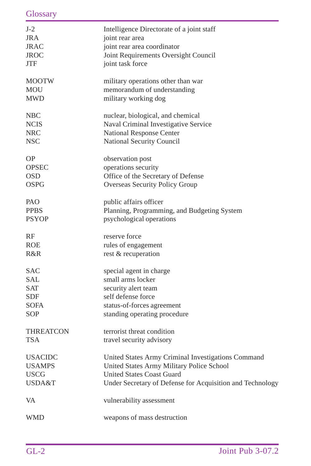# **Glossary**

| $J-2$             | Intelligence Directorate of a joint staff                 |
|-------------------|-----------------------------------------------------------|
| JRA               | joint rear area                                           |
| <b>JRAC</b>       | joint rear area coordinator                               |
| <b>JROC</b>       | Joint Requirements Oversight Council                      |
| JTF               | joint task force                                          |
| <b>MOOTW</b>      | military operations other than war                        |
| MOU               | memorandum of understanding                               |
| <b>MWD</b>        | military working dog                                      |
| <b>NBC</b>        | nuclear, biological, and chemical                         |
| <b>NCIS</b>       | Naval Criminal Investigative Service                      |
| <b>NRC</b>        | <b>National Response Center</b>                           |
| <b>NSC</b>        | National Security Council                                 |
| <b>OP</b>         | observation post                                          |
| <b>OPSEC</b>      | operations security                                       |
| <b>OSD</b>        | Office of the Secretary of Defense                        |
| <b>OSPG</b>       | Overseas Security Policy Group                            |
| PAO               | public affairs officer                                    |
| <b>PPBS</b>       | Planning, Programming, and Budgeting System               |
| <b>PSYOP</b>      | psychological operations                                  |
| RF                | reserve force                                             |
| <b>ROE</b>        | rules of engagement                                       |
| R&R               | rest & recuperation                                       |
| <b>SAC</b>        | special agent in charge                                   |
| <b>SAL</b>        | small arms locker                                         |
| <b>SAT</b>        | security alert team                                       |
| <b>SDF</b>        | self defense force                                        |
| <b>SOFA</b>       | status-of-forces agreement                                |
| SOP               | standing operating procedure                              |
| <b>THREATCON</b>  | terrorist threat condition                                |
| <b>TSA</b>        | travel security advisory                                  |
| <b>USACIDC</b>    | United States Army Criminal Investigations Command        |
| <b>USAMPS</b>     | United States Army Military Police School                 |
| <b>USCG</b>       | <b>United States Coast Guard</b>                          |
| <b>USDA&amp;T</b> | Under Secretary of Defense for Acquisition and Technology |
| VA                | vulnerability assessment                                  |
| <b>WMD</b>        | weapons of mass destruction                               |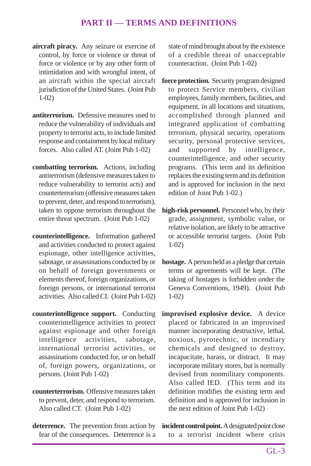#### **PART II — TERMS AND DEFINITIONS**

- **aircraft piracy.** Any seizure or exercise of control, by force or violence or threat of force or violence or by any other form of intimidation and with wrongful intent, of an aircraft within the special aircraft jurisdiction of the United States. (Joint Pub 1-02)
- **antiterrorism.** Defensive measures used to reduce the vulnerability of individuals and property to terrorist acts, to include limited response and containment by local military forces. Also called AT. (Joint Pub 1-02)
- **combatting terrorism.** Actions, including antiterrorism (defensive measures taken to reduce vulnerability to terrorist acts) and counterterrorism (offensive measures taken to prevent, deter, and respond to terrorism), taken to oppose terrorism throughout the entire threat spectrum. (Joint Pub 1-02)
- **counterintelligence.** Information gathered and activities conducted to protect against espionage, other intelligence activities, sabotage, or assassinations conducted by or on behalf of foreign governments or elements thereof, foreign organizations, or foreign persons, or international terrorist activities. Also called CI. (Joint Pub 1-02)
- **counterintelligence support.** Conducting counterintelligence activities to protect against espionage and other foreign intelligence activities, sabotage, international terrorist activities, or assassinations conducted for, or on behalf of, foreign powers, organizations, or persons. (Joint Pub 1-02)
- **counterterrorism.** Offensive measures taken to prevent, deter, and respond to terrorism. Also called CT. (Joint Pub 1-02)
- **deterrence.** The prevention from action by fear of the consequences. Deterrence is a

state of mind brought about by the existence of a credible threat of unacceptable counteraction. (Joint Pub 1-02)

- **force protection.** Security program designed to protect Service members, civilian employees, family members, facilities, and equipment, in all locations and situations, accomplished through planned and integrated application of combatting terrorism, physical security, operations security, personal protective services, and supported by intelligence, counterintelligence, and other security programs. (This term and its definition replaces the existing term and its definition and is approved for inclusion in the next edition of Joint Pub 1-02.)
- **high-risk personnel.** Personnel who, by their grade, assignment, symbolic value, or relative isolation, are likely to be attractive or accessible terrorist targets. (Joint Pub 1-02)
- **hostage.** A person held as a pledge that certain terms or agreements will be kept. (The taking of hostages is forbidden under the Geneva Conventions, 1949). (Joint Pub 1-02)
- **improvised explosive device.** A device placed or fabricated in an improvised manner incorporating destructive, lethal, noxious, pyrotechnic, or incendiary chemicals and designed to destroy, incapacitate, harass, or distract. It may incorporate military stores, but is normally devised from nonmilitary components. Also called IED. (This term and its definition modifies the existing term and definition and is approved for inclusion in the next edition of Joint Pub 1-02)
- **incident control point.** A designated point close to a terrorist incident where crisis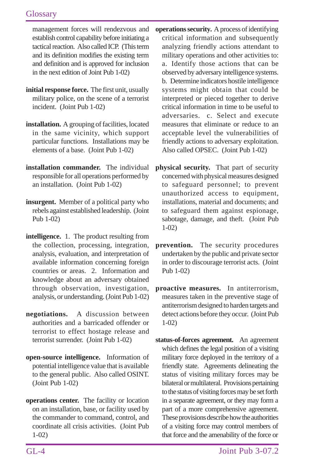#### **Glossary**

management forces will rendezvous and establish control capability before initiating a tactical reaction. Also called ICP. (This term and its definition modifies the existing term and definition and is approved for inclusion in the next edition of Joint Pub 1-02)

- **initial response force.** The first unit, usually military police, on the scene of a terrorist incident. (Joint Pub 1-02)
- **installation.** A grouping of facilities, located in the same vicinity, which support particular functions. Installations may be elements of a base. (Joint Pub 1-02)
- **installation commander.** The individual responsible for all operations performed by an installation. (Joint Pub 1-02)
- **insurgent.** Member of a political party who rebels against established leadership. (Joint Pub 1-02)
- **intelligence.** 1. The product resulting from the collection, processing, integration, analysis, evaluation, and interpretation of available information concerning foreign countries or areas. 2. Information and knowledge about an adversary obtained through observation, investigation, analysis, or understanding. (Joint Pub 1-02)
- **negotiations.** A discussion between authorities and a barricaded offender or terrorist to effect hostage release and terrorist surrender. (Joint Pub 1-02)
- **open-source intelligence.** Information of potential intelligence value that is available to the general public. Also called OSINT. (Joint Pub 1-02)
- **operations center.** The facility or location on an installation, base, or facility used by the commander to command, control, and coordinate all crisis activities. (Joint Pub 1-02)
- **operations security.** A process of identifying critical information and subsequently analyzing friendly actions attendant to military operations and other activities to: a. Identify those actions that can be observed by adversary intelligence systems. b. Determine indicators hostile intelligence systems might obtain that could be interpreted or pieced together to derive critical information in time to be useful to adversaries. c. Select and execute measures that eliminate or reduce to an acceptable level the vulnerabilities of friendly actions to adversary exploitation. Also called OPSEC. (Joint Pub 1-02)
- **physical security.** That part of security concerned with physical measures designed to safeguard personnel; to prevent unauthorized access to equipment, installations, material and documents; and to safeguard them against espionage, sabotage, damage, and theft. (Joint Pub 1-02)
- **prevention.** The security procedures undertaken by the public and private sector in order to discourage terrorist acts. (Joint Pub 1-02)
- **proactive measures.** In antiterrorism, measures taken in the preventive stage of antiterrorism designed to harden targets and detect actions before they occur. (Joint Pub 1-02)
- **status-of-forces agreement.** An agreement which defines the legal position of a visiting military force deployed in the territory of a friendly state. Agreements delineating the status of visiting military forces may be bilateral or multilateral. Provisions pertaining to the status of visiting forces may be set forth in a separate agreement, or they may form a part of a more comprehensive agreement. These provisions describe how the authorities of a visiting force may control members of that force and the amenability of the force or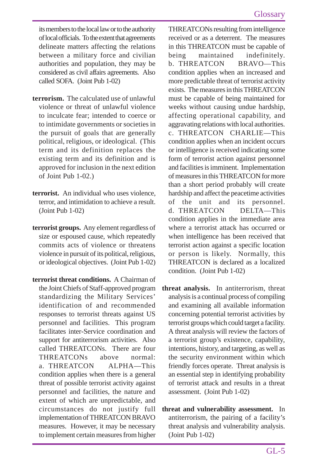its members to the local law or to the authority of local officials. To the extent that agreements delineate matters affecting the relations between a military force and civilian authorities and population, they may be considered as civil affairs agreements. Also called SOFA. (Joint Pub 1-02)

- **terrorism.** The calculated use of unlawful violence or threat of unlawful violence to inculcate fear; intended to coerce or to intimidate governments or societies in the pursuit of goals that are generally political, religious, or ideological. (This term and its definition replaces the existing term and its definition and is approved for inclusion in the next edition of Joint Pub 1-02.)
- **terrorist.** An individual who uses violence, terror, and intimidation to achieve a result. (Joint Pub 1-02)
- **terrorist groups.** Any element regardless of size or espoused cause, which repeatedly commits acts of violence or threatens violence in pursuit of its political, religious, or ideological objectives. (Joint Pub 1-02)
- **terrorist threat conditions.** A Chairman of the Joint Chiefs of Staff-approved program standardizing the Military Services' identification of and recommended responses to terrorist threats against US personnel and facilities. This program facilitates inter-Service coordination and support for antiterrorism activities. Also called THREATCONs. There are four THREATCONs above normal: a. THREATCON ALPHA—This condition applies when there is a general threat of possible terrorist activity against personnel and facilities, the nature and extent of which are unpredictable, and circumstances do not justify full implementation of THREATCON BRAVO measures. However, it may be necessary to implement certain measures from higher

THREATCONs resulting from intelligence received or as a deterrent. The measures in this THREATCON must be capable of being maintained indefinitely. b. THREATCON BRAVO—This condition applies when an increased and more predictable threat of terrorist activity exists. The measures in this THREATCON must be capable of being maintained for weeks without causing undue hardship, affecting operational capability, and aggravating relations with local authorities. c. THREATCON CHARLIE—This condition applies when an incident occurs or intelligence is received indicating some form of terrorist action against personnel and facilities is imminent. Implementation of measures in this THREATCON for more than a short period probably will create hardship and affect the peacetime activities of the unit and its personnel. d. THREATCON DELTA—This condition applies in the immediate area where a terrorist attack has occurred or when intelligence has been received that terrorist action against a specific location or person is likely. Normally, this THREATCON is declared as a localized condition. (Joint Pub 1-02)

- **threat analysis.** In antiterrorism, threat analysis is a continual process of compiling and examining all available information concerning potential terrorist activities by terrorist groups which could target a facility. A threat analysis will review the factors of a terrorist group's existence, capability, intentions, history, and targeting, as well as the security environment within which friendly forces operate. Threat analysis is an essential step in identifying probability of terrorist attack and results in a threat assessment. (Joint Pub 1-02)
- **threat and vulnerability assessment.** In antiterrorism, the pairing of a facility's threat analysis and vulnerability analysis. (Joint Pub 1-02)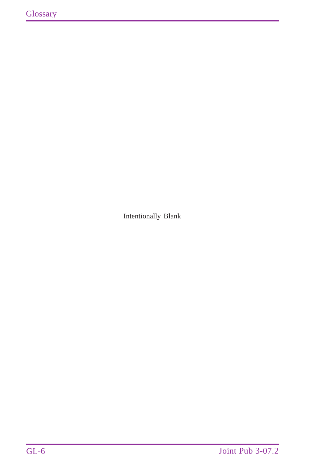Intentionally Blank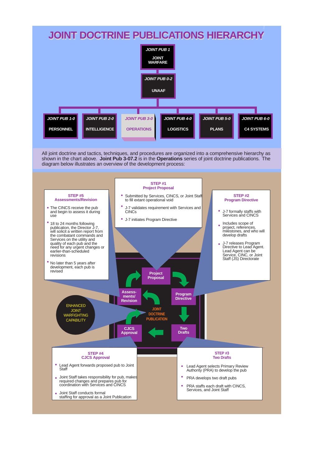